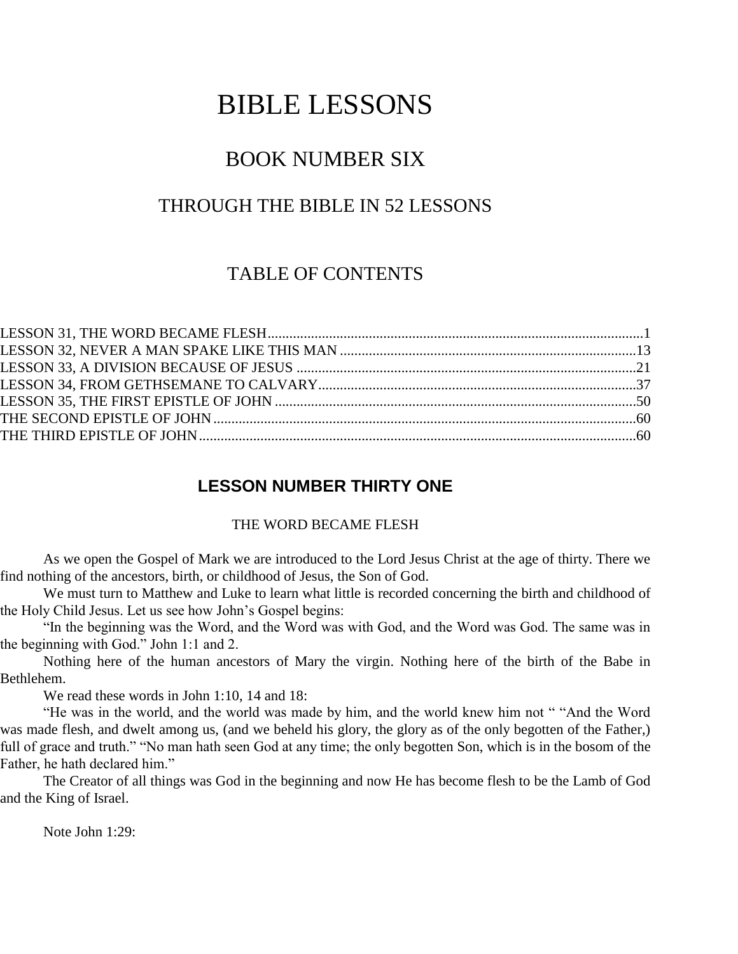# BIBLE LESSONS

# BOOK NUMBER SIX

# THROUGH THE BIBLE IN 52 LESSONS

# TABLE OF CONTENTS

# **LESSON NUMBER THIRTY ONE**

#### THE WORD BECAME FLESH

As we open the Gospel of Mark we are introduced to the Lord Jesus Christ at the age of thirty. There we find nothing of the ancestors, birth, or childhood of Jesus, the Son of God.

We must turn to Matthew and Luke to learn what little is recorded concerning the birth and childhood of the Holy Child Jesus. Let us see how John's Gospel begins:

"In the beginning was the Word, and the Word was with God, and the Word was God. The same was in the beginning with God." John 1:1 and 2.

Nothing here of the human ancestors of Mary the virgin. Nothing here of the birth of the Babe in Bethlehem.

We read these words in John 1:10, 14 and 18:

"He was in the world, and the world was made by him, and the world knew him not " "And the Word was made flesh, and dwelt among us, (and we beheld his glory, the glory as of the only begotten of the Father,) full of grace and truth." "No man hath seen God at any time; the only begotten Son, which is in the bosom of the Father, he hath declared him."

The Creator of all things was God in the beginning and now He has become flesh to be the Lamb of God and the King of Israel.

Note John 1:29: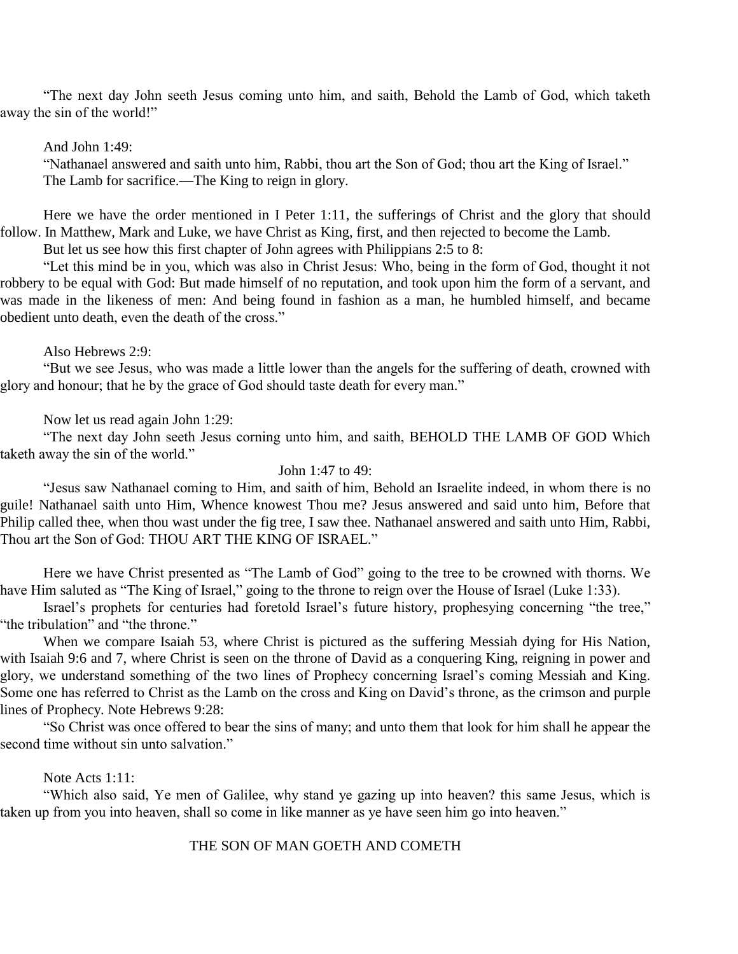"The next day John seeth Jesus coming unto him, and saith, Behold the Lamb of God, which taketh away the sin of the world!"

#### And John 1:49:

"Nathanael answered and saith unto him, Rabbi, thou art the Son of God; thou art the King of Israel." The Lamb for sacrifice.—The King to reign in glory.

Here we have the order mentioned in I Peter 1:11, the sufferings of Christ and the glory that should follow. In Matthew, Mark and Luke, we have Christ as King, first, and then rejected to become the Lamb.

But let us see how this first chapter of John agrees with Philippians 2:5 to 8:

"Let this mind be in you, which was also in Christ Jesus: Who, being in the form of God, thought it not robbery to be equal with God: But made himself of no reputation, and took upon him the form of a servant, and was made in the likeness of men: And being found in fashion as a man, he humbled himself, and became obedient unto death, even the death of the cross."

#### Also Hebrews 2:9:

"But we see Jesus, who was made a little lower than the angels for the suffering of death, crowned with glory and honour; that he by the grace of God should taste death for every man."

#### Now let us read again John 1:29:

"The next day John seeth Jesus corning unto him, and saith, BEHOLD THE LAMB OF GOD Which taketh away the sin of the world."

#### John 1:47 to 49:

"Jesus saw Nathanael coming to Him, and saith of him, Behold an Israelite indeed, in whom there is no guile! Nathanael saith unto Him, Whence knowest Thou me? Jesus answered and said unto him, Before that Philip called thee, when thou wast under the fig tree, I saw thee. Nathanael answered and saith unto Him, Rabbi, Thou art the Son of God: THOU ART THE KING OF ISRAEL."

Here we have Christ presented as "The Lamb of God" going to the tree to be crowned with thorns. We have Him saluted as "The King of Israel," going to the throne to reign over the House of Israel (Luke 1:33).

Israel's prophets for centuries had foretold Israel's future history, prophesying concerning "the tree," "the tribulation" and "the throne."

When we compare Isaiah 53, where Christ is pictured as the suffering Messiah dying for His Nation, with Isaiah 9:6 and 7, where Christ is seen on the throne of David as a conquering King, reigning in power and glory, we understand something of the two lines of Prophecy concerning Israel's coming Messiah and King. Some one has referred to Christ as the Lamb on the cross and King on David's throne, as the crimson and purple lines of Prophecy. Note Hebrews 9:28:

"So Christ was once offered to bear the sins of many; and unto them that look for him shall he appear the second time without sin unto salvation."

#### Note Acts 1:11:

"Which also said, Ye men of Galilee, why stand ye gazing up into heaven? this same Jesus, which is taken up from you into heaven, shall so come in like manner as ye have seen him go into heaven."

#### THE SON OF MAN GOETH AND COMETH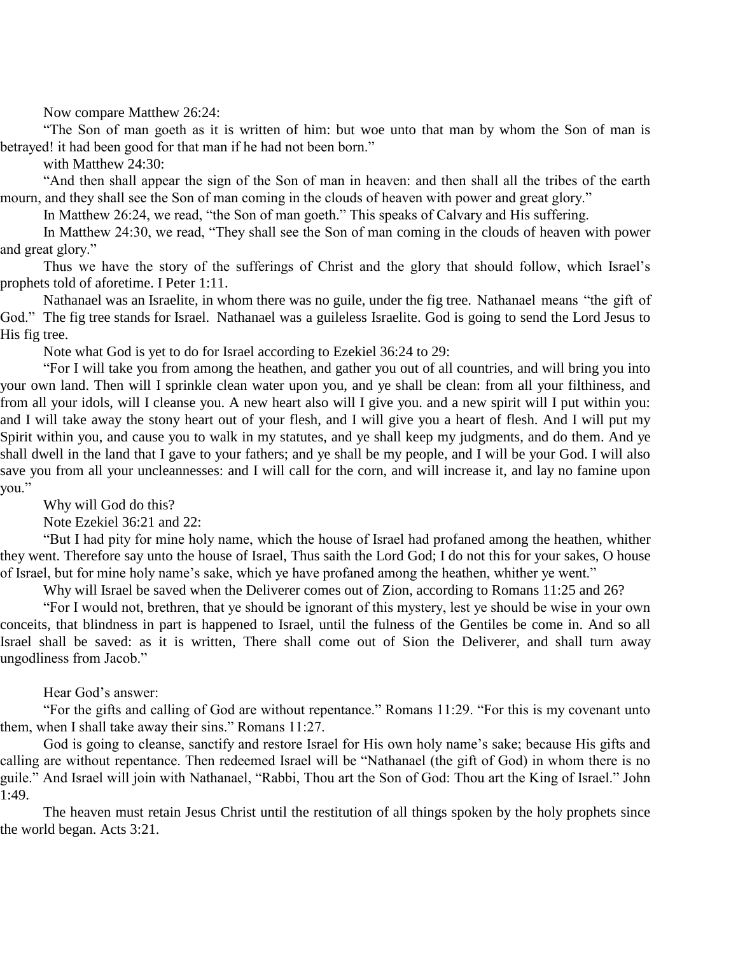Now compare Matthew 26:24:

"The Son of man goeth as it is written of him: but woe unto that man by whom the Son of man is betrayed! it had been good for that man if he had not been born."

with Matthew 24:30:

"And then shall appear the sign of the Son of man in heaven: and then shall all the tribes of the earth mourn, and they shall see the Son of man coming in the clouds of heaven with power and great glory."

In Matthew 26:24, we read, "the Son of man goeth." This speaks of Calvary and His suffering.

In Matthew 24:30, we read, "They shall see the Son of man coming in the clouds of heaven with power and great glory."

Thus we have the story of the sufferings of Christ and the glory that should follow, which Israel's prophets told of aforetime. I Peter 1:11.

Nathanael was an Israelite, in whom there was no guile, under the fig tree. Nathanael means "the gift of God." The fig tree stands for Israel. Nathanael was a guileless Israelite. God is going to send the Lord Jesus to His fig tree.

Note what God is yet to do for Israel according to Ezekiel 36:24 to 29:

"For I will take you from among the heathen, and gather you out of all countries, and will bring you into your own land. Then will I sprinkle clean water upon you, and ye shall be clean: from all your filthiness, and from all your idols, will I cleanse you. A new heart also will I give you. and a new spirit will I put within you: and I will take away the stony heart out of your flesh, and I will give you a heart of flesh. And I will put my Spirit within you, and cause you to walk in my statutes, and ye shall keep my judgments, and do them. And ye shall dwell in the land that I gave to your fathers; and ye shall be my people, and I will be your God. I will also save you from all your uncleannesses: and I will call for the corn, and will increase it, and lay no famine upon you."

Why will God do this?

Note Ezekiel 36:21 and 22:

"But I had pity for mine holy name, which the house of Israel had profaned among the heathen, whither they went. Therefore say unto the house of Israel, Thus saith the Lord God; I do not this for your sakes, O house of Israel, but for mine holy name's sake, which ye have profaned among the heathen, whither ye went."

Why will Israel be saved when the Deliverer comes out of Zion, according to Romans 11:25 and 26?

"For I would not, brethren, that ye should be ignorant of this mystery, lest ye should be wise in your own conceits, that blindness in part is happened to Israel, until the fulness of the Gentiles be come in. And so all Israel shall be saved: as it is written, There shall come out of Sion the Deliverer, and shall turn away ungodliness from Jacob."

#### Hear God's answer:

"For the gifts and calling of God are without repentance." Romans 11:29. "For this is my covenant unto them, when I shall take away their sins." Romans 11:27.

God is going to cleanse, sanctify and restore Israel for His own holy name's sake; because His gifts and calling are without repentance. Then redeemed Israel will be "Nathanael (the gift of God) in whom there is no guile." And Israel will join with Nathanael, "Rabbi, Thou art the Son of God: Thou art the King of Israel." John 1:49.

The heaven must retain Jesus Christ until the restitution of all things spoken by the holy prophets since the world began. Acts 3:21.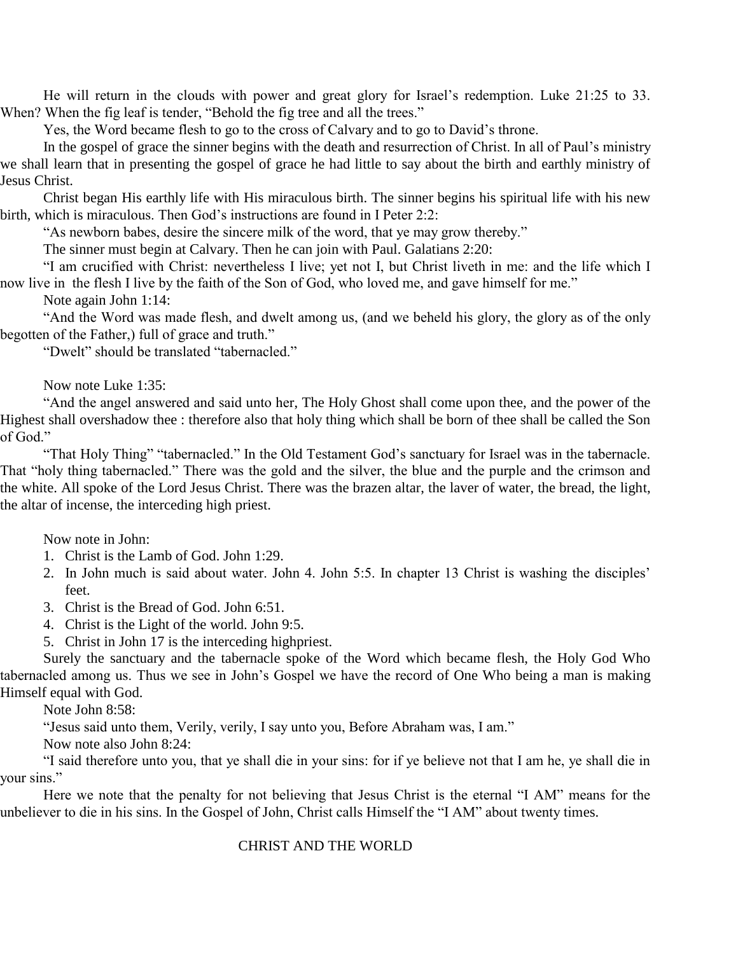He will return in the clouds with power and great glory for Israel's redemption. Luke 21:25 to 33. When? When the fig leaf is tender, "Behold the fig tree and all the trees."

Yes, the Word became flesh to go to the cross of Calvary and to go to David's throne.

In the gospel of grace the sinner begins with the death and resurrection of Christ. In all of Paul's ministry we shall learn that in presenting the gospel of grace he had little to say about the birth and earthly ministry of Jesus Christ.

Christ began His earthly life with His miraculous birth. The sinner begins his spiritual life with his new birth, which is miraculous. Then God's instructions are found in I Peter 2:2:

"As newborn babes, desire the sincere milk of the word, that ye may grow thereby."

The sinner must begin at Calvary. Then he can join with Paul. Galatians 2:20:

"I am crucified with Christ: nevertheless I live; yet not I, but Christ liveth in me: and the life which I now live in the flesh I live by the faith of the Son of God, who loved me, and gave himself for me."

Note again John 1:14:

"And the Word was made flesh, and dwelt among us, (and we beheld his glory, the glory as of the only begotten of the Father,) full of grace and truth."

"Dwelt" should be translated "tabernacled."

Now note Luke 1:35:

"And the angel answered and said unto her, The Holy Ghost shall come upon thee, and the power of the Highest shall overshadow thee : therefore also that holy thing which shall be born of thee shall be called the Son of God."

"That Holy Thing" "tabernacled." In the Old Testament God's sanctuary for Israel was in the tabernacle. That "holy thing tabernacled." There was the gold and the silver, the blue and the purple and the crimson and the white. All spoke of the Lord Jesus Christ. There was the brazen altar, the laver of water, the bread, the light, the altar of incense, the interceding high priest.

Now note in John:

- 1. Christ is the Lamb of God. John 1:29.
- 2. In John much is said about water. John 4. John 5:5. In chapter 13 Christ is washing the disciples' feet.
- 3. Christ is the Bread of God. John 6:51.
- 4. Christ is the Light of the world. John 9:5.
- 5. Christ in John 17 is the interceding highpriest.

Surely the sanctuary and the tabernacle spoke of the Word which became flesh, the Holy God Who tabernacled among us. Thus we see in John's Gospel we have the record of One Who being a man is making Himself equal with God.

Note John 8:58:

"Jesus said unto them, Verily, verily, I say unto you, Before Abraham was, I am."

Now note also John 8:24:

"I said therefore unto you, that ye shall die in your sins: for if ye believe not that I am he, ye shall die in your sins."

Here we note that the penalty for not believing that Jesus Christ is the eternal "I AM" means for the unbeliever to die in his sins. In the Gospel of John, Christ calls Himself the "I AM" about twenty times.

#### CHRIST AND THE WORLD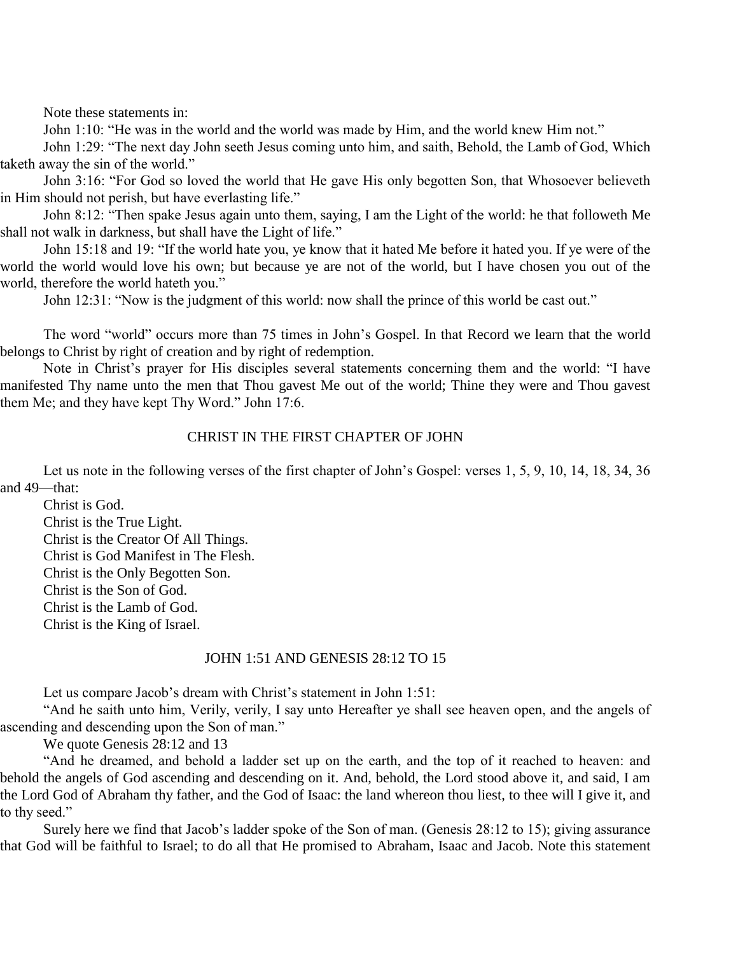Note these statements in:

John 1:10: "He was in the world and the world was made by Him, and the world knew Him not."

John 1:29: "The next day John seeth Jesus coming unto him, and saith, Behold, the Lamb of God, Which taketh away the sin of the world."

John 3:16: "For God so loved the world that He gave His only begotten Son, that Whosoever believeth in Him should not perish, but have everlasting life."

John 8:12: "Then spake Jesus again unto them, saying, I am the Light of the world: he that followeth Me shall not walk in darkness, but shall have the Light of life."

John 15:18 and 19: "If the world hate you, ye know that it hated Me before it hated you. If ye were of the world the world would love his own; but because ye are not of the world, but I have chosen you out of the world, therefore the world hateth you."

John 12:31: "Now is the judgment of this world: now shall the prince of this world be cast out."

The word "world" occurs more than 75 times in John's Gospel. In that Record we learn that the world belongs to Christ by right of creation and by right of redemption.

Note in Christ's prayer for His disciples several statements concerning them and the world: "I have manifested Thy name unto the men that Thou gavest Me out of the world; Thine they were and Thou gavest them Me; and they have kept Thy Word." John 17:6.

#### CHRIST IN THE FIRST CHAPTER OF JOHN

Let us note in the following verses of the first chapter of John's Gospel: verses 1, 5, 9, 10, 14, 18, 34, 36 and 49—that:

Christ is God.

Christ is the True Light. Christ is the Creator Of All Things. Christ is God Manifest in The Flesh. Christ is the Only Begotten Son. Christ is the Son of God. Christ is the Lamb of God. Christ is the King of Israel.

#### JOHN 1:51 AND GENESIS 28:12 TO 15

Let us compare Jacob's dream with Christ's statement in John 1:51:

"And he saith unto him, Verily, verily, I say unto Hereafter ye shall see heaven open, and the angels of ascending and descending upon the Son of man."

We quote Genesis 28:12 and 13

"And he dreamed, and behold a ladder set up on the earth, and the top of it reached to heaven: and behold the angels of God ascending and descending on it. And, behold, the Lord stood above it, and said, I am the Lord God of Abraham thy father, and the God of Isaac: the land whereon thou liest, to thee will I give it, and to thy seed."

Surely here we find that Jacob's ladder spoke of the Son of man. (Genesis 28:12 to 15); giving assurance that God will be faithful to Israel; to do all that He promised to Abraham, Isaac and Jacob. Note this statement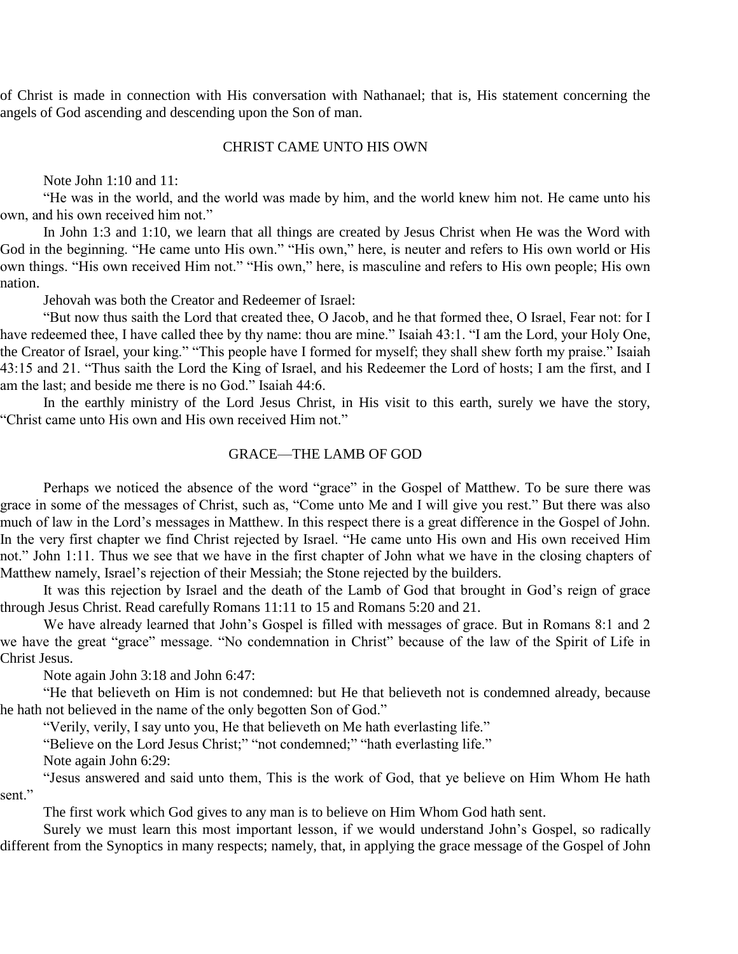of Christ is made in connection with His conversation with Nathanael; that is, His statement concerning the angels of God ascending and descending upon the Son of man.

#### CHRIST CAME UNTO HIS OWN

Note John 1:10 and 11:

"He was in the world, and the world was made by him, and the world knew him not. He came unto his own, and his own received him not."

In John 1:3 and 1:10, we learn that all things are created by Jesus Christ when He was the Word with God in the beginning. "He came unto His own." "His own," here, is neuter and refers to His own world or His own things. "His own received Him not." "His own," here, is masculine and refers to His own people; His own nation.

Jehovah was both the Creator and Redeemer of Israel:

"But now thus saith the Lord that created thee, O Jacob, and he that formed thee, O Israel, Fear not: for I have redeemed thee, I have called thee by thy name: thou are mine." Isaiah 43:1. "I am the Lord, your Holy One, the Creator of Israel, your king." "This people have I formed for myself; they shall shew forth my praise." Isaiah 43:15 and 21. "Thus saith the Lord the King of Israel, and his Redeemer the Lord of hosts; I am the first, and I am the last; and beside me there is no God." Isaiah 44:6.

In the earthly ministry of the Lord Jesus Christ, in His visit to this earth, surely we have the story, "Christ came unto His own and His own received Him not."

#### GRACE—THE LAMB OF GOD

Perhaps we noticed the absence of the word "grace" in the Gospel of Matthew. To be sure there was grace in some of the messages of Christ, such as, "Come unto Me and I will give you rest." But there was also much of law in the Lord's messages in Matthew. In this respect there is a great difference in the Gospel of John. In the very first chapter we find Christ rejected by Israel. "He came unto His own and His own received Him not." John 1:11. Thus we see that we have in the first chapter of John what we have in the closing chapters of Matthew namely, Israel's rejection of their Messiah; the Stone rejected by the builders.

It was this rejection by Israel and the death of the Lamb of God that brought in God's reign of grace through Jesus Christ. Read carefully Romans 11:11 to 15 and Romans 5:20 and 21.

We have already learned that John's Gospel is filled with messages of grace. But in Romans 8:1 and 2 we have the great "grace" message. "No condemnation in Christ" because of the law of the Spirit of Life in Christ Jesus.

Note again John 3:18 and John 6:47:

"He that believeth on Him is not condemned: but He that believeth not is condemned already, because he hath not believed in the name of the only begotten Son of God."

"Verily, verily, I say unto you, He that believeth on Me hath everlasting life."

"Believe on the Lord Jesus Christ;" "not condemned;" "hath everlasting life."

Note again John 6:29:

"Jesus answered and said unto them, This is the work of God, that ye believe on Him Whom He hath sent."

The first work which God gives to any man is to believe on Him Whom God hath sent.

Surely we must learn this most important lesson, if we would understand John's Gospel, so radically different from the Synoptics in many respects; namely, that, in applying the grace message of the Gospel of John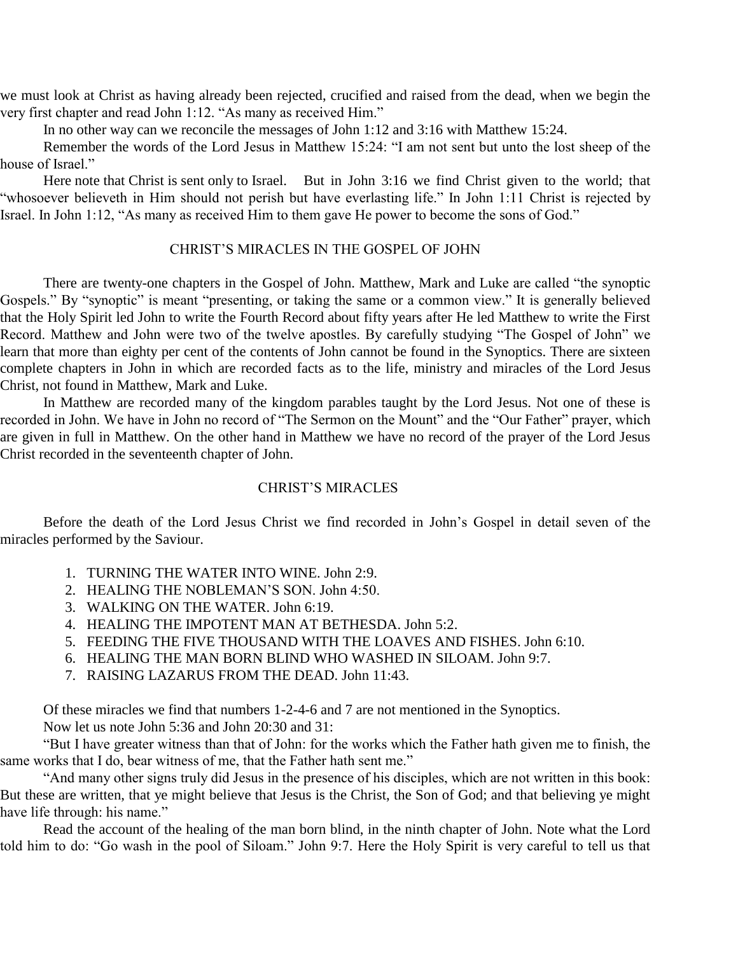we must look at Christ as having already been rejected, crucified and raised from the dead, when we begin the very first chapter and read John 1:12. "As many as received Him."

In no other way can we reconcile the messages of John 1:12 and 3:16 with Matthew 15:24.

Remember the words of the Lord Jesus in Matthew 15:24: "I am not sent but unto the lost sheep of the house of Israel."

Here note that Christ is sent only to Israel. But in John 3:16 we find Christ given to the world; that "whosoever believeth in Him should not perish but have everlasting life." In John 1:11 Christ is rejected by Israel. In John 1:12, "As many as received Him to them gave He power to become the sons of God."

#### CHRIST'S MIRACLES IN THE GOSPEL OF JOHN

There are twenty-one chapters in the Gospel of John. Matthew, Mark and Luke are called "the synoptic Gospels." By "synoptic" is meant "presenting, or taking the same or a common view." It is generally believed that the Holy Spirit led John to write the Fourth Record about fifty years after He led Matthew to write the First Record. Matthew and John were two of the twelve apostles. By carefully studying "The Gospel of John" we learn that more than eighty per cent of the contents of John cannot be found in the Synoptics. There are sixteen complete chapters in John in which are recorded facts as to the life, ministry and miracles of the Lord Jesus Christ, not found in Matthew, Mark and Luke.

In Matthew are recorded many of the kingdom parables taught by the Lord Jesus. Not one of these is recorded in John. We have in John no record of "The Sermon on the Mount" and the "Our Father" prayer, which are given in full in Matthew. On the other hand in Matthew we have no record of the prayer of the Lord Jesus Christ recorded in the seventeenth chapter of John.

#### CHRIST'S MIRACLES

Before the death of the Lord Jesus Christ we find recorded in John's Gospel in detail seven of the miracles performed by the Saviour.

- 1. TURNING THE WATER INTO WINE. John 2:9.
- 2. HEALING THE NOBLEMAN'S SON. John 4:50.
- 3. WALKING ON THE WATER. John 6:19.
- 4. HEALING THE IMPOTENT MAN AT BETHESDA. John 5:2.
- 5. FEEDING THE FIVE THOUSAND WITH THE LOAVES AND FISHES. John 6:10.
- 6. HEALING THE MAN BORN BLIND WHO WASHED IN SILOAM. John 9:7.
- 7. RAISING LAZARUS FROM THE DEAD. John 11:43.

Of these miracles we find that numbers 1-2-4-6 and 7 are not mentioned in the Synoptics.

Now let us note John 5:36 and John 20:30 and 31:

"But I have greater witness than that of John: for the works which the Father hath given me to finish, the same works that I do, bear witness of me, that the Father hath sent me."

"And many other signs truly did Jesus in the presence of his disciples, which are not written in this book: But these are written, that ye might believe that Jesus is the Christ, the Son of God; and that believing ye might have life through: his name."

Read the account of the healing of the man born blind, in the ninth chapter of John. Note what the Lord told him to do: "Go wash in the pool of Siloam." John 9:7. Here the Holy Spirit is very careful to tell us that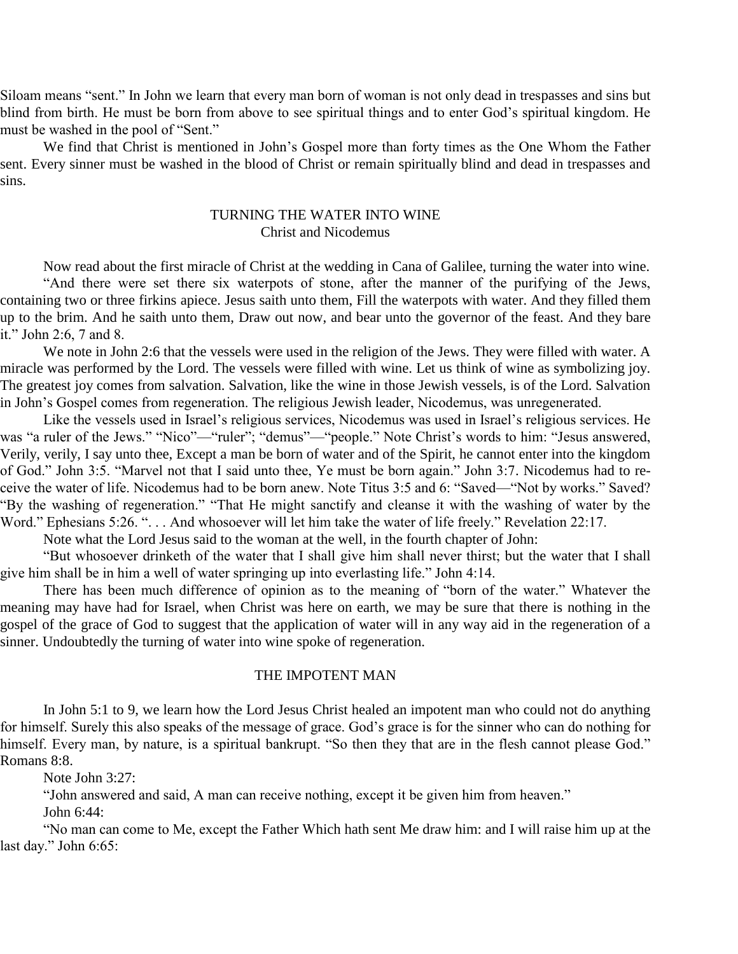Siloam means "sent." In John we learn that every man born of woman is not only dead in trespasses and sins but blind from birth. He must be born from above to see spiritual things and to enter God's spiritual kingdom. He must be washed in the pool of "Sent."

We find that Christ is mentioned in John's Gospel more than forty times as the One Whom the Father sent. Every sinner must be washed in the blood of Christ or remain spiritually blind and dead in trespasses and sins.

#### TURNING THE WATER INTO WINE Christ and Nicodemus

Now read about the first miracle of Christ at the wedding in Cana of Galilee, turning the water into wine.

"And there were set there six waterpots of stone, after the manner of the purifying of the Jews, containing two or three firkins apiece. Jesus saith unto them, Fill the waterpots with water. And they filled them up to the brim. And he saith unto them, Draw out now, and bear unto the governor of the feast. And they bare it." John 2:6, 7 and 8.

We note in John 2:6 that the vessels were used in the religion of the Jews. They were filled with water. A miracle was performed by the Lord. The vessels were filled with wine. Let us think of wine as symbolizing joy. The greatest joy comes from salvation. Salvation, like the wine in those Jewish vessels, is of the Lord. Salvation in John's Gospel comes from regeneration. The religious Jewish leader, Nicodemus, was unregenerated.

Like the vessels used in Israel's religious services, Nicodemus was used in Israel's religious services. He was "a ruler of the Jews." "Nico"—"ruler"; "demus"—"people." Note Christ's words to him: "Jesus answered, Verily, verily, I say unto thee, Except a man be born of water and of the Spirit, he cannot enter into the kingdom of God." John 3:5. "Marvel not that I said unto thee, Ye must be born again." John 3:7. Nicodemus had to receive the water of life. Nicodemus had to be born anew. Note Titus 3:5 and 6: "Saved—"Not by works." Saved? "By the washing of regeneration." "That He might sanctify and cleanse it with the washing of water by the Word." Ephesians 5:26. ". . . And whosoever will let him take the water of life freely." Revelation 22:17.

Note what the Lord Jesus said to the woman at the well, in the fourth chapter of John:

"But whosoever drinketh of the water that I shall give him shall never thirst; but the water that I shall give him shall be in him a well of water springing up into everlasting life." John 4:14.

There has been much difference of opinion as to the meaning of "born of the water." Whatever the meaning may have had for Israel, when Christ was here on earth, we may be sure that there is nothing in the gospel of the grace of God to suggest that the application of water will in any way aid in the regeneration of a sinner. Undoubtedly the turning of water into wine spoke of regeneration.

#### THE IMPOTENT MAN

In John 5:1 to 9, we learn how the Lord Jesus Christ healed an impotent man who could not do anything for himself. Surely this also speaks of the message of grace. God's grace is for the sinner who can do nothing for himself. Every man, by nature, is a spiritual bankrupt. "So then they that are in the flesh cannot please God." Romans 8:8.

Note John 3:27:

"John answered and said, A man can receive nothing, except it be given him from heaven."

John 6:44:

"No man can come to Me, except the Father Which hath sent Me draw him: and I will raise him up at the last day." John 6:65: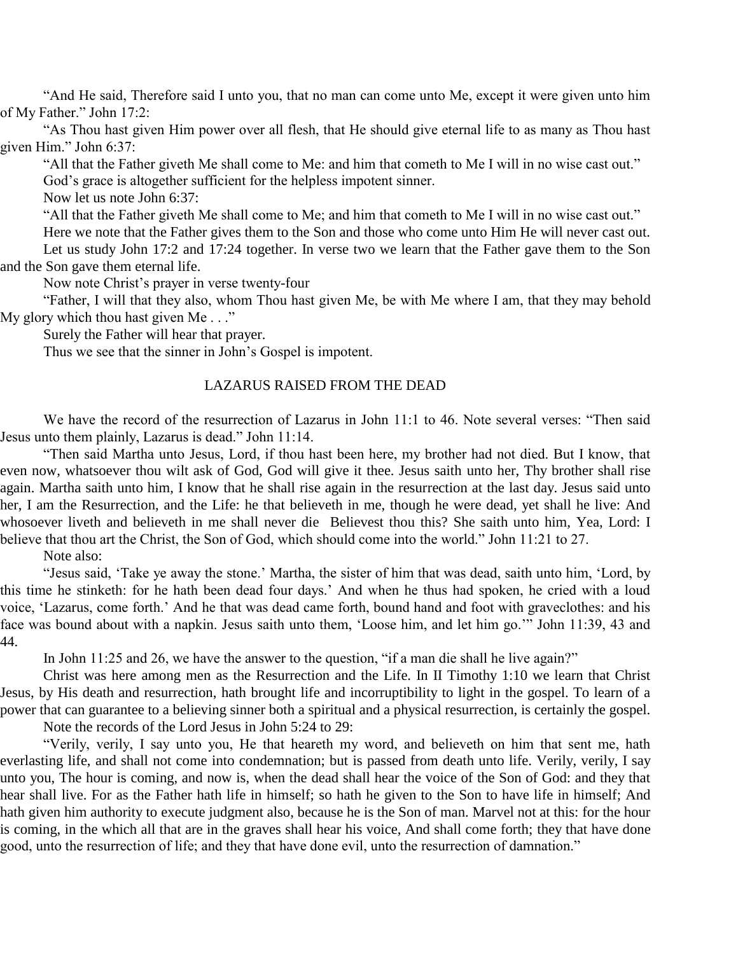"And He said, Therefore said I unto you, that no man can come unto Me, except it were given unto him of My Father." John 17:2:

"As Thou hast given Him power over all flesh, that He should give eternal life to as many as Thou hast given Him." John 6:37:

"All that the Father giveth Me shall come to Me: and him that cometh to Me I will in no wise cast out." God's grace is altogether sufficient for the helpless impotent sinner.

Now let us note John 6:37:

"All that the Father giveth Me shall come to Me; and him that cometh to Me I will in no wise cast out."

Here we note that the Father gives them to the Son and those who come unto Him He will never cast out. Let us study John 17:2 and 17:24 together. In verse two we learn that the Father gave them to the Son and the Son gave them eternal life.

Now note Christ's prayer in verse twenty-four

"Father, I will that they also, whom Thou hast given Me, be with Me where I am, that they may behold My glory which thou hast given Me..."

Surely the Father will hear that prayer.

Thus we see that the sinner in John's Gospel is impotent.

#### LAZARUS RAISED FROM THE DEAD

We have the record of the resurrection of Lazarus in John 11:1 to 46. Note several verses: "Then said Jesus unto them plainly, Lazarus is dead." John 11:14.

"Then said Martha unto Jesus, Lord, if thou hast been here, my brother had not died. But I know, that even now, whatsoever thou wilt ask of God, God will give it thee. Jesus saith unto her, Thy brother shall rise again. Martha saith unto him, I know that he shall rise again in the resurrection at the last day. Jesus said unto her, I am the Resurrection, and the Life: he that believeth in me, though he were dead, yet shall he live: And whosoever liveth and believeth in me shall never die Believest thou this? She saith unto him, Yea, Lord: I believe that thou art the Christ, the Son of God, which should come into the world." John 11:21 to 27.

Note also:

"Jesus said, 'Take ye away the stone.' Martha, the sister of him that was dead, saith unto him, 'Lord, by this time he stinketh: for he hath been dead four days.' And when he thus had spoken, he cried with a loud voice, 'Lazarus, come forth.' And he that was dead came forth, bound hand and foot with graveclothes: and his face was bound about with a napkin. Jesus saith unto them, 'Loose him, and let him go.'" John 11:39, 43 and 44.

In John 11:25 and 26, we have the answer to the question, "if a man die shall he live again?"

Christ was here among men as the Resurrection and the Life. In II Timothy 1:10 we learn that Christ Jesus, by His death and resurrection, hath brought life and incorruptibility to light in the gospel. To learn of a power that can guarantee to a believing sinner both a spiritual and a physical resurrection, is certainly the gospel.

Note the records of the Lord Jesus in John 5:24 to 29:

"Verily, verily, I say unto you, He that heareth my word, and believeth on him that sent me, hath everlasting life, and shall not come into condemnation; but is passed from death unto life. Verily, verily, I say unto you, The hour is coming, and now is, when the dead shall hear the voice of the Son of God: and they that hear shall live. For as the Father hath life in himself; so hath he given to the Son to have life in himself; And hath given him authority to execute judgment also, because he is the Son of man. Marvel not at this: for the hour is coming, in the which all that are in the graves shall hear his voice, And shall come forth; they that have done good, unto the resurrection of life; and they that have done evil, unto the resurrection of damnation."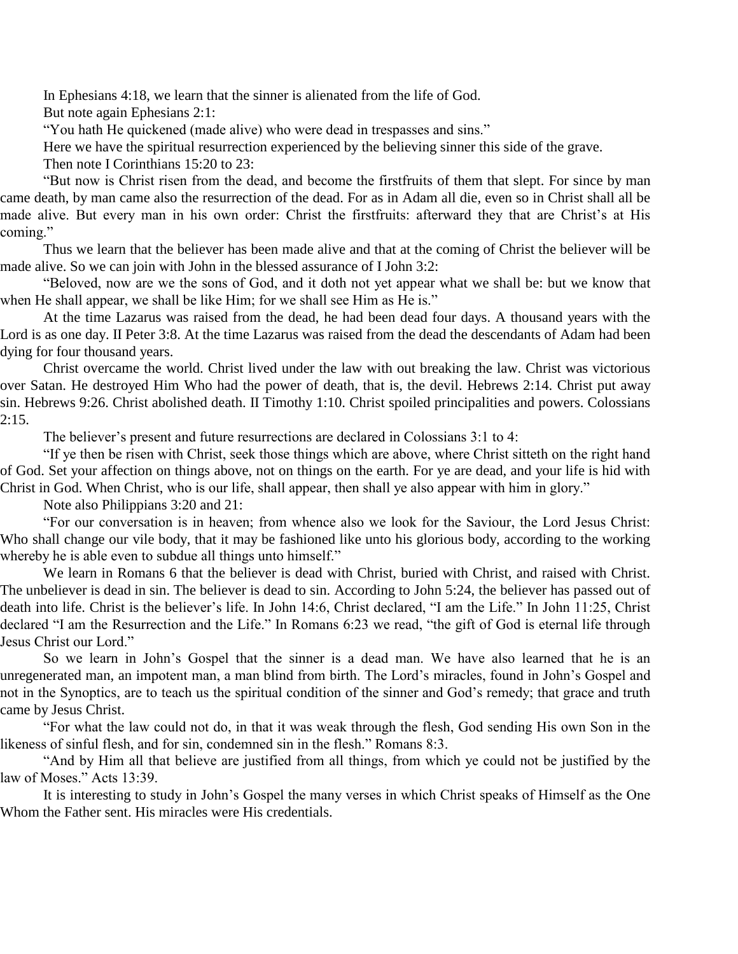In Ephesians 4:18, we learn that the sinner is alienated from the life of God.

But note again Ephesians 2:1:

"You hath He quickened (made alive) who were dead in trespasses and sins."

Here we have the spiritual resurrection experienced by the believing sinner this side of the grave.

Then note I Corinthians 15:20 to 23:

"But now is Christ risen from the dead, and become the firstfruits of them that slept. For since by man came death, by man came also the resurrection of the dead. For as in Adam all die, even so in Christ shall all be made alive. But every man in his own order: Christ the firstfruits: afterward they that are Christ's at His coming."

Thus we learn that the believer has been made alive and that at the coming of Christ the believer will be made alive. So we can join with John in the blessed assurance of I John 3:2:

"Beloved, now are we the sons of God, and it doth not yet appear what we shall be: but we know that when He shall appear, we shall be like Him; for we shall see Him as He is."

At the time Lazarus was raised from the dead, he had been dead four days. A thousand years with the Lord is as one day. II Peter 3:8. At the time Lazarus was raised from the dead the descendants of Adam had been dying for four thousand years.

Christ overcame the world. Christ lived under the law with out breaking the law. Christ was victorious over Satan. He destroyed Him Who had the power of death, that is, the devil. Hebrews 2:14. Christ put away sin. Hebrews 9:26. Christ abolished death. II Timothy 1:10. Christ spoiled principalities and powers. Colossians  $2:15.$ 

The believer's present and future resurrections are declared in Colossians 3:1 to 4:

"If ye then be risen with Christ, seek those things which are above, where Christ sitteth on the right hand of God. Set your affection on things above, not on things on the earth. For ye are dead, and your life is hid with Christ in God. When Christ, who is our life, shall appear, then shall ye also appear with him in glory."

Note also Philippians 3:20 and 21:

"For our conversation is in heaven; from whence also we look for the Saviour, the Lord Jesus Christ: Who shall change our vile body, that it may be fashioned like unto his glorious body, according to the working whereby he is able even to subdue all things unto himself."

We learn in Romans 6 that the believer is dead with Christ, buried with Christ, and raised with Christ. The unbeliever is dead in sin. The believer is dead to sin. According to John 5:24, the believer has passed out of death into life. Christ is the believer's life. In John 14:6, Christ declared, "I am the Life." In John 11:25, Christ declared "I am the Resurrection and the Life." In Romans 6:23 we read, "the gift of God is eternal life through Jesus Christ our Lord."

So we learn in John's Gospel that the sinner is a dead man. We have also learned that he is an unregenerated man, an impotent man, a man blind from birth. The Lord's miracles, found in John's Gospel and not in the Synoptics, are to teach us the spiritual condition of the sinner and God's remedy; that grace and truth came by Jesus Christ.

"For what the law could not do, in that it was weak through the flesh, God sending His own Son in the likeness of sinful flesh, and for sin, condemned sin in the flesh." Romans 8:3.

"And by Him all that believe are justified from all things, from which ye could not be justified by the law of Moses." Acts 13:39.

It is interesting to study in John's Gospel the many verses in which Christ speaks of Himself as the One Whom the Father sent. His miracles were His credentials.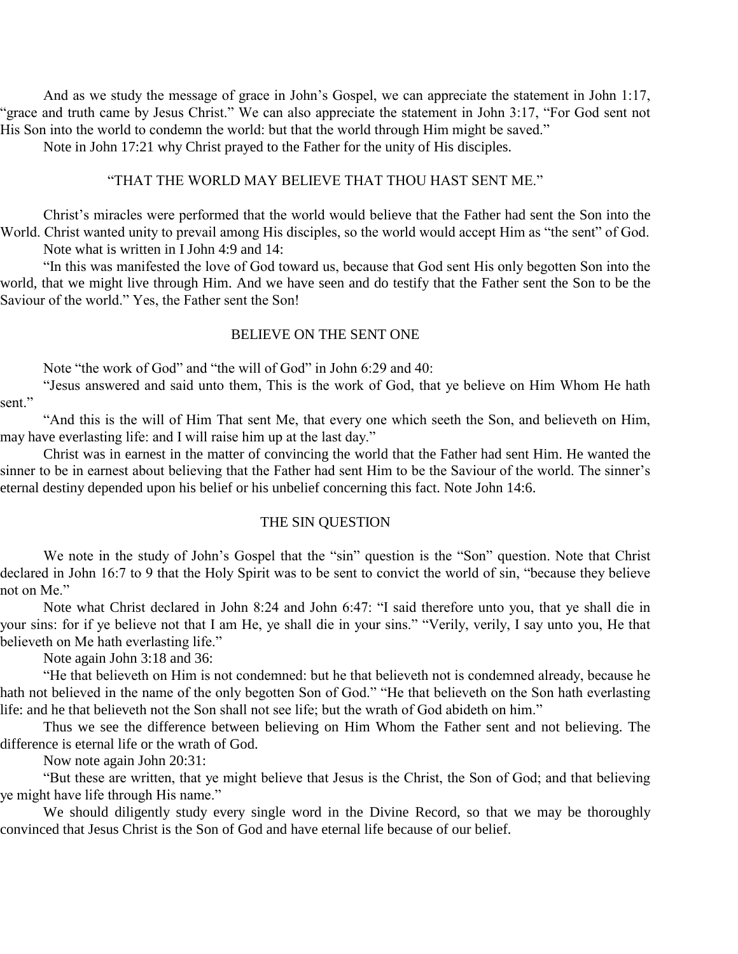And as we study the message of grace in John's Gospel, we can appreciate the statement in John 1:17, "grace and truth came by Jesus Christ." We can also appreciate the statement in John 3:17, "For God sent not His Son into the world to condemn the world: but that the world through Him might be saved."

Note in John 17:21 why Christ prayed to the Father for the unity of His disciples.

#### "THAT THE WORLD MAY BELIEVE THAT THOU HAST SENT ME."

Christ's miracles were performed that the world would believe that the Father had sent the Son into the World. Christ wanted unity to prevail among His disciples, so the world would accept Him as "the sent" of God. Note what is written in I John 4:9 and 14:

"In this was manifested the love of God toward us, because that God sent His only begotten Son into the world, that we might live through Him. And we have seen and do testify that the Father sent the Son to be the Saviour of the world." Yes, the Father sent the Son!

#### BELIEVE ON THE SENT ONE

Note "the work of God" and "the will of God" in John 6:29 and 40:

"Jesus answered and said unto them, This is the work of God, that ye believe on Him Whom He hath sent."

"And this is the will of Him That sent Me, that every one which seeth the Son, and believeth on Him, may have everlasting life: and I will raise him up at the last day."

Christ was in earnest in the matter of convincing the world that the Father had sent Him. He wanted the sinner to be in earnest about believing that the Father had sent Him to be the Saviour of the world. The sinner's eternal destiny depended upon his belief or his unbelief concerning this fact. Note John 14:6.

#### THE SIN QUESTION

We note in the study of John's Gospel that the "sin" question is the "Son" question. Note that Christ declared in John 16:7 to 9 that the Holy Spirit was to be sent to convict the world of sin, "because they believe not on Me."

Note what Christ declared in John 8:24 and John 6:47: "I said therefore unto you, that ye shall die in your sins: for if ye believe not that I am He, ye shall die in your sins." "Verily, verily, I say unto you, He that believeth on Me hath everlasting life."

Note again John 3:18 and 36:

"He that believeth on Him is not condemned: but he that believeth not is condemned already, because he hath not believed in the name of the only begotten Son of God." "He that believeth on the Son hath everlasting life: and he that believeth not the Son shall not see life; but the wrath of God abideth on him."

Thus we see the difference between believing on Him Whom the Father sent and not believing. The difference is eternal life or the wrath of God.

Now note again John 20:31:

"But these are written, that ye might believe that Jesus is the Christ, the Son of God; and that believing ye might have life through His name."

We should diligently study every single word in the Divine Record, so that we may be thoroughly convinced that Jesus Christ is the Son of God and have eternal life because of our belief.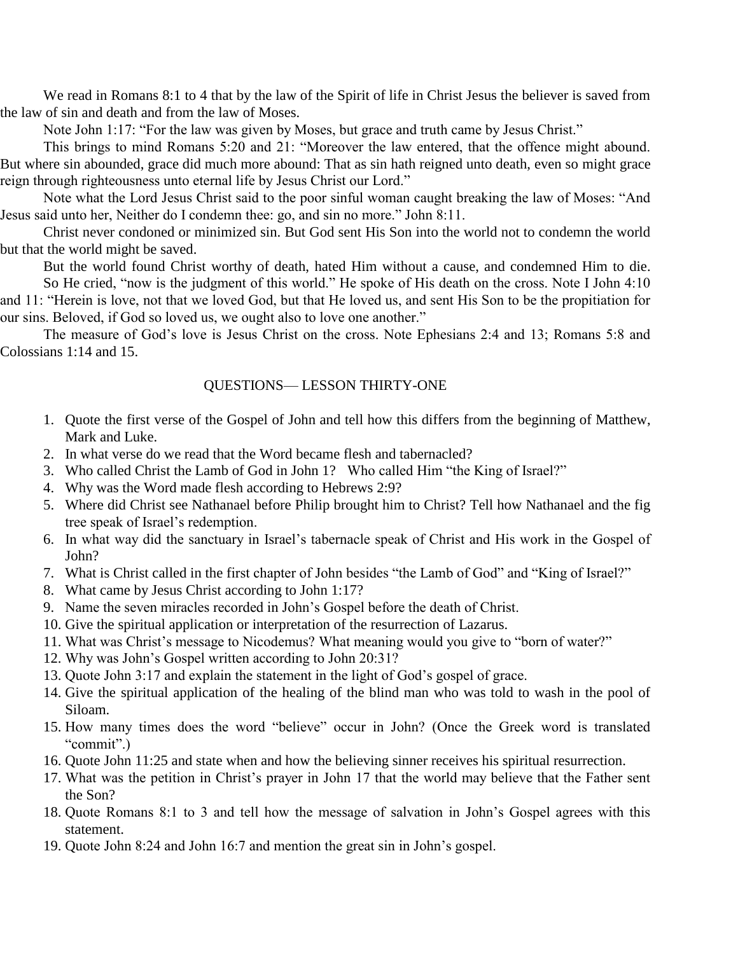We read in Romans 8:1 to 4 that by the law of the Spirit of life in Christ Jesus the believer is saved from the law of sin and death and from the law of Moses.

Note John 1:17: "For the law was given by Moses, but grace and truth came by Jesus Christ."

This brings to mind Romans 5:20 and 21: "Moreover the law entered, that the offence might abound. But where sin abounded, grace did much more abound: That as sin hath reigned unto death, even so might grace reign through righteousness unto eternal life by Jesus Christ our Lord."

Note what the Lord Jesus Christ said to the poor sinful woman caught breaking the law of Moses: "And Jesus said unto her, Neither do I condemn thee: go, and sin no more." John 8:11.

Christ never condoned or minimized sin. But God sent His Son into the world not to condemn the world but that the world might be saved.

But the world found Christ worthy of death, hated Him without a cause, and condemned Him to die.

So He cried, "now is the judgment of this world." He spoke of His death on the cross. Note I John 4:10 and 11: "Herein is love, not that we loved God, but that He loved us, and sent His Son to be the propitiation for our sins. Beloved, if God so loved us, we ought also to love one another."

The measure of God's love is Jesus Christ on the cross. Note Ephesians 2:4 and 13; Romans 5:8 and Colossians 1:14 and 15.

#### QUESTIONS— LESSON THIRTY-ONE

- 1. Quote the first verse of the Gospel of John and tell how this differs from the beginning of Matthew, Mark and Luke.
- 2. In what verse do we read that the Word became flesh and tabernacled?
- 3. Who called Christ the Lamb of God in John 1? Who called Him "the King of Israel?"
- 4. Why was the Word made flesh according to Hebrews 2:9?
- 5. Where did Christ see Nathanael before Philip brought him to Christ? Tell how Nathanael and the fig tree speak of Israel's redemption.
- 6. In what way did the sanctuary in Israel's tabernacle speak of Christ and His work in the Gospel of John?
- 7. What is Christ called in the first chapter of John besides "the Lamb of God" and "King of Israel?"
- 8. What came by Jesus Christ according to John 1:17?
- 9. Name the seven miracles recorded in John's Gospel before the death of Christ.
- 10. Give the spiritual application or interpretation of the resurrection of Lazarus.
- 11. What was Christ's message to Nicodemus? What meaning would you give to "born of water?"
- 12. Why was John's Gospel written according to John 20:31?
- 13. Quote John 3:17 and explain the statement in the light of God's gospel of grace.
- 14. Give the spiritual application of the healing of the blind man who was told to wash in the pool of Siloam.
- 15. How many times does the word "believe" occur in John? (Once the Greek word is translated "commit".)
- 16. Quote John 11:25 and state when and how the believing sinner receives his spiritual resurrection.
- 17. What was the petition in Christ's prayer in John 17 that the world may believe that the Father sent the Son?
- 18. Quote Romans 8:1 to 3 and tell how the message of salvation in John's Gospel agrees with this statement.
- 19. Quote John 8:24 and John 16:7 and mention the great sin in John's gospel.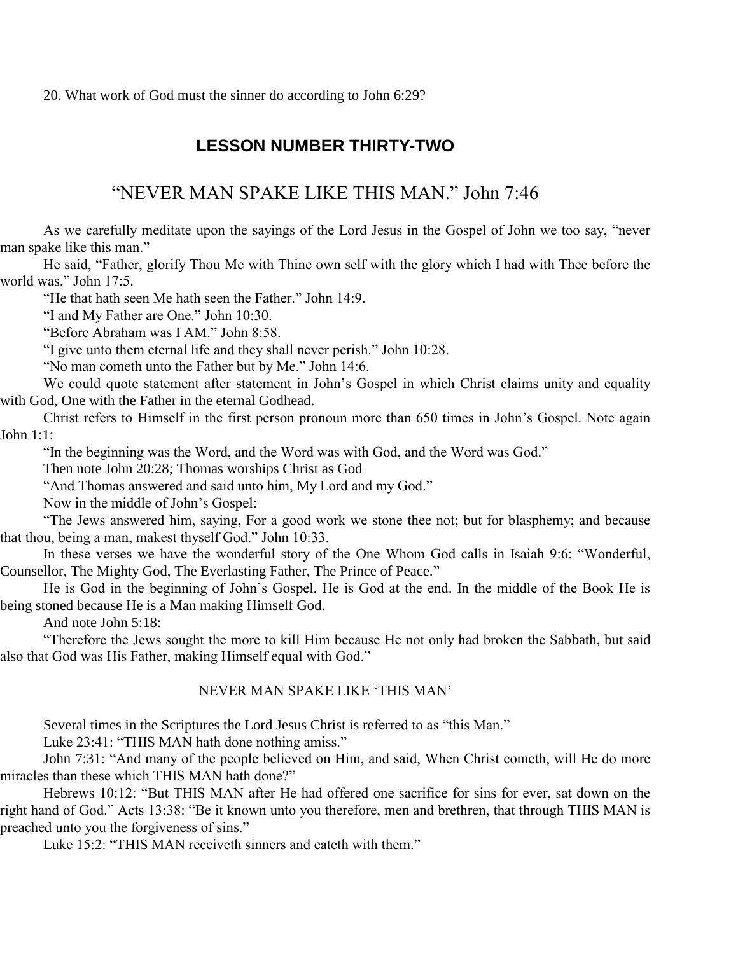20. What work of God must the sinner do according to John 6:29?

# **LESSON NUMBER THIRTY-TWO**

# "NEVER MAN SPAKE LIKE THIS MAN." John 7:46

As we carefully meditate upon the sayings of the Lord Jesus in the Gospel of John we too say, "never man spake like this man."

He said, "Father, glorify Thou Me with Thine own self with the glory which I had with Thee before the world was." John 17:5.

"He that hath seen Me hath seen the Father." John 14:9.

"I and My Father are One." John 10:30.

"Before Abraham was I AM." John 8:58.

"I give unto them eternal life and they shall never perish." John 10:28.

"No man cometh unto the Father but by Me." John 14:6.

We could quote statement after statement in John's Gospel in which Christ claims unity and equality with God, One with the Father in the eternal Godhead.

Christ refers to Himself in the first person pronoun more than 650 times in John's Gospel. Note again John 1:1:

"In the beginning was the Word, and the Word was with God, and the Word was God."

Then note John 20:28; Thomas worships Christ as God

"And Thomas answered and said unto him, My Lord and my God."

Now in the middle of John's Gospel:

"The Jews answered him, saying, For a good work we stone thee not; but for blasphemy; and because that thou, being a man, makest thyself God." John 10:33.

In these verses we have the wonderful story of the One Whom God calls in Isaiah 9:6: "Wonderful, Counsellor, The Mighty God, The Everlasting Father, The Prince of Peace."

He is God in the beginning of John's Gospel. He is God at the end. In the middle of the Book He is being stoned because He is a Man making Himself God.

And note John 5:18:

"Therefore the Jews sought the more to kill Him because He not only had broken the Sabbath, but said also that God was His Father, making Himself equal with God."

#### NEVER MAN SPAKE LIKE 'THIS MAN'

Several times in the Scriptures the Lord Jesus Christ is referred to as "this Man."

Luke 23:41: "THIS MAN hath done nothing amiss."

John 7:31: "And many of the people believed on Him, and said, When Christ cometh, will He do more miracles than these which THIS MAN hath done?"

Hebrews 10:12: "But THIS MAN after He had offered one sacrifice for sins for ever, sat down on the right hand of God." Acts 13:38: "Be it known unto you therefore, men and brethren, that through THIS MAN is preached unto you the forgiveness of sins."

Luke 15:2: "THIS MAN receiveth sinners and eateth with them."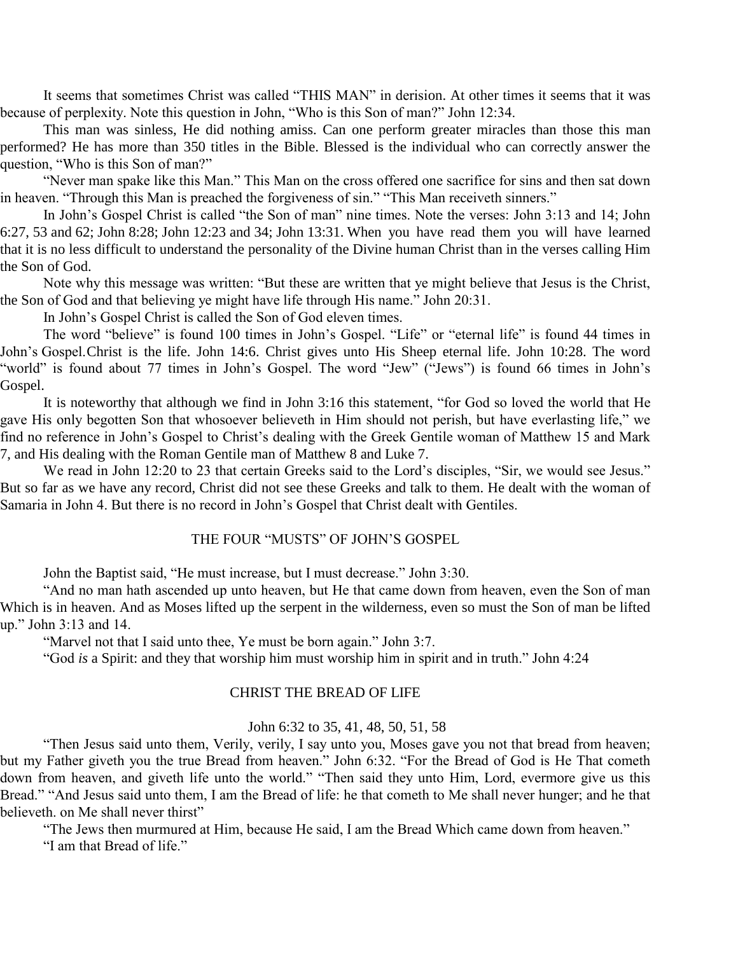It seems that sometimes Christ was called "THIS MAN" in derision. At other times it seems that it was because of perplexity. Note this question in John, "Who is this Son of man?" John 12:34.

This man was sinless, He did nothing amiss. Can one perform greater miracles than those this man performed? He has more than 350 titles in the Bible. Blessed is the individual who can correctly answer the question, "Who is this Son of man?"

"Never man spake like this Man." This Man on the cross offered one sacrifice for sins and then sat down in heaven. "Through this Man is preached the forgiveness of sin." "This Man receiveth sinners."

In John's Gospel Christ is called "the Son of man" nine times. Note the verses: John 3:13 and 14; John 6:27, 53 and 62; John 8:28; John 12:23 and 34; John 13:31. When you have read them you will have learned that it is no less difficult to understand the personality of the Divine human Christ than in the verses calling Him the Son of God.

Note why this message was written: "But these are written that ye might believe that Jesus is the Christ, the Son of God and that believing ye might have life through His name." John 20:31.

In John's Gospel Christ is called the Son of God eleven times.

The word "believe" is found 100 times in John's Gospel. "Life" or "eternal life" is found 44 times in John's Gospel.Christ is the life. John 14:6. Christ gives unto His Sheep eternal life. John 10:28. The word "world" is found about 77 times in John's Gospel. The word "Jew" ("Jews") is found 66 times in John's Gospel.

It is noteworthy that although we find in John 3:16 this statement, "for God so loved the world that He gave His only begotten Son that whosoever believeth in Him should not perish, but have everlasting life," we find no reference in John's Gospel to Christ's dealing with the Greek Gentile woman of Matthew 15 and Mark 7, and His dealing with the Roman Gentile man of Matthew 8 and Luke 7.

We read in John 12:20 to 23 that certain Greeks said to the Lord's disciples, "Sir, we would see Jesus." But so far as we have any record, Christ did not see these Greeks and talk to them. He dealt with the woman of Samaria in John 4. But there is no record in John's Gospel that Christ dealt with Gentiles.

#### THE FOUR "MUSTS" OF JOHN'S GOSPEL

John the Baptist said, "He must increase, but I must decrease." John 3:30.

"And no man hath ascended up unto heaven, but He that came down from heaven, even the Son of man Which is in heaven. And as Moses lifted up the serpent in the wilderness, even so must the Son of man be lifted up." John 3:13 and 14.

"Marvel not that I said unto thee, Ye must be born again." John 3:7.

"God *is* a Spirit: and they that worship him must worship him in spirit and in truth." John 4:24

#### CHRIST THE BREAD OF LIFE

#### John 6:32 to 35, 41, 48, 50, 51, 58

"Then Jesus said unto them, Verily, verily, I say unto you, Moses gave you not that bread from heaven; but my Father giveth you the true Bread from heaven." John 6:32. "For the Bread of God is He That cometh down from heaven, and giveth life unto the world." "Then said they unto Him, Lord, evermore give us this Bread." "And Jesus said unto them, I am the Bread of life: he that cometh to Me shall never hunger; and he that believeth. on Me shall never thirst"

"The Jews then murmured at Him, because He said, I am the Bread Which came down from heaven." "I am that Bread of life."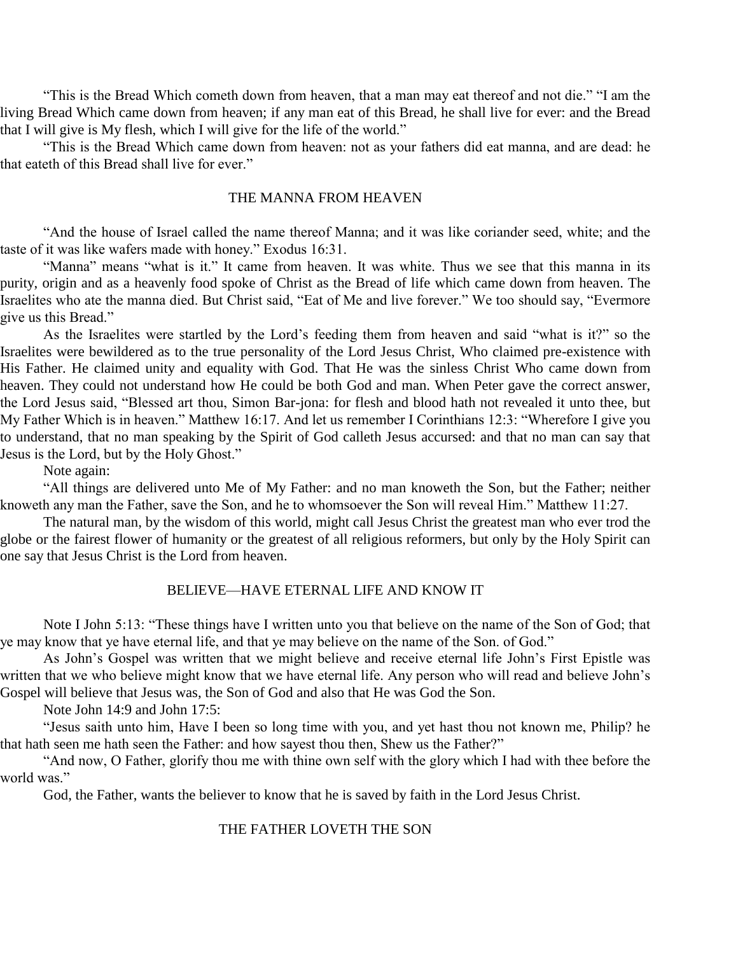"This is the Bread Which cometh down from heaven, that a man may eat thereof and not die." "I am the living Bread Which came down from heaven; if any man eat of this Bread, he shall live for ever: and the Bread that I will give is My flesh, which I will give for the life of the world."

"This is the Bread Which came down from heaven: not as your fathers did eat manna, and are dead: he that eateth of this Bread shall live for ever."

#### THE MANNA FROM HEAVEN

"And the house of Israel called the name thereof Manna; and it was like coriander seed, white; and the taste of it was like wafers made with honey." Exodus 16:31.

"Manna" means "what is it." It came from heaven. It was white. Thus we see that this manna in its purity, origin and as a heavenly food spoke of Christ as the Bread of life which came down from heaven. The Israelites who ate the manna died. But Christ said, "Eat of Me and live forever." We too should say, "Evermore give us this Bread."

As the Israelites were startled by the Lord's feeding them from heaven and said "what is it?" so the Israelites were bewildered as to the true personality of the Lord Jesus Christ, Who claimed pre-existence with His Father. He claimed unity and equality with God. That He was the sinless Christ Who came down from heaven. They could not understand how He could be both God and man. When Peter gave the correct answer, the Lord Jesus said, "Blessed art thou, Simon Bar-jona: for flesh and blood hath not revealed it unto thee, but My Father Which is in heaven." Matthew 16:17. And let us remember I Corinthians 12:3: "Wherefore I give you to understand, that no man speaking by the Spirit of God calleth Jesus accursed: and that no man can say that Jesus is the Lord, but by the Holy Ghost."

Note again:

"All things are delivered unto Me of My Father: and no man knoweth the Son, but the Father; neither knoweth any man the Father, save the Son, and he to whomsoever the Son will reveal Him." Matthew 11:27.

The natural man, by the wisdom of this world, might call Jesus Christ the greatest man who ever trod the globe or the fairest flower of humanity or the greatest of all religious reformers, but only by the Holy Spirit can one say that Jesus Christ is the Lord from heaven.

#### BELIEVE—HAVE ETERNAL LIFE AND KNOW IT

Note I John 5:13: "These things have I written unto you that believe on the name of the Son of God; that ye may know that ye have eternal life, and that ye may believe on the name of the Son. of God."

As John's Gospel was written that we might believe and receive eternal life John's First Epistle was written that we who believe might know that we have eternal life. Any person who will read and believe John's Gospel will believe that Jesus was, the Son of God and also that He was God the Son.

Note John 14:9 and John 17:5:

"Jesus saith unto him, Have I been so long time with you, and yet hast thou not known me, Philip? he that hath seen me hath seen the Father: and how sayest thou then, Shew us the Father?"

"And now, O Father, glorify thou me with thine own self with the glory which I had with thee before the world was."

God, the Father, wants the believer to know that he is saved by faith in the Lord Jesus Christ.

#### THE FATHER LOVETH THE SON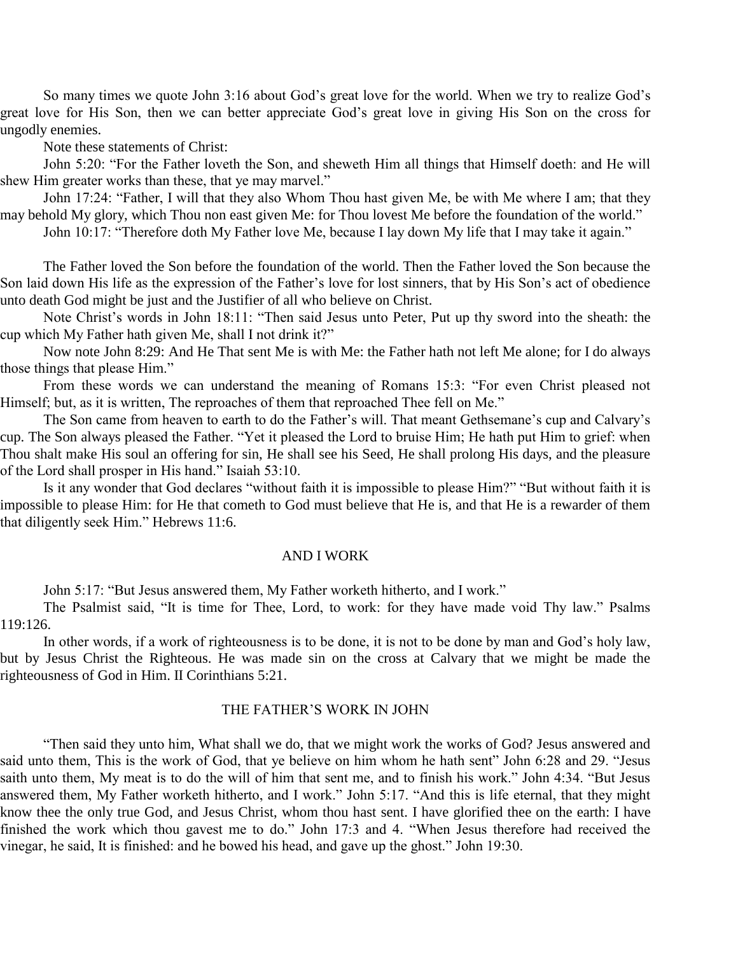So many times we quote John 3:16 about God's great love for the world. When we try to realize God's great love for His Son, then we can better appreciate God's great love in giving His Son on the cross for ungodly enemies.

Note these statements of Christ:

John 5:20: "For the Father loveth the Son, and sheweth Him all things that Himself doeth: and He will shew Him greater works than these, that ye may marvel."

John 17:24: "Father, I will that they also Whom Thou hast given Me, be with Me where I am; that they may behold My glory, which Thou non east given Me: for Thou lovest Me before the foundation of the world." John 10:17: "Therefore doth My Father love Me, because I lay down My life that I may take it again."

The Father loved the Son before the foundation of the world. Then the Father loved the Son because the Son laid down His life as the expression of the Father's love for lost sinners, that by His Son's act of obedience unto death God might be just and the Justifier of all who believe on Christ.

Note Christ's words in John 18:11: "Then said Jesus unto Peter, Put up thy sword into the sheath: the cup which My Father hath given Me, shall I not drink it?"

Now note John 8:29: And He That sent Me is with Me: the Father hath not left Me alone; for I do always those things that please Him."

From these words we can understand the meaning of Romans 15:3: "For even Christ pleased not Himself; but, as it is written, The reproaches of them that reproached Thee fell on Me."

The Son came from heaven to earth to do the Father's will. That meant Gethsemane's cup and Calvary's cup. The Son always pleased the Father. "Yet it pleased the Lord to bruise Him; He hath put Him to grief: when Thou shalt make His soul an offering for sin, He shall see his Seed, He shall prolong His days, and the pleasure of the Lord shall prosper in His hand." Isaiah 53:10.

Is it any wonder that God declares "without faith it is impossible to please Him?" "But without faith it is impossible to please Him: for He that cometh to God must believe that He is, and that He is a rewarder of them that diligently seek Him." Hebrews 11:6.

#### AND I WORK

John 5:17: "But Jesus answered them, My Father worketh hitherto, and I work."

The Psalmist said, "It is time for Thee, Lord, to work: for they have made void Thy law." Psalms 119:126.

In other words, if a work of righteousness is to be done, it is not to be done by man and God's holy law, but by Jesus Christ the Righteous. He was made sin on the cross at Calvary that we might be made the righteousness of God in Him. II Corinthians 5:21.

#### THE FATHER'S WORK IN JOHN

"Then said they unto him, What shall we do, that we might work the works of God? Jesus answered and said unto them, This is the work of God, that ye believe on him whom he hath sent" John 6:28 and 29. "Jesus saith unto them, My meat is to do the will of him that sent me, and to finish his work." John 4:34. "But Jesus answered them, My Father worketh hitherto, and I work." John 5:17. "And this is life eternal, that they might know thee the only true God, and Jesus Christ, whom thou hast sent. I have glorified thee on the earth: I have finished the work which thou gavest me to do." John 17:3 and 4. "When Jesus therefore had received the vinegar, he said, It is finished: and he bowed his head, and gave up the ghost." John 19:30.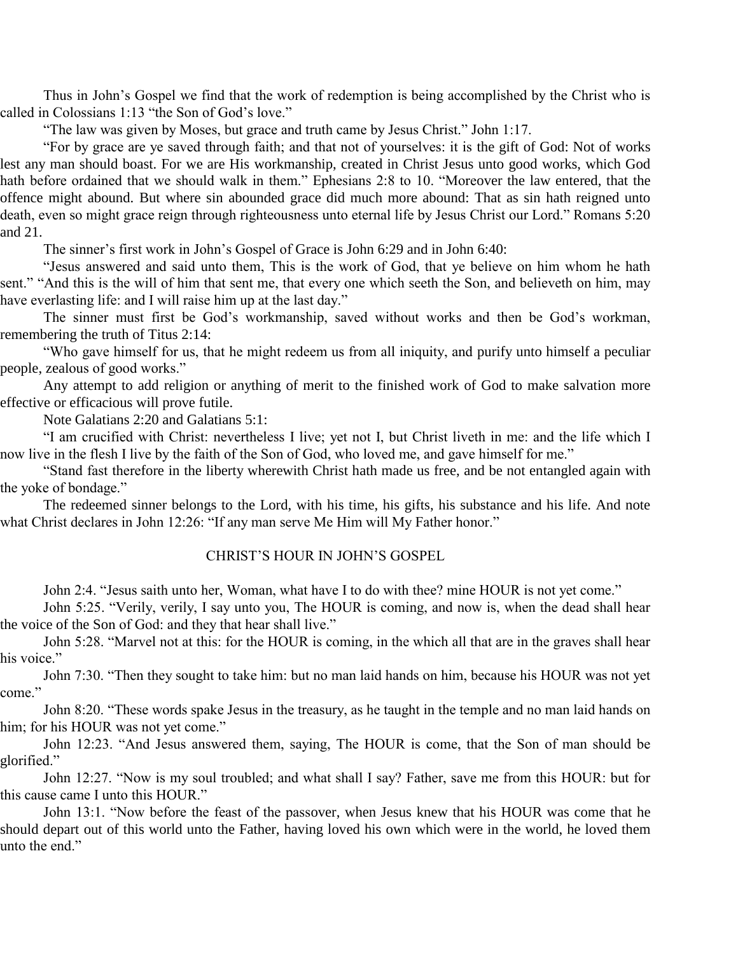Thus in John's Gospel we find that the work of redemption is being accomplished by the Christ who is called in Colossians 1:13 "the Son of God's love."

"The law was given by Moses, but grace and truth came by Jesus Christ." John 1:17.

"For by grace are ye saved through faith; and that not of yourselves: it is the gift of God: Not of works lest any man should boast. For we are His workmanship, created in Christ Jesus unto good works, which God hath before ordained that we should walk in them." Ephesians 2:8 to 10. "Moreover the law entered, that the offence might abound. But where sin abounded grace did much more abound: That as sin hath reigned unto death, even so might grace reign through righteousness unto eternal life by Jesus Christ our Lord." Romans 5:20 and 21.

The sinner's first work in John's Gospel of Grace is John 6:29 and in John 6:40:

"Jesus answered and said unto them, This is the work of God, that ye believe on him whom he hath sent." "And this is the will of him that sent me, that every one which seeth the Son, and believeth on him, may have everlasting life: and I will raise him up at the last day."

The sinner must first be God's workmanship, saved without works and then be God's workman, remembering the truth of Titus 2:14:

"Who gave himself for us, that he might redeem us from all iniquity, and purify unto himself a peculiar people, zealous of good works."

Any attempt to add religion or anything of merit to the finished work of God to make salvation more effective or efficacious will prove futile.

Note Galatians 2:20 and Galatians 5:1:

"I am crucified with Christ: nevertheless I live; yet not I, but Christ liveth in me: and the life which I now live in the flesh I live by the faith of the Son of God, who loved me, and gave himself for me."

"Stand fast therefore in the liberty wherewith Christ hath made us free, and be not entangled again with the yoke of bondage."

The redeemed sinner belongs to the Lord, with his time, his gifts, his substance and his life. And note what Christ declares in John 12:26: "If any man serve Me Him will My Father honor."

#### CHRIST'S HOUR IN JOHN'S GOSPEL

John 2:4. "Jesus saith unto her, Woman, what have I to do with thee? mine HOUR is not yet come."

John 5:25. "Verily, verily, I say unto you, The HOUR is coming, and now is, when the dead shall hear the voice of the Son of God: and they that hear shall live."

John 5:28. "Marvel not at this: for the HOUR is coming, in the which all that are in the graves shall hear his voice."

John 7:30. "Then they sought to take him: but no man laid hands on him, because his HOUR was not yet come."

John 8:20. "These words spake Jesus in the treasury, as he taught in the temple and no man laid hands on him; for his HOUR was not yet come."

John 12:23. "And Jesus answered them, saying, The HOUR is come, that the Son of man should be glorified."

John 12:27. "Now is my soul troubled; and what shall I say? Father, save me from this HOUR: but for this cause came I unto this HOUR."

John 13:1. "Now before the feast of the passover, when Jesus knew that his HOUR was come that he should depart out of this world unto the Father, having loved his own which were in the world, he loved them unto the end."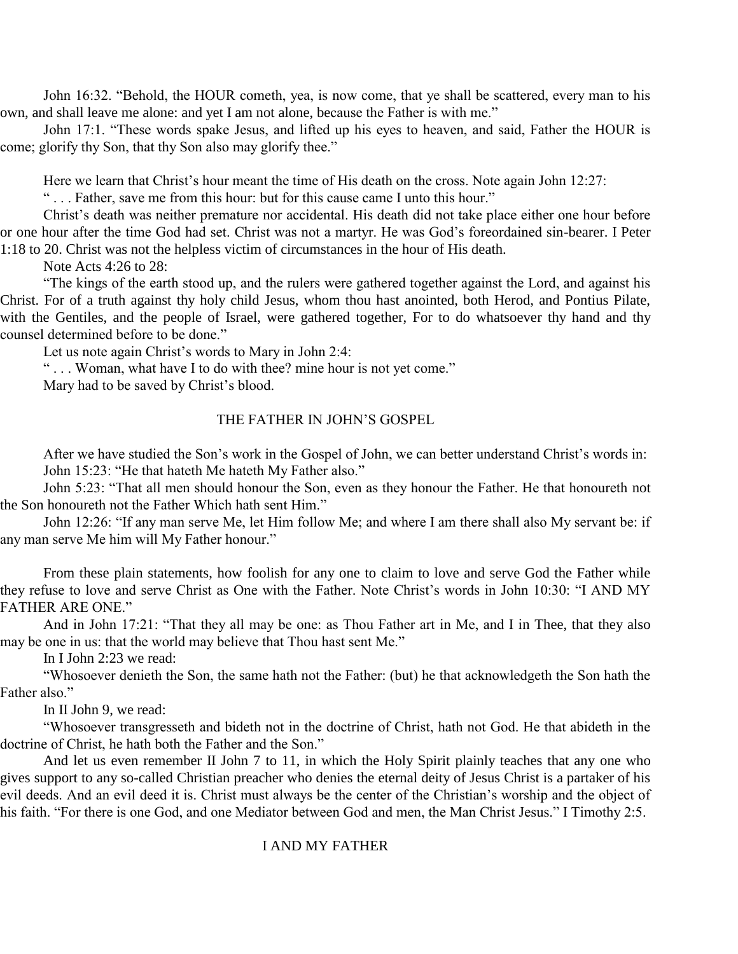John 16:32. "Behold, the HOUR cometh, yea, is now come, that ye shall be scattered, every man to his own, and shall leave me alone: and yet I am not alone, because the Father is with me."

John 17:1. "These words spake Jesus, and lifted up his eyes to heaven, and said, Father the HOUR is come; glorify thy Son, that thy Son also may glorify thee."

Here we learn that Christ's hour meant the time of His death on the cross. Note again John 12:27:

" . . . Father, save me from this hour: but for this cause came I unto this hour."

Christ's death was neither premature nor accidental. His death did not take place either one hour before or one hour after the time God had set. Christ was not a martyr. He was God's foreordained sin-bearer. I Peter 1:18 to 20. Christ was not the helpless victim of circumstances in the hour of His death.

Note Acts 4:26 to 28:

"The kings of the earth stood up, and the rulers were gathered together against the Lord, and against his Christ. For of a truth against thy holy child Jesus, whom thou hast anointed, both Herod, and Pontius Pilate, with the Gentiles, and the people of Israel, were gathered together, For to do whatsoever thy hand and thy counsel determined before to be done."

Let us note again Christ's words to Mary in John 2:4:

" . . . Woman, what have I to do with thee? mine hour is not yet come."

Mary had to be saved by Christ's blood.

#### THE FATHER IN JOHN'S GOSPEL

After we have studied the Son's work in the Gospel of John, we can better understand Christ's words in: John 15:23: "He that hateth Me hateth My Father also."

John 5:23: "That all men should honour the Son, even as they honour the Father. He that honoureth not the Son honoureth not the Father Which hath sent Him."

John 12:26: "If any man serve Me, let Him follow Me; and where I am there shall also My servant be: if any man serve Me him will My Father honour."

From these plain statements, how foolish for any one to claim to love and serve God the Father while they refuse to love and serve Christ as One with the Father. Note Christ's words in John 10:30: "I AND MY FATHER ARE ONE."

And in John 17:21: "That they all may be one: as Thou Father art in Me, and I in Thee, that they also may be one in us: that the world may believe that Thou hast sent Me."

In I John 2:23 we read:

"Whosoever denieth the Son, the same hath not the Father: (but) he that acknowledgeth the Son hath the Father also."

In II John 9, we read:

"Whosoever transgresseth and bideth not in the doctrine of Christ, hath not God. He that abideth in the doctrine of Christ, he hath both the Father and the Son."

And let us even remember II John 7 to 11, in which the Holy Spirit plainly teaches that any one who gives support to any so-called Christian preacher who denies the eternal deity of Jesus Christ is a partaker of his evil deeds. And an evil deed it is. Christ must always be the center of the Christian's worship and the object of his faith. "For there is one God, and one Mediator between God and men, the Man Christ Jesus." I Timothy 2:5.

#### I AND MY FATHER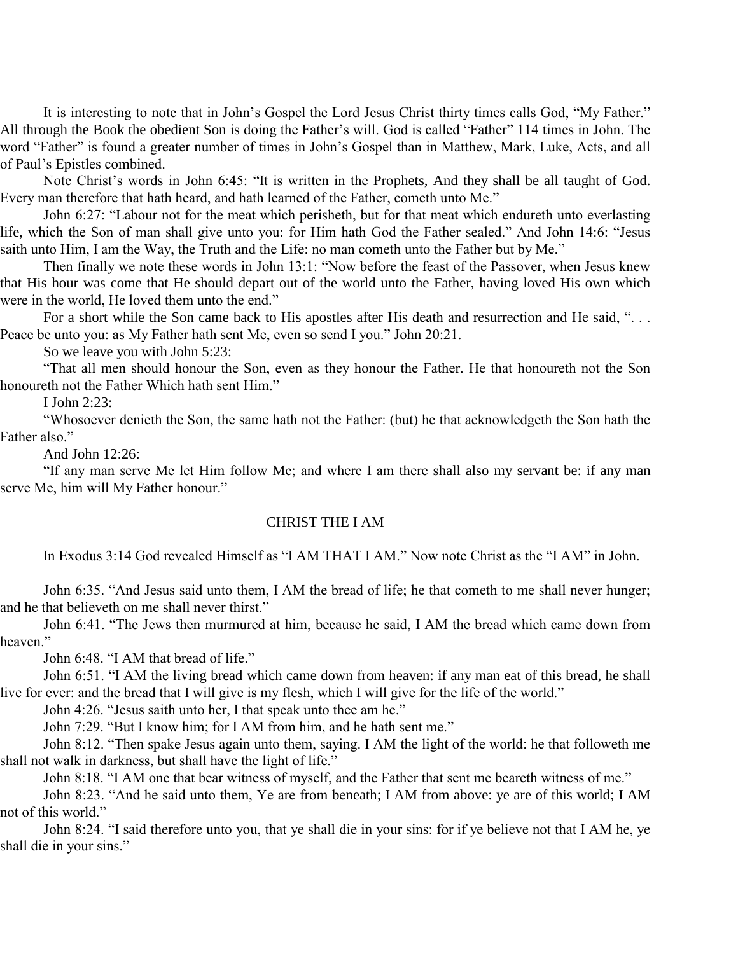It is interesting to note that in John's Gospel the Lord Jesus Christ thirty times calls God, "My Father." All through the Book the obedient Son is doing the Father's will. God is called "Father" 114 times in John. The word "Father" is found a greater number of times in John's Gospel than in Matthew, Mark, Luke, Acts, and all of Paul's Epistles combined.

Note Christ's words in John 6:45: "It is written in the Prophets, And they shall be all taught of God. Every man therefore that hath heard, and hath learned of the Father, cometh unto Me."

John 6:27: "Labour not for the meat which perisheth, but for that meat which endureth unto everlasting life, which the Son of man shall give unto you: for Him hath God the Father sealed." And John 14:6: "Jesus saith unto Him, I am the Way, the Truth and the Life: no man cometh unto the Father but by Me."

Then finally we note these words in John 13:1: "Now before the feast of the Passover, when Jesus knew that His hour was come that He should depart out of the world unto the Father, having loved His own which were in the world, He loved them unto the end."

For a short while the Son came back to His apostles after His death and resurrection and He said, "... Peace be unto you: as My Father hath sent Me, even so send I you." John 20:21.

So we leave you with John 5:23:

"That all men should honour the Son, even as they honour the Father. He that honoureth not the Son honoureth not the Father Which hath sent Him."

I John 2:23:

"Whosoever denieth the Son, the same hath not the Father: (but) he that acknowledgeth the Son hath the Father also."

And John 12:26:

"If any man serve Me let Him follow Me; and where I am there shall also my servant be: if any man serve Me, him will My Father honour."

#### CHRIST THE I AM

In Exodus 3:14 God revealed Himself as "I AM THAT I AM." Now note Christ as the "I AM" in John.

John 6:35. "And Jesus said unto them, I AM the bread of life; he that cometh to me shall never hunger; and he that believeth on me shall never thirst."

John 6:41. "The Jews then murmured at him, because he said, I AM the bread which came down from heaven."

John 6:48. "I AM that bread of life."

John 6:51. "I AM the living bread which came down from heaven: if any man eat of this bread, he shall live for ever: and the bread that I will give is my flesh, which I will give for the life of the world."

John 4:26. "Jesus saith unto her, I that speak unto thee am he."

John 7:29. "But I know him; for I AM from him, and he hath sent me."

John 8:12. "Then spake Jesus again unto them, saying. I AM the light of the world: he that followeth me shall not walk in darkness, but shall have the light of life."

John 8:18. "I AM one that bear witness of myself, and the Father that sent me beareth witness of me."

John 8:23. "And he said unto them, Ye are from beneath; I AM from above: ye are of this world; I AM not of this world."

John 8:24. "I said therefore unto you, that ye shall die in your sins: for if ye believe not that I AM he, ye shall die in your sins."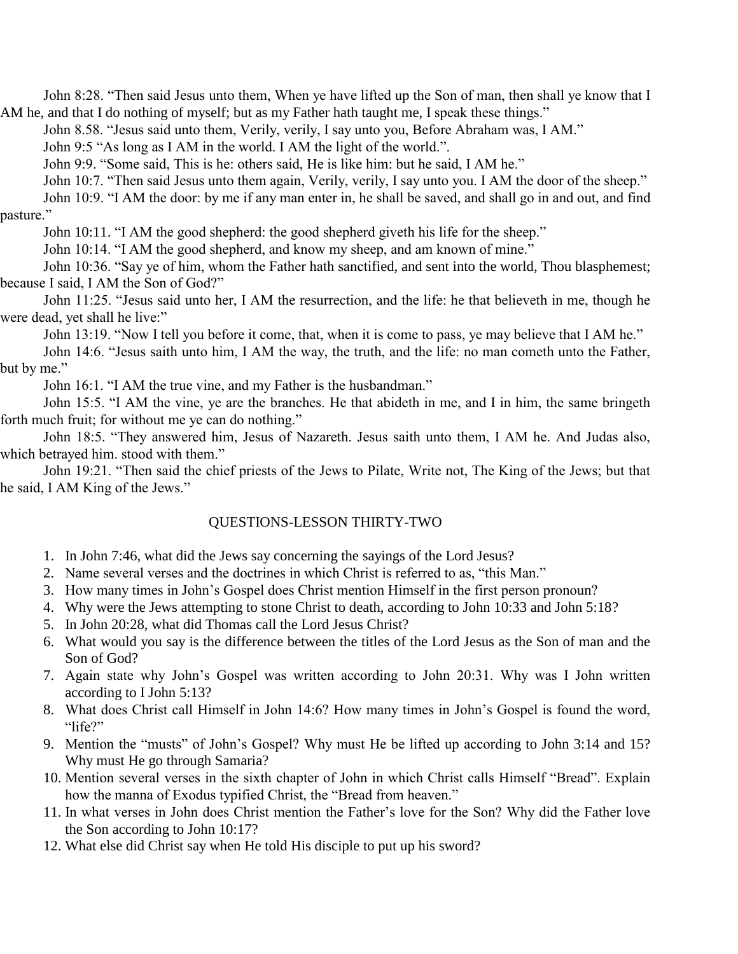John 8:28. "Then said Jesus unto them, When ye have lifted up the Son of man, then shall ye know that I AM he, and that I do nothing of myself; but as my Father hath taught me, I speak these things."

John 8.58. "Jesus said unto them, Verily, verily, I say unto you, Before Abraham was, I AM."

John 9:5 "As long as I AM in the world. I AM the light of the world.".

John 9:9. "Some said, This is he: others said, He is like him: but he said, I AM he."

John 10:7. "Then said Jesus unto them again, Verily, verily, I say unto you. I AM the door of the sheep."

John 10:9. "I AM the door: by me if any man enter in, he shall be saved, and shall go in and out, and find pasture."

John 10:11. "I AM the good shepherd: the good shepherd giveth his life for the sheep."

John 10:14. "I AM the good shepherd, and know my sheep, and am known of mine."

John 10:36. "Say ye of him, whom the Father hath sanctified, and sent into the world, Thou blasphemest; because I said, I AM the Son of God?"

John 11:25. "Jesus said unto her, I AM the resurrection, and the life: he that believeth in me, though he were dead, yet shall he live:"

John 13:19. "Now I tell you before it come, that, when it is come to pass, ye may believe that I AM he."

John 14:6. "Jesus saith unto him, I AM the way, the truth, and the life: no man cometh unto the Father, but by me."

John 16:1. "I AM the true vine, and my Father is the husbandman."

John 15:5. "I AM the vine, ye are the branches. He that abideth in me, and I in him, the same bringeth forth much fruit; for without me ye can do nothing."

John 18:5. "They answered him, Jesus of Nazareth. Jesus saith unto them, I AM he. And Judas also, which betrayed him. stood with them."

John 19:21. "Then said the chief priests of the Jews to Pilate, Write not, The King of the Jews; but that he said, I AM King of the Jews."

#### QUESTIONS-LESSON THIRTY-TWO

- 1. In John 7:46, what did the Jews say concerning the sayings of the Lord Jesus?
- 2. Name several verses and the doctrines in which Christ is referred to as, "this Man."
- 3. How many times in John's Gospel does Christ mention Himself in the first person pronoun?
- 4. Why were the Jews attempting to stone Christ to death, according to John 10:33 and John 5:18?
- 5. In John 20:28, what did Thomas call the Lord Jesus Christ?
- 6. What would you say is the difference between the titles of the Lord Jesus as the Son of man and the Son of God?
- 7. Again state why John's Gospel was written according to John 20:31. Why was I John written according to I John 5:13?
- 8. What does Christ call Himself in John 14:6? How many times in John's Gospel is found the word, "life?"
- 9. Mention the "musts" of John's Gospel? Why must He be lifted up according to John 3:14 and 15? Why must He go through Samaria?
- 10. Mention several verses in the sixth chapter of John in which Christ calls Himself "Bread". Explain how the manna of Exodus typified Christ, the "Bread from heaven."
- 11. In what verses in John does Christ mention the Father's love for the Son? Why did the Father love the Son according to John 10:17?
- 12. What else did Christ say when He told His disciple to put up his sword?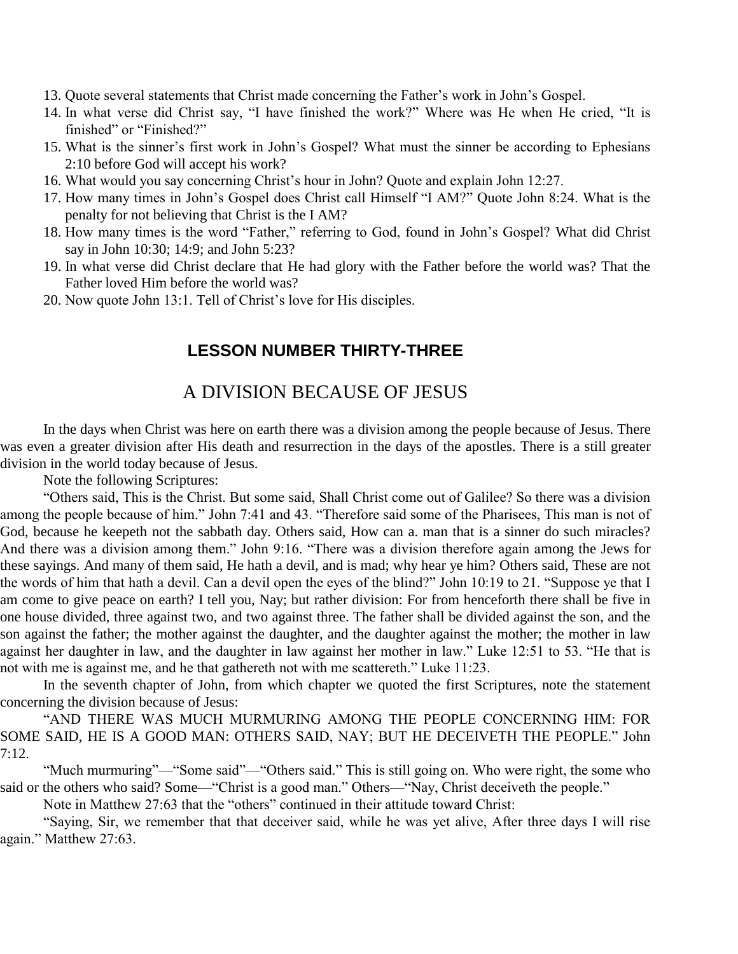- 13. Quote several statements that Christ made concerning the Father's work in John's Gospel.
- 14. In what verse did Christ say, "I have finished the work?" Where was He when He cried, "It is finished" or "Finished?"
- 15. What is the sinner's first work in John's Gospel? What must the sinner be according to Ephesians 2:10 before God will accept his work?
- 16. What would you say concerning Christ's hour in John? Quote and explain John 12:27.
- 17. How many times in John's Gospel does Christ call Himself "I AM?" Quote John 8:24. What is the penalty for not believing that Christ is the I AM?
- 18. How many times is the word "Father," referring to God, found in John's Gospel? What did Christ say in John 10:30; 14:9; and John 5:23?
- 19. In what verse did Christ declare that He had glory with the Father before the world was? That the Father loved Him before the world was?
- 20. Now quote John 13:1. Tell of Christ's love for His disciples.

### **LESSON NUMBER THIRTY-THREE**

# A DIVISION BECAUSE OF JESUS

In the days when Christ was here on earth there was a division among the people because of Jesus. There was even a greater division after His death and resurrection in the days of the apostles. There is a still greater division in the world today because of Jesus.

Note the following Scriptures:

"Others said, This is the Christ. But some said, Shall Christ come out of Galilee? So there was a division among the people because of him." John 7:41 and 43. "Therefore said some of the Pharisees, This man is not of God, because he keepeth not the sabbath day. Others said, How can a. man that is a sinner do such miracles? And there was a division among them." John 9:16. "There was a division therefore again among the Jews for these sayings. And many of them said, He hath a devil, and is mad; why hear ye him? Others said, These are not the words of him that hath a devil. Can a devil open the eyes of the blind?" John 10:19 to 21. "Suppose ye that I am come to give peace on earth? I tell you, Nay; but rather division: For from henceforth there shall be five in one house divided, three against two, and two against three. The father shall be divided against the son, and the son against the father; the mother against the daughter, and the daughter against the mother; the mother in law against her daughter in law, and the daughter in law against her mother in law." Luke 12:51 to 53. "He that is not with me is against me, and he that gathereth not with me scattereth." Luke 11:23.

In the seventh chapter of John, from which chapter we quoted the first Scriptures, note the statement concerning the division because of Jesus:

"AND THERE WAS MUCH MURMURING AMONG THE PEOPLE CONCERNING HIM: FOR SOME SAID, HE IS A GOOD MAN: OTHERS SAID, NAY; BUT HE DECEIVETH THE PEOPLE." John 7:12.

"Much murmuring"—"Some said"—"Others said." This is still going on. Who were right, the some who said or the others who said? Some—"Christ is a good man." Others—"Nay, Christ deceiveth the people."

Note in Matthew 27:63 that the "others" continued in their attitude toward Christ:

"Saying, Sir, we remember that that deceiver said, while he was yet alive, After three days I will rise again." Matthew 27:63.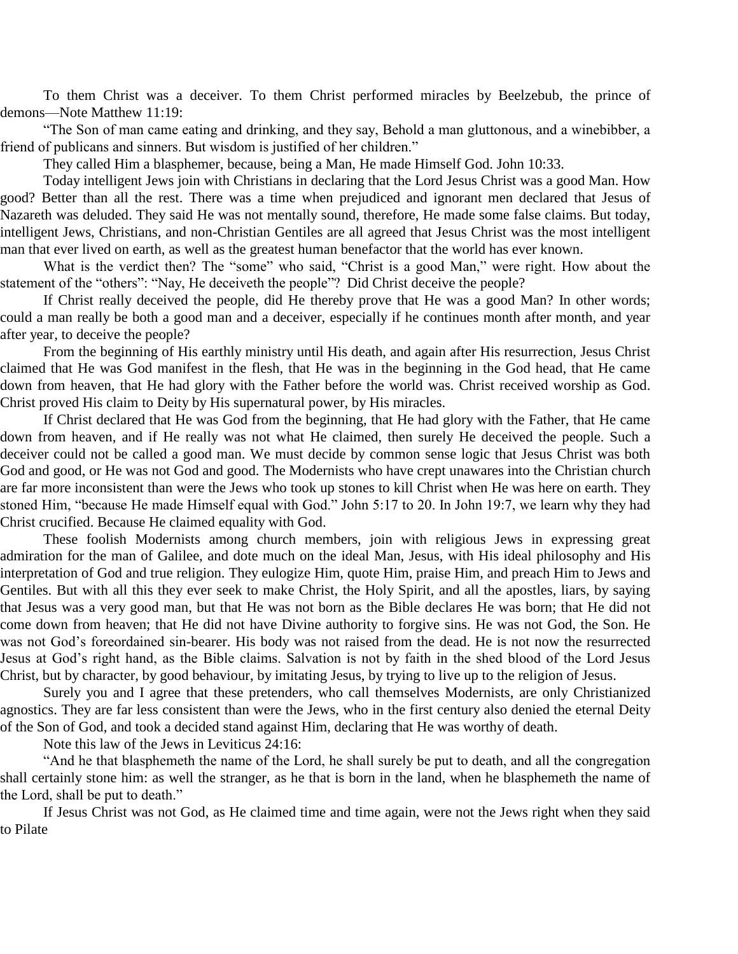To them Christ was a deceiver. To them Christ performed miracles by Beelzebub, the prince of demons—Note Matthew 11:19:

"The Son of man came eating and drinking, and they say, Behold a man gluttonous, and a winebibber, a friend of publicans and sinners. But wisdom is justified of her children."

They called Him a blasphemer, because, being a Man, He made Himself God. John 10:33.

Today intelligent Jews join with Christians in declaring that the Lord Jesus Christ was a good Man. How good? Better than all the rest. There was a time when prejudiced and ignorant men declared that Jesus of Nazareth was deluded. They said He was not mentally sound, therefore, He made some false claims. But today, intelligent Jews, Christians, and non-Christian Gentiles are all agreed that Jesus Christ was the most intelligent man that ever lived on earth, as well as the greatest human benefactor that the world has ever known.

What is the verdict then? The "some" who said, "Christ is a good Man," were right. How about the statement of the "others": "Nay, He deceiveth the people"? Did Christ deceive the people?

If Christ really deceived the people, did He thereby prove that He was a good Man? In other words; could a man really be both a good man and a deceiver, especially if he continues month after month, and year after year, to deceive the people?

From the beginning of His earthly ministry until His death, and again after His resurrection, Jesus Christ claimed that He was God manifest in the flesh, that He was in the beginning in the God head, that He came down from heaven, that He had glory with the Father before the world was. Christ received worship as God. Christ proved His claim to Deity by His supernatural power, by His miracles.

If Christ declared that He was God from the beginning, that He had glory with the Father, that He came down from heaven, and if He really was not what He claimed, then surely He deceived the people. Such a deceiver could not be called a good man. We must decide by common sense logic that Jesus Christ was both God and good, or He was not God and good. The Modernists who have crept unawares into the Christian church are far more inconsistent than were the Jews who took up stones to kill Christ when He was here on earth. They stoned Him, "because He made Himself equal with God." John 5:17 to 20. In John 19:7, we learn why they had Christ crucified. Because He claimed equality with God.

These foolish Modernists among church members, join with religious Jews in expressing great admiration for the man of Galilee, and dote much on the ideal Man, Jesus, with His ideal philosophy and His interpretation of God and true religion. They eulogize Him, quote Him, praise Him, and preach Him to Jews and Gentiles. But with all this they ever seek to make Christ, the Holy Spirit, and all the apostles, liars, by saying that Jesus was a very good man, but that He was not born as the Bible declares He was born; that He did not come down from heaven; that He did not have Divine authority to forgive sins. He was not God, the Son. He was not God's foreordained sin-bearer. His body was not raised from the dead. He is not now the resurrected Jesus at God's right hand, as the Bible claims. Salvation is not by faith in the shed blood of the Lord Jesus Christ, but by character, by good behaviour, by imitating Jesus, by trying to live up to the religion of Jesus.

Surely you and I agree that these pretenders, who call themselves Modernists, are only Christianized agnostics. They are far less consistent than were the Jews, who in the first century also denied the eternal Deity of the Son of God, and took a decided stand against Him, declaring that He was worthy of death.

Note this law of the Jews in Leviticus 24:16:

"And he that blasphemeth the name of the Lord, he shall surely be put to death, and all the congregation shall certainly stone him: as well the stranger, as he that is born in the land, when he blasphemeth the name of the Lord, shall be put to death."

If Jesus Christ was not God, as He claimed time and time again, were not the Jews right when they said to Pilate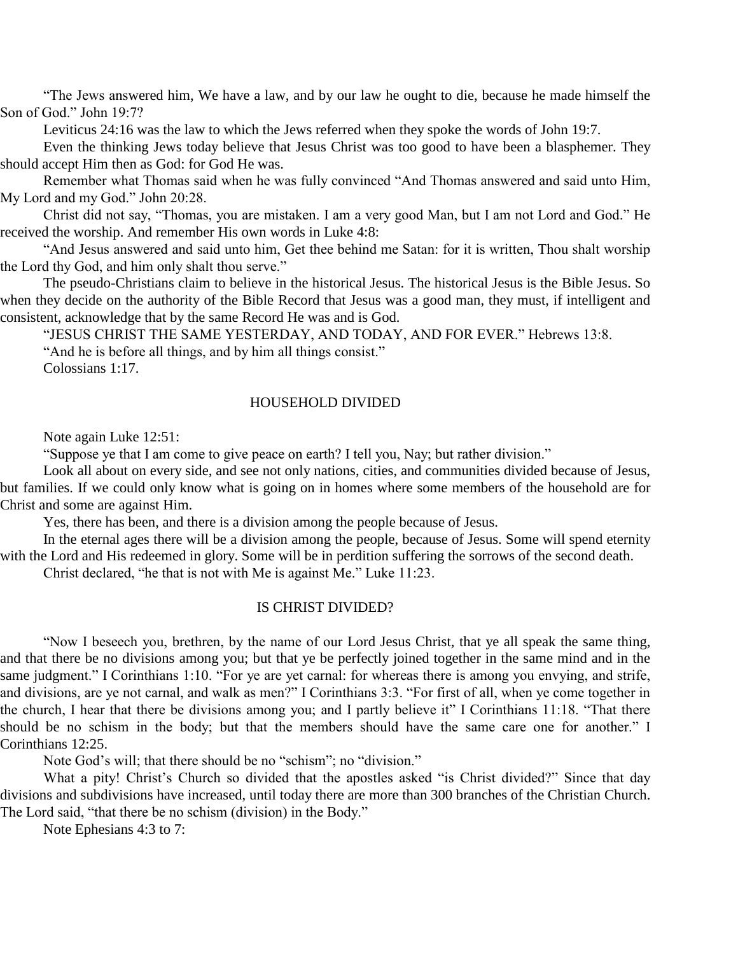"The Jews answered him, We have a law, and by our law he ought to die, because he made himself the Son of God." John 19:7?

Leviticus 24:16 was the law to which the Jews referred when they spoke the words of John 19:7.

Even the thinking Jews today believe that Jesus Christ was too good to have been a blasphemer. They should accept Him then as God: for God He was.

Remember what Thomas said when he was fully convinced "And Thomas answered and said unto Him, My Lord and my God." John 20:28.

Christ did not say, "Thomas, you are mistaken. I am a very good Man, but I am not Lord and God." He received the worship. And remember His own words in Luke 4:8:

"And Jesus answered and said unto him, Get thee behind me Satan: for it is written, Thou shalt worship the Lord thy God, and him only shalt thou serve."

The pseudo-Christians claim to believe in the historical Jesus. The historical Jesus is the Bible Jesus. So when they decide on the authority of the Bible Record that Jesus was a good man, they must, if intelligent and consistent, acknowledge that by the same Record He was and is God.

"JESUS CHRIST THE SAME YESTERDAY, AND TODAY, AND FOR EVER." Hebrews 13:8.

"And he is before all things, and by him all things consist."

Colossians 1:17.

#### HOUSEHOLD DIVIDED

Note again Luke 12:51:

"Suppose ye that I am come to give peace on earth? I tell you, Nay; but rather division."

Look all about on every side, and see not only nations, cities, and communities divided because of Jesus, but families. If we could only know what is going on in homes where some members of the household are for Christ and some are against Him.

Yes, there has been, and there is a division among the people because of Jesus.

In the eternal ages there will be a division among the people, because of Jesus. Some will spend eternity with the Lord and His redeemed in glory. Some will be in perdition suffering the sorrows of the second death.

Christ declared, "he that is not with Me is against Me." Luke 11:23.

#### IS CHRIST DIVIDED?

"Now I beseech you, brethren, by the name of our Lord Jesus Christ, that ye all speak the same thing, and that there be no divisions among you; but that ye be perfectly joined together in the same mind and in the same judgment." I Corinthians 1:10. "For ye are yet carnal: for whereas there is among you envying, and strife, and divisions, are ye not carnal, and walk as men?" I Corinthians 3:3. "For first of all, when ye come together in the church, I hear that there be divisions among you; and I partly believe it" I Corinthians 11:18. "That there should be no schism in the body; but that the members should have the same care one for another." I Corinthians 12:25.

Note God's will; that there should be no "schism"; no "division."

What a pity! Christ's Church so divided that the apostles asked "is Christ divided?" Since that day divisions and subdivisions have increased, until today there are more than 300 branches of the Christian Church. The Lord said, "that there be no schism (division) in the Body."

Note Ephesians 4:3 to 7: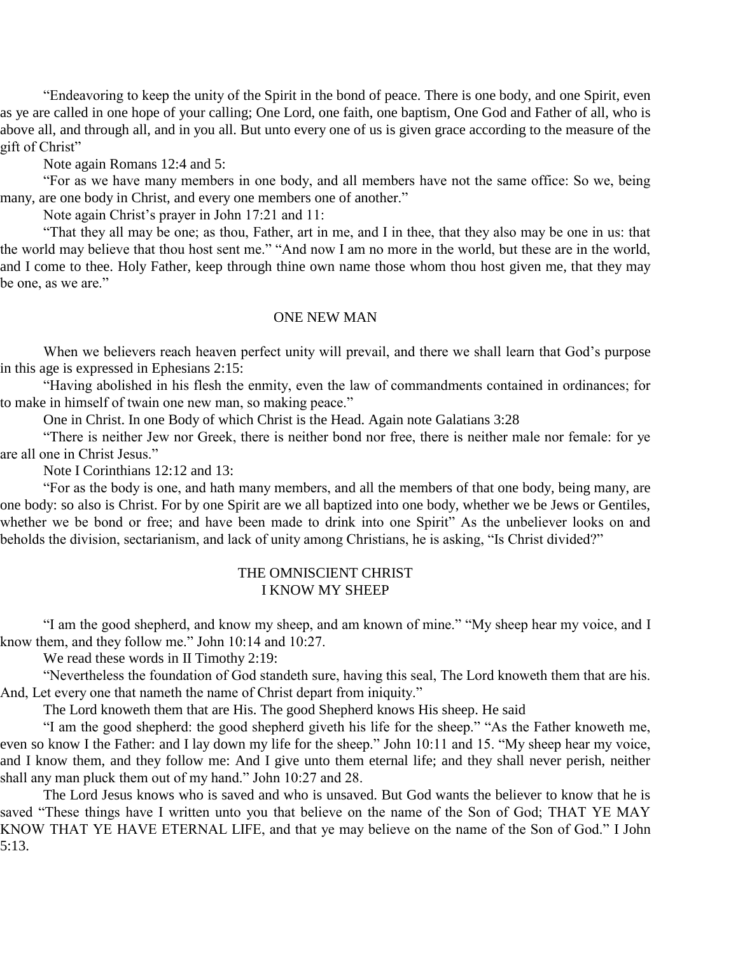"Endeavoring to keep the unity of the Spirit in the bond of peace. There is one body, and one Spirit, even as ye are called in one hope of your calling; One Lord, one faith, one baptism, One God and Father of all, who is above all, and through all, and in you all. But unto every one of us is given grace according to the measure of the gift of Christ"

Note again Romans 12:4 and 5:

"For as we have many members in one body, and all members have not the same office: So we, being many, are one body in Christ, and every one members one of another."

Note again Christ's prayer in John 17:21 and 11:

"That they all may be one; as thou, Father, art in me, and I in thee, that they also may be one in us: that the world may believe that thou host sent me." "And now I am no more in the world, but these are in the world, and I come to thee. Holy Father, keep through thine own name those whom thou host given me, that they may be one, as we are."

#### ONE NEW MAN

When we believers reach heaven perfect unity will prevail, and there we shall learn that God's purpose in this age is expressed in Ephesians 2:15:

"Having abolished in his flesh the enmity, even the law of commandments contained in ordinances; for to make in himself of twain one new man, so making peace."

One in Christ. In one Body of which Christ is the Head. Again note Galatians 3:28

"There is neither Jew nor Greek, there is neither bond nor free, there is neither male nor female: for ye are all one in Christ Jesus."

Note I Corinthians 12:12 and 13:

"For as the body is one, and hath many members, and all the members of that one body, being many, are one body: so also is Christ. For by one Spirit are we all baptized into one body, whether we be Jews or Gentiles, whether we be bond or free; and have been made to drink into one Spirit" As the unbeliever looks on and beholds the division, sectarianism, and lack of unity among Christians, he is asking, "Is Christ divided?"

#### THE OMNISCIENT CHRIST I KNOW MY SHEEP

"I am the good shepherd, and know my sheep, and am known of mine." "My sheep hear my voice, and I know them, and they follow me." John 10:14 and 10:27.

We read these words in II Timothy 2:19:

"Nevertheless the foundation of God standeth sure, having this seal, The Lord knoweth them that are his. And, Let every one that nameth the name of Christ depart from iniquity."

The Lord knoweth them that are His. The good Shepherd knows His sheep. He said

"I am the good shepherd: the good shepherd giveth his life for the sheep." "As the Father knoweth me, even so know I the Father: and I lay down my life for the sheep." John 10:11 and 15. "My sheep hear my voice, and I know them, and they follow me: And I give unto them eternal life; and they shall never perish, neither shall any man pluck them out of my hand." John 10:27 and 28.

The Lord Jesus knows who is saved and who is unsaved. But God wants the believer to know that he is saved "These things have I written unto you that believe on the name of the Son of God; THAT YE MAY KNOW THAT YE HAVE ETERNAL LIFE, and that ye may believe on the name of the Son of God." I John 5:13.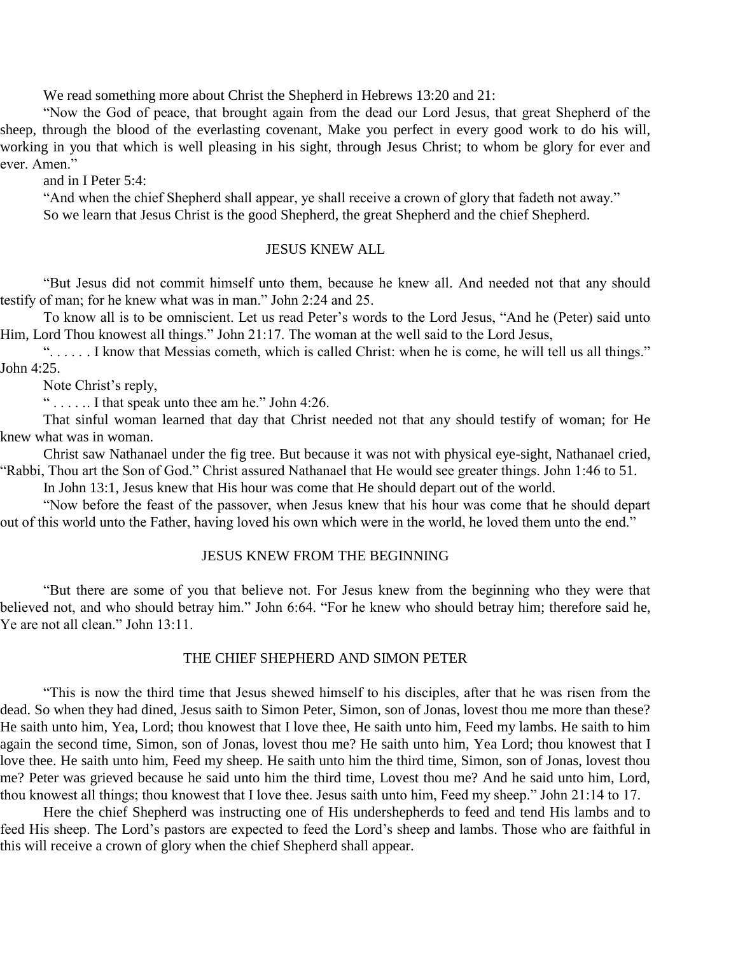We read something more about Christ the Shepherd in Hebrews 13:20 and 21:

"Now the God of peace, that brought again from the dead our Lord Jesus, that great Shepherd of the sheep, through the blood of the everlasting covenant, Make you perfect in every good work to do his will, working in you that which is well pleasing in his sight, through Jesus Christ; to whom be glory for ever and ever. Amen."

and in I Peter 5:4:

"And when the chief Shepherd shall appear, ye shall receive a crown of glory that fadeth not away." So we learn that Jesus Christ is the good Shepherd, the great Shepherd and the chief Shepherd.

#### JESUS KNEW ALL

"But Jesus did not commit himself unto them, because he knew all. And needed not that any should testify of man; for he knew what was in man." John 2:24 and 25.

To know all is to be omniscient. Let us read Peter's words to the Lord Jesus, "And he (Peter) said unto Him, Lord Thou knowest all things." John 21:17. The woman at the well said to the Lord Jesus,

". . . . . . I know that Messias cometh, which is called Christ: when he is come, he will tell us all things." John 4:25.

Note Christ's reply,

" . . . . .. I that speak unto thee am he." John 4:26.

That sinful woman learned that day that Christ needed not that any should testify of woman; for He knew what was in woman.

Christ saw Nathanael under the fig tree. But because it was not with physical eye-sight, Nathanael cried, "Rabbi, Thou art the Son of God." Christ assured Nathanael that He would see greater things. John 1:46 to 51.

In John 13:1, Jesus knew that His hour was come that He should depart out of the world.

"Now before the feast of the passover, when Jesus knew that his hour was come that he should depart out of this world unto the Father, having loved his own which were in the world, he loved them unto the end."

#### JESUS KNEW FROM THE BEGINNING

"But there are some of you that believe not. For Jesus knew from the beginning who they were that believed not, and who should betray him." John 6:64. "For he knew who should betray him; therefore said he, Ye are not all clean." John 13:11.

#### THE CHIEF SHEPHERD AND SIMON PETER

"This is now the third time that Jesus shewed himself to his disciples, after that he was risen from the dead. So when they had dined, Jesus saith to Simon Peter, Simon, son of Jonas, lovest thou me more than these? He saith unto him, Yea, Lord; thou knowest that I love thee, He saith unto him, Feed my lambs. He saith to him again the second time, Simon, son of Jonas, lovest thou me? He saith unto him, Yea Lord; thou knowest that I love thee. He saith unto him, Feed my sheep. He saith unto him the third time, Simon, son of Jonas, lovest thou me? Peter was grieved because he said unto him the third time, Lovest thou me? And he said unto him, Lord, thou knowest all things; thou knowest that I love thee. Jesus saith unto him, Feed my sheep." John 21:14 to 17.

Here the chief Shepherd was instructing one of His undershepherds to feed and tend His lambs and to feed His sheep. The Lord's pastors are expected to feed the Lord's sheep and lambs. Those who are faithful in this will receive a crown of glory when the chief Shepherd shall appear.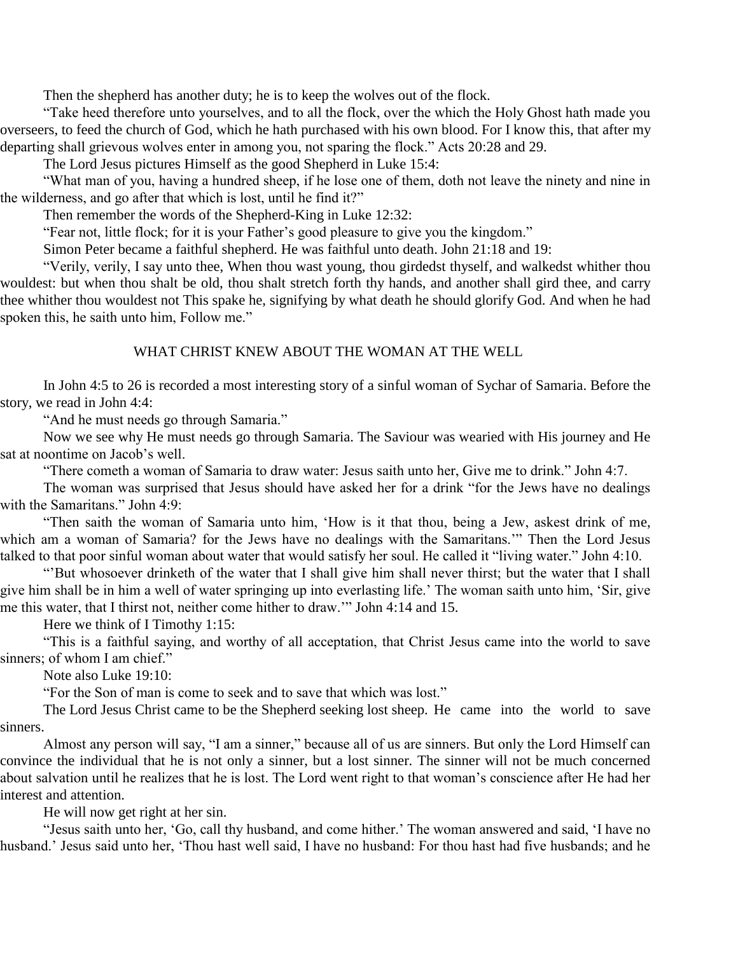Then the shepherd has another duty; he is to keep the wolves out of the flock.

"Take heed therefore unto yourselves, and to all the flock, over the which the Holy Ghost hath made you overseers, to feed the church of God, which he hath purchased with his own blood. For I know this, that after my departing shall grievous wolves enter in among you, not sparing the flock." Acts 20:28 and 29.

The Lord Jesus pictures Himself as the good Shepherd in Luke 15:4:

"What man of you, having a hundred sheep, if he lose one of them, doth not leave the ninety and nine in the wilderness, and go after that which is lost, until he find it?"

Then remember the words of the Shepherd-King in Luke 12:32:

"Fear not, little flock; for it is your Father's good pleasure to give you the kingdom."

Simon Peter became a faithful shepherd. He was faithful unto death. John 21:18 and 19:

"Verily, verily, I say unto thee, When thou wast young, thou girdedst thyself, and walkedst whither thou wouldest: but when thou shalt be old, thou shalt stretch forth thy hands, and another shall gird thee, and carry thee whither thou wouldest not This spake he, signifying by what death he should glorify God. And when he had spoken this, he saith unto him, Follow me."

#### WHAT CHRIST KNEW ABOUT THE WOMAN AT THE WELL

In John 4:5 to 26 is recorded a most interesting story of a sinful woman of Sychar of Samaria. Before the story, we read in John 4:4:

"And he must needs go through Samaria."

Now we see why He must needs go through Samaria. The Saviour was wearied with His journey and He sat at noontime on Jacob's well.

"There cometh a woman of Samaria to draw water: Jesus saith unto her, Give me to drink." John 4:7.

The woman was surprised that Jesus should have asked her for a drink "for the Jews have no dealings with the Samaritans." John 4:9:

"Then saith the woman of Samaria unto him, 'How is it that thou, being a Jew, askest drink of me, which am a woman of Samaria? for the Jews have no dealings with the Samaritans.'" Then the Lord Jesus talked to that poor sinful woman about water that would satisfy her soul. He called it "living water." John 4:10.

"'But whosoever drinketh of the water that I shall give him shall never thirst; but the water that I shall give him shall be in him a well of water springing up into everlasting life.' The woman saith unto him, 'Sir, give me this water, that I thirst not, neither come hither to draw.'" John 4:14 and 15.

Here we think of I Timothy 1:15:

"This is a faithful saying, and worthy of all acceptation, that Christ Jesus came into the world to save sinners; of whom I am chief."

Note also Luke 19:10:

"For the Son of man is come to seek and to save that which was lost."

The Lord Jesus Christ came to be the Shepherd seeking lost sheep. He came into the world to save sinners.

Almost any person will say, "I am a sinner," because all of us are sinners. But only the Lord Himself can convince the individual that he is not only a sinner, but a lost sinner. The sinner will not be much concerned about salvation until he realizes that he is lost. The Lord went right to that woman's conscience after He had her interest and attention.

He will now get right at her sin.

"Jesus saith unto her, 'Go, call thy husband, and come hither.' The woman answered and said, 'I have no husband.' Jesus said unto her, 'Thou hast well said, I have no husband: For thou hast had five husbands; and he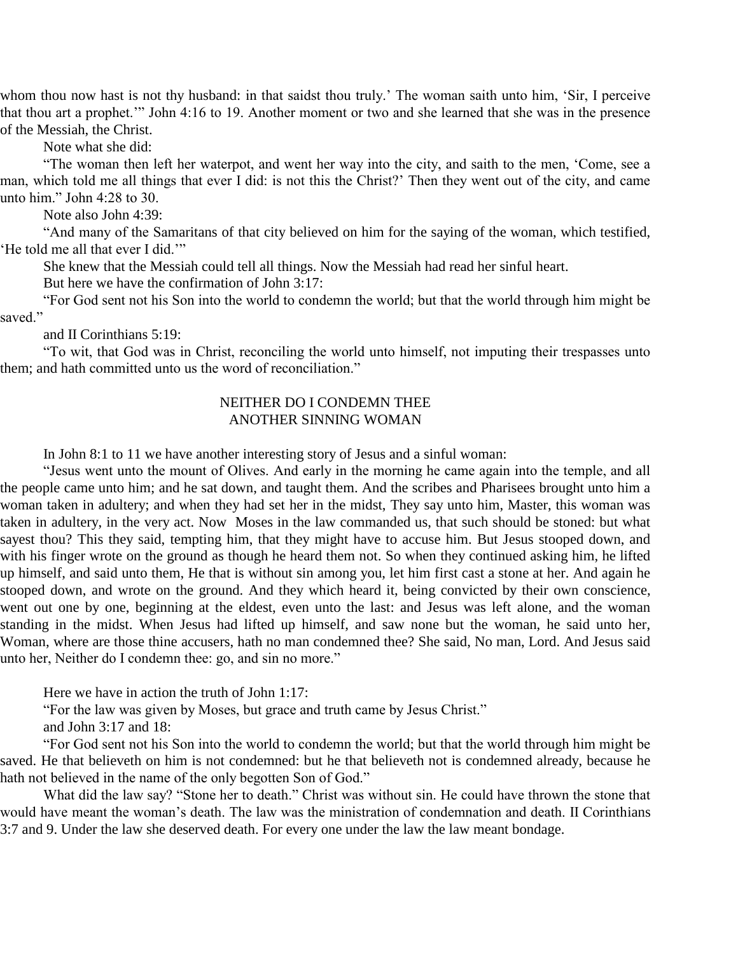whom thou now hast is not thy husband: in that saidst thou truly.' The woman saith unto him, 'Sir, I perceive that thou art a prophet.'" John 4:16 to 19. Another moment or two and she learned that she was in the presence of the Messiah, the Christ.

Note what she did:

"The woman then left her waterpot, and went her way into the city, and saith to the men, 'Come, see a man, which told me all things that ever I did: is not this the Christ?' Then they went out of the city, and came unto him." John 4:28 to 30.

Note also John 4:39:

"And many of the Samaritans of that city believed on him for the saying of the woman, which testified, 'He told me all that ever I did.'"

She knew that the Messiah could tell all things. Now the Messiah had read her sinful heart.

But here we have the confirmation of John 3:17:

"For God sent not his Son into the world to condemn the world; but that the world through him might be saved."

and II Corinthians 5:19:

"To wit, that God was in Christ, reconciling the world unto himself, not imputing their trespasses unto them; and hath committed unto us the word of reconciliation."

#### NEITHER DO I CONDEMN THEE ANOTHER SINNING WOMAN

In John 8:1 to 11 we have another interesting story of Jesus and a sinful woman:

"Jesus went unto the mount of Olives. And early in the morning he came again into the temple, and all the people came unto him; and he sat down, and taught them. And the scribes and Pharisees brought unto him a woman taken in adultery; and when they had set her in the midst, They say unto him, Master, this woman was taken in adultery, in the very act. Now Moses in the law commanded us, that such should be stoned: but what sayest thou? This they said, tempting him, that they might have to accuse him. But Jesus stooped down, and with his finger wrote on the ground as though he heard them not. So when they continued asking him, he lifted up himself, and said unto them, He that is without sin among you, let him first cast a stone at her. And again he stooped down, and wrote on the ground. And they which heard it, being convicted by their own conscience, went out one by one, beginning at the eldest, even unto the last: and Jesus was left alone, and the woman standing in the midst. When Jesus had lifted up himself, and saw none but the woman, he said unto her, Woman, where are those thine accusers, hath no man condemned thee? She said, No man, Lord. And Jesus said unto her, Neither do I condemn thee: go, and sin no more."

Here we have in action the truth of John 1:17:

"For the law was given by Moses, but grace and truth came by Jesus Christ."

and John 3:17 and 18:

"For God sent not his Son into the world to condemn the world; but that the world through him might be saved. He that believeth on him is not condemned: but he that believeth not is condemned already, because he hath not believed in the name of the only begotten Son of God."

What did the law say? "Stone her to death." Christ was without sin. He could have thrown the stone that would have meant the woman's death. The law was the ministration of condemnation and death. II Corinthians 3:7 and 9. Under the law she deserved death. For every one under the law the law meant bondage.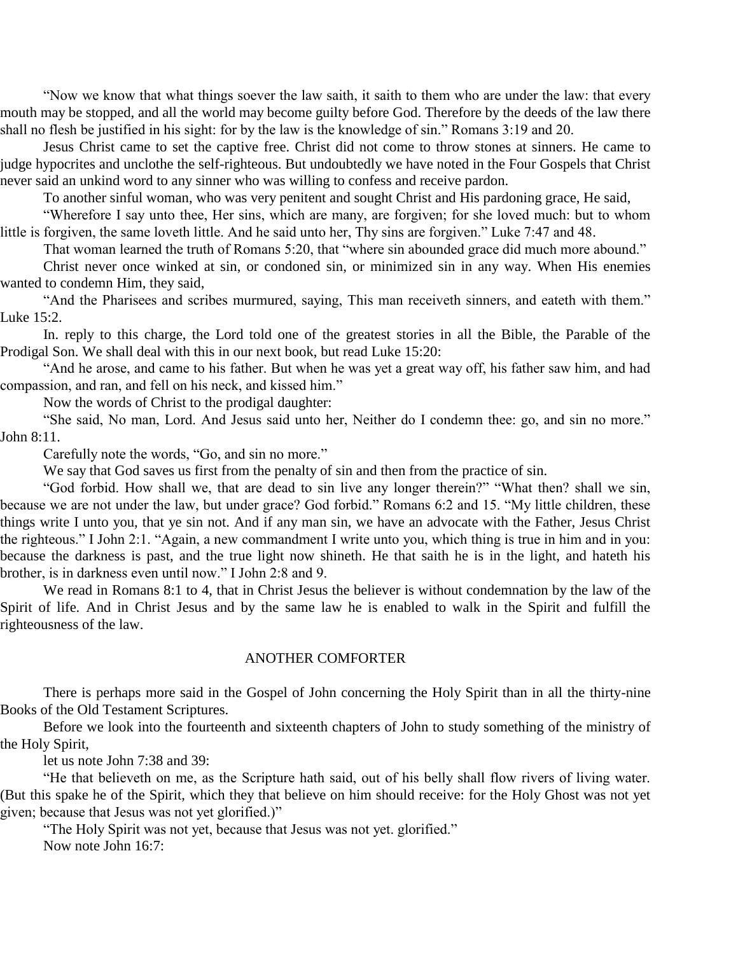"Now we know that what things soever the law saith, it saith to them who are under the law: that every mouth may be stopped, and all the world may become guilty before God. Therefore by the deeds of the law there shall no flesh be justified in his sight: for by the law is the knowledge of sin." Romans 3:19 and 20.

Jesus Christ came to set the captive free. Christ did not come to throw stones at sinners. He came to judge hypocrites and unclothe the self-righteous. But undoubtedly we have noted in the Four Gospels that Christ never said an unkind word to any sinner who was willing to confess and receive pardon.

To another sinful woman, who was very penitent and sought Christ and His pardoning grace, He said,

"Wherefore I say unto thee, Her sins, which are many, are forgiven; for she loved much: but to whom little is forgiven, the same loveth little. And he said unto her, Thy sins are forgiven." Luke 7:47 and 48.

That woman learned the truth of Romans 5:20, that "where sin abounded grace did much more abound."

Christ never once winked at sin, or condoned sin, or minimized sin in any way. When His enemies wanted to condemn Him, they said,

"And the Pharisees and scribes murmured, saying, This man receiveth sinners, and eateth with them." Luke 15:2.

In. reply to this charge, the Lord told one of the greatest stories in all the Bible, the Parable of the Prodigal Son. We shall deal with this in our next book, but read Luke 15:20:

"And he arose, and came to his father. But when he was yet a great way off, his father saw him, and had compassion, and ran, and fell on his neck, and kissed him."

Now the words of Christ to the prodigal daughter:

"She said, No man, Lord. And Jesus said unto her, Neither do I condemn thee: go, and sin no more." John 8:11.

Carefully note the words, "Go, and sin no more."

We say that God saves us first from the penalty of sin and then from the practice of sin.

"God forbid. How shall we, that are dead to sin live any longer therein?" "What then? shall we sin, because we are not under the law, but under grace? God forbid." Romans 6:2 and 15. "My little children, these things write I unto you, that ye sin not. And if any man sin, we have an advocate with the Father, Jesus Christ the righteous." I John 2:1. "Again, a new commandment I write unto you, which thing is true in him and in you: because the darkness is past, and the true light now shineth. He that saith he is in the light, and hateth his brother, is in darkness even until now." I John 2:8 and 9.

We read in Romans 8:1 to 4, that in Christ Jesus the believer is without condemnation by the law of the Spirit of life. And in Christ Jesus and by the same law he is enabled to walk in the Spirit and fulfill the righteousness of the law.

#### ANOTHER COMFORTER

There is perhaps more said in the Gospel of John concerning the Holy Spirit than in all the thirty-nine Books of the Old Testament Scriptures.

Before we look into the fourteenth and sixteenth chapters of John to study something of the ministry of the Holy Spirit,

let us note John 7:38 and 39:

"He that believeth on me, as the Scripture hath said, out of his belly shall flow rivers of living water. (But this spake he of the Spirit, which they that believe on him should receive: for the Holy Ghost was not yet given; because that Jesus was not yet glorified.)"

"The Holy Spirit was not yet, because that Jesus was not yet. glorified." Now note John 16:7: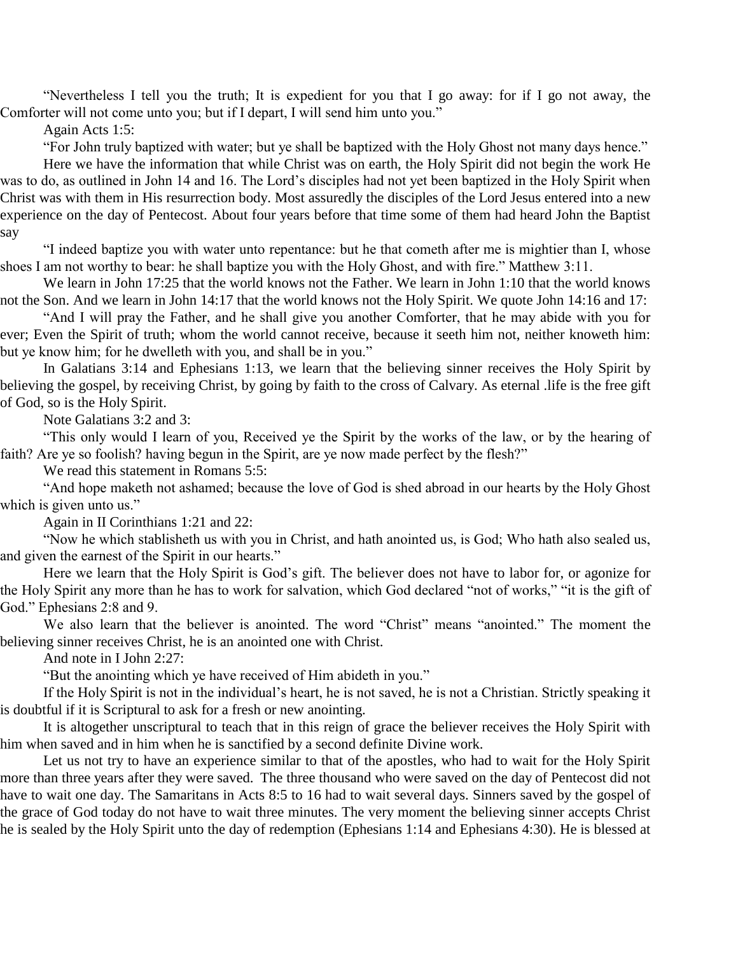"Nevertheless I tell you the truth; It is expedient for you that I go away: for if I go not away, the Comforter will not come unto you; but if I depart, I will send him unto you."

Again Acts 1:5:

"For John truly baptized with water; but ye shall be baptized with the Holy Ghost not many days hence."

Here we have the information that while Christ was on earth, the Holy Spirit did not begin the work He was to do, as outlined in John 14 and 16. The Lord's disciples had not yet been baptized in the Holy Spirit when Christ was with them in His resurrection body. Most assuredly the disciples of the Lord Jesus entered into a new experience on the day of Pentecost. About four years before that time some of them had heard John the Baptist say

"I indeed baptize you with water unto repentance: but he that cometh after me is mightier than I, whose shoes I am not worthy to bear: he shall baptize you with the Holy Ghost, and with fire." Matthew 3:11.

We learn in John 17:25 that the world knows not the Father. We learn in John 1:10 that the world knows not the Son. And we learn in John 14:17 that the world knows not the Holy Spirit. We quote John 14:16 and 17:

"And I will pray the Father, and he shall give you another Comforter, that he may abide with you for ever; Even the Spirit of truth; whom the world cannot receive, because it seeth him not, neither knoweth him: but ye know him; for he dwelleth with you, and shall be in you."

In Galatians 3:14 and Ephesians 1:13, we learn that the believing sinner receives the Holy Spirit by believing the gospel, by receiving Christ, by going by faith to the cross of Calvary. As eternal .life is the free gift of God, so is the Holy Spirit.

Note Galatians 3:2 and 3:

"This only would I learn of you, Received ye the Spirit by the works of the law, or by the hearing of faith? Are ye so foolish? having begun in the Spirit, are ye now made perfect by the flesh?"

We read this statement in Romans 5:5:

"And hope maketh not ashamed; because the love of God is shed abroad in our hearts by the Holy Ghost which is given unto us."

Again in II Corinthians 1:21 and 22:

"Now he which stablisheth us with you in Christ, and hath anointed us, is God; Who hath also sealed us, and given the earnest of the Spirit in our hearts."

Here we learn that the Holy Spirit is God's gift. The believer does not have to labor for, or agonize for the Holy Spirit any more than he has to work for salvation, which God declared "not of works," "it is the gift of God." Ephesians 2:8 and 9.

We also learn that the believer is anointed. The word "Christ" means "anointed." The moment the believing sinner receives Christ, he is an anointed one with Christ.

And note in I John 2:27:

"But the anointing which ye have received of Him abideth in you."

If the Holy Spirit is not in the individual's heart, he is not saved, he is not a Christian. Strictly speaking it is doubtful if it is Scriptural to ask for a fresh or new anointing.

It is altogether unscriptural to teach that in this reign of grace the believer receives the Holy Spirit with him when saved and in him when he is sanctified by a second definite Divine work.

Let us not try to have an experience similar to that of the apostles, who had to wait for the Holy Spirit more than three years after they were saved. The three thousand who were saved on the day of Pentecost did not have to wait one day. The Samaritans in Acts 8:5 to 16 had to wait several days. Sinners saved by the gospel of the grace of God today do not have to wait three minutes. The very moment the believing sinner accepts Christ he is sealed by the Holy Spirit unto the day of redemption (Ephesians 1:14 and Ephesians 4:30). He is blessed at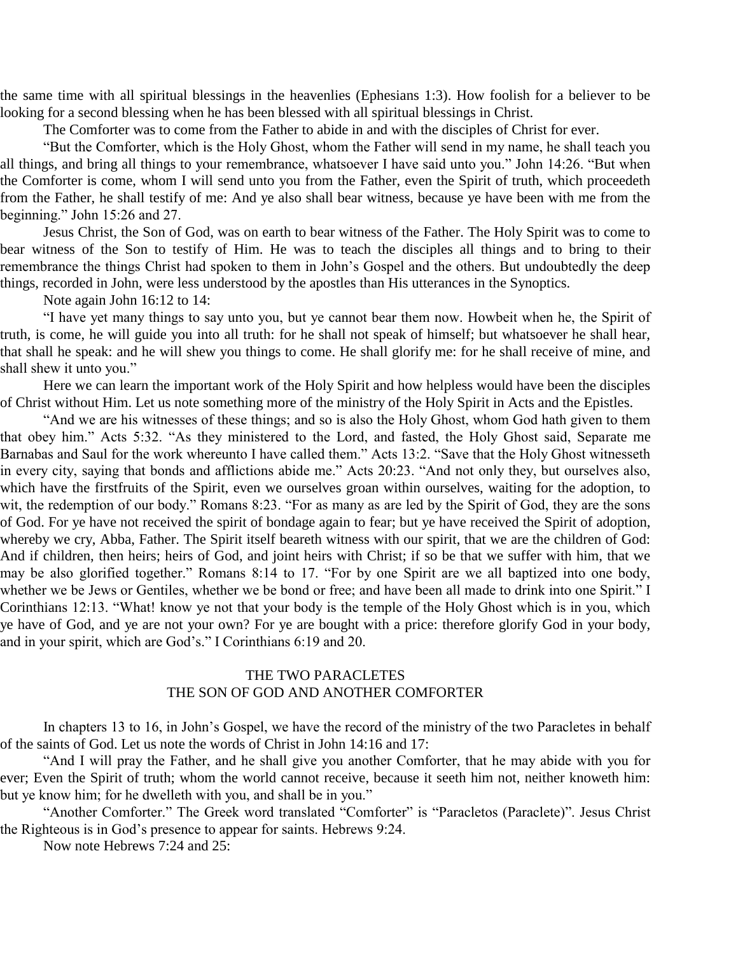the same time with all spiritual blessings in the heavenlies (Ephesians 1:3). How foolish for a believer to be looking for a second blessing when he has been blessed with all spiritual blessings in Christ.

The Comforter was to come from the Father to abide in and with the disciples of Christ for ever.

"But the Comforter, which is the Holy Ghost, whom the Father will send in my name, he shall teach you all things, and bring all things to your remembrance, whatsoever I have said unto you." John 14:26. "But when the Comforter is come, whom I will send unto you from the Father, even the Spirit of truth, which proceedeth from the Father, he shall testify of me: And ye also shall bear witness, because ye have been with me from the beginning." John 15:26 and 27.

Jesus Christ, the Son of God, was on earth to bear witness of the Father. The Holy Spirit was to come to bear witness of the Son to testify of Him. He was to teach the disciples all things and to bring to their remembrance the things Christ had spoken to them in John's Gospel and the others. But undoubtedly the deep things, recorded in John, were less understood by the apostles than His utterances in the Synoptics.

Note again John 16:12 to 14:

"I have yet many things to say unto you, but ye cannot bear them now. Howbeit when he, the Spirit of truth, is come, he will guide you into all truth: for he shall not speak of himself; but whatsoever he shall hear, that shall he speak: and he will shew you things to come. He shall glorify me: for he shall receive of mine, and shall shew it unto you."

Here we can learn the important work of the Holy Spirit and how helpless would have been the disciples of Christ without Him. Let us note something more of the ministry of the Holy Spirit in Acts and the Epistles.

"And we are his witnesses of these things; and so is also the Holy Ghost, whom God hath given to them that obey him." Acts 5:32. "As they ministered to the Lord, and fasted, the Holy Ghost said, Separate me Barnabas and Saul for the work whereunto I have called them." Acts 13:2. "Save that the Holy Ghost witnesseth in every city, saying that bonds and afflictions abide me." Acts 20:23. "And not only they, but ourselves also, which have the firstfruits of the Spirit, even we ourselves groan within ourselves, waiting for the adoption, to wit, the redemption of our body." Romans 8:23. "For as many as are led by the Spirit of God, they are the sons of God. For ye have not received the spirit of bondage again to fear; but ye have received the Spirit of adoption, whereby we cry, Abba, Father. The Spirit itself beareth witness with our spirit, that we are the children of God: And if children, then heirs; heirs of God, and joint heirs with Christ; if so be that we suffer with him, that we may be also glorified together." Romans 8:14 to 17. "For by one Spirit are we all baptized into one body, whether we be Jews or Gentiles, whether we be bond or free; and have been all made to drink into one Spirit." I Corinthians 12:13. "What! know ye not that your body is the temple of the Holy Ghost which is in you, which ye have of God, and ye are not your own? For ye are bought with a price: therefore glorify God in your body, and in your spirit, which are God's." I Corinthians 6:19 and 20.

#### THE TWO PARACLETES THE SON OF GOD AND ANOTHER COMFORTER

In chapters 13 to 16, in John's Gospel, we have the record of the ministry of the two Paracletes in behalf of the saints of God. Let us note the words of Christ in John 14:16 and 17:

"And I will pray the Father, and he shall give you another Comforter, that he may abide with you for ever; Even the Spirit of truth; whom the world cannot receive, because it seeth him not, neither knoweth him: but ye know him; for he dwelleth with you, and shall be in you."

"Another Comforter." The Greek word translated "Comforter" is "Paracletos (Paraclete)". Jesus Christ the Righteous is in God's presence to appear for saints. Hebrews 9:24.

Now note Hebrews 7:24 and 25: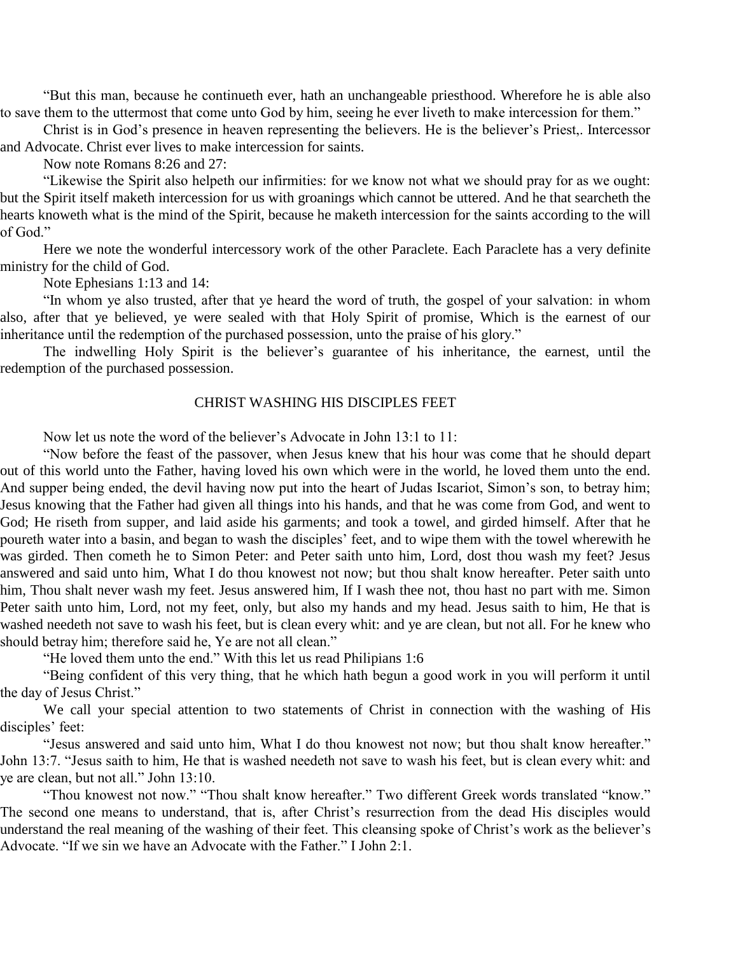"But this man, because he continueth ever, hath an unchangeable priesthood. Wherefore he is able also to save them to the uttermost that come unto God by him, seeing he ever liveth to make intercession for them."

Christ is in God's presence in heaven representing the believers. He is the believer's Priest,. Intercessor and Advocate. Christ ever lives to make intercession for saints.

Now note Romans 8:26 and 27:

"Likewise the Spirit also helpeth our infirmities: for we know not what we should pray for as we ought: but the Spirit itself maketh intercession for us with groanings which cannot be uttered. And he that searcheth the hearts knoweth what is the mind of the Spirit, because he maketh intercession for the saints according to the will of God."

Here we note the wonderful intercessory work of the other Paraclete. Each Paraclete has a very definite ministry for the child of God.

Note Ephesians 1:13 and 14:

"In whom ye also trusted, after that ye heard the word of truth, the gospel of your salvation: in whom also, after that ye believed, ye were sealed with that Holy Spirit of promise, Which is the earnest of our inheritance until the redemption of the purchased possession, unto the praise of his glory."

The indwelling Holy Spirit is the believer's guarantee of his inheritance, the earnest, until the redemption of the purchased possession.

#### CHRIST WASHING HIS DISCIPLES FEET

Now let us note the word of the believer's Advocate in John 13:1 to 11:

"Now before the feast of the passover, when Jesus knew that his hour was come that he should depart out of this world unto the Father, having loved his own which were in the world, he loved them unto the end. And supper being ended, the devil having now put into the heart of Judas Iscariot, Simon's son, to betray him; Jesus knowing that the Father had given all things into his hands, and that he was come from God, and went to God; He riseth from supper, and laid aside his garments; and took a towel, and girded himself. After that he poureth water into a basin, and began to wash the disciples' feet, and to wipe them with the towel wherewith he was girded. Then cometh he to Simon Peter: and Peter saith unto him, Lord, dost thou wash my feet? Jesus answered and said unto him, What I do thou knowest not now; but thou shalt know hereafter. Peter saith unto him, Thou shalt never wash my feet. Jesus answered him, If I wash thee not, thou hast no part with me. Simon Peter saith unto him, Lord, not my feet, only, but also my hands and my head. Jesus saith to him, He that is washed needeth not save to wash his feet, but is clean every whit: and ye are clean, but not all. For he knew who should betray him; therefore said he, Ye are not all clean."

"He loved them unto the end." With this let us read Philipians 1:6

"Being confident of this very thing, that he which hath begun a good work in you will perform it until the day of Jesus Christ."

We call your special attention to two statements of Christ in connection with the washing of His disciples' feet:

"Jesus answered and said unto him, What I do thou knowest not now; but thou shalt know hereafter." John 13:7. "Jesus saith to him, He that is washed needeth not save to wash his feet, but is clean every whit: and ye are clean, but not all." John 13:10.

"Thou knowest not now." "Thou shalt know hereafter." Two different Greek words translated "know." The second one means to understand, that is, after Christ's resurrection from the dead His disciples would understand the real meaning of the washing of their feet. This cleansing spoke of Christ's work as the believer's Advocate. "If we sin we have an Advocate with the Father." I John 2:1.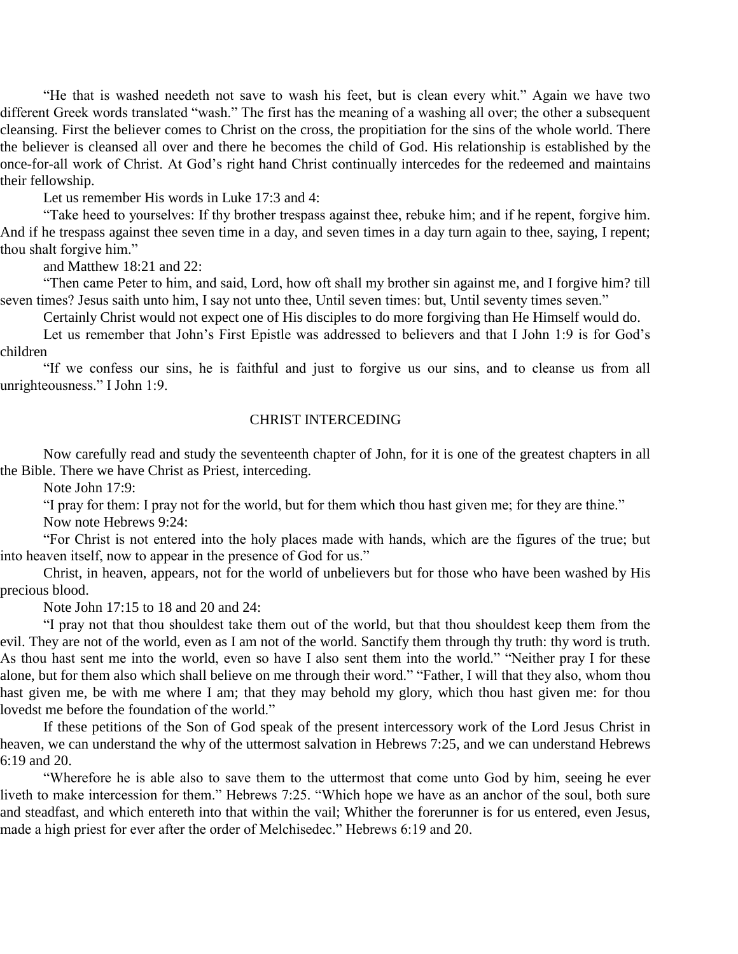"He that is washed needeth not save to wash his feet, but is clean every whit." Again we have two different Greek words translated "wash." The first has the meaning of a washing all over; the other a subsequent cleansing. First the believer comes to Christ on the cross, the propitiation for the sins of the whole world. There the believer is cleansed all over and there he becomes the child of God. His relationship is established by the once-for-all work of Christ. At God's right hand Christ continually intercedes for the redeemed and maintains their fellowship.

Let us remember His words in Luke 17:3 and 4:

"Take heed to yourselves: If thy brother trespass against thee, rebuke him; and if he repent, forgive him. And if he trespass against thee seven time in a day, and seven times in a day turn again to thee, saying, I repent; thou shalt forgive him."

and Matthew 18:21 and 22:

"Then came Peter to him, and said, Lord, how oft shall my brother sin against me, and I forgive him? till seven times? Jesus saith unto him, I say not unto thee, Until seven times: but, Until seventy times seven."

Certainly Christ would not expect one of His disciples to do more forgiving than He Himself would do.

Let us remember that John's First Epistle was addressed to believers and that I John 1:9 is for God's children

"If we confess our sins, he is faithful and just to forgive us our sins, and to cleanse us from all unrighteousness." I John 1:9.

#### CHRIST INTERCEDING

Now carefully read and study the seventeenth chapter of John, for it is one of the greatest chapters in all the Bible. There we have Christ as Priest, interceding.

Note John 17:9:

"I pray for them: I pray not for the world, but for them which thou hast given me; for they are thine."

Now note Hebrews 9:24:

"For Christ is not entered into the holy places made with hands, which are the figures of the true; but into heaven itself, now to appear in the presence of God for us."

Christ, in heaven, appears, not for the world of unbelievers but for those who have been washed by His precious blood.

Note John 17:15 to 18 and 20 and 24:

"I pray not that thou shouldest take them out of the world, but that thou shouldest keep them from the evil. They are not of the world, even as I am not of the world. Sanctify them through thy truth: thy word is truth. As thou hast sent me into the world, even so have I also sent them into the world." "Neither pray I for these alone, but for them also which shall believe on me through their word." "Father, I will that they also, whom thou hast given me, be with me where I am; that they may behold my glory, which thou hast given me: for thou lovedst me before the foundation of the world."

If these petitions of the Son of God speak of the present intercessory work of the Lord Jesus Christ in heaven, we can understand the why of the uttermost salvation in Hebrews 7:25, and we can understand Hebrews 6:19 and 20.

"Wherefore he is able also to save them to the uttermost that come unto God by him, seeing he ever liveth to make intercession for them." Hebrews 7:25. "Which hope we have as an anchor of the soul, both sure and steadfast, and which entereth into that within the vail; Whither the forerunner is for us entered, even Jesus, made a high priest for ever after the order of Melchisedec." Hebrews 6:19 and 20.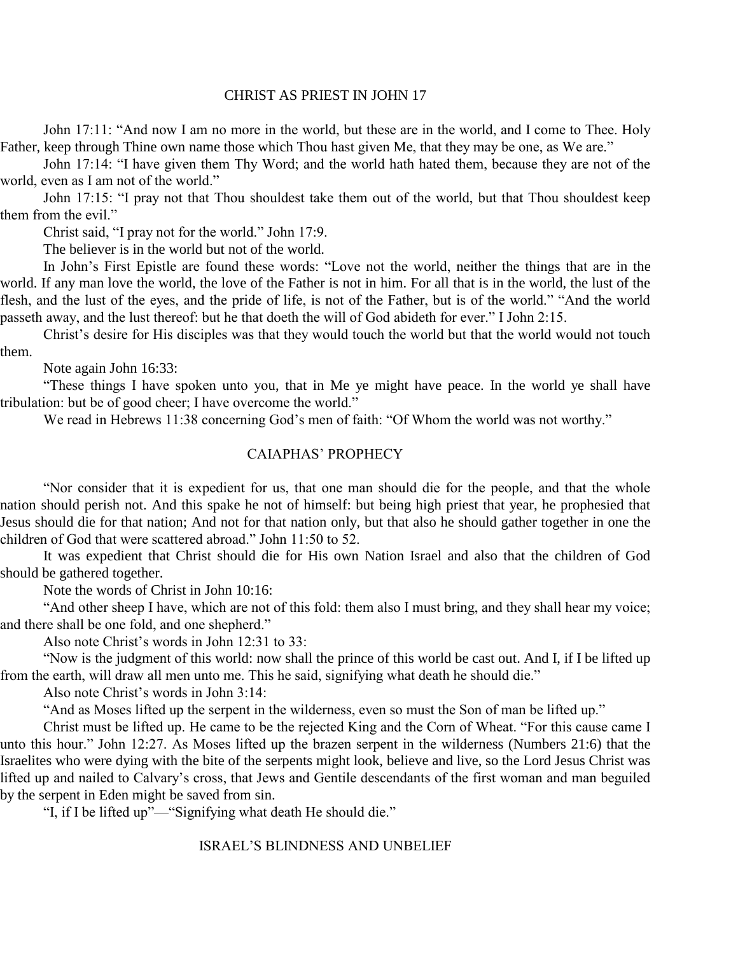#### CHRIST AS PRIEST IN JOHN 17

John 17:11: "And now I am no more in the world, but these are in the world, and I come to Thee. Holy Father, keep through Thine own name those which Thou hast given Me, that they may be one, as We are."

John 17:14: "I have given them Thy Word; and the world hath hated them, because they are not of the world, even as I am not of the world."

John 17:15: "I pray not that Thou shouldest take them out of the world, but that Thou shouldest keep them from the evil."

Christ said, "I pray not for the world." John 17:9.

The believer is in the world but not of the world.

In John's First Epistle are found these words: "Love not the world, neither the things that are in the world. If any man love the world, the love of the Father is not in him. For all that is in the world, the lust of the flesh, and the lust of the eyes, and the pride of life, is not of the Father, but is of the world." "And the world passeth away, and the lust thereof: but he that doeth the will of God abideth for ever." I John 2:15.

Christ's desire for His disciples was that they would touch the world but that the world would not touch them.

Note again John 16:33:

"These things I have spoken unto you, that in Me ye might have peace. In the world ye shall have tribulation: but be of good cheer; I have overcome the world."

We read in Hebrews 11:38 concerning God's men of faith: "Of Whom the world was not worthy."

#### CAIAPHAS' PROPHECY

"Nor consider that it is expedient for us, that one man should die for the people, and that the whole nation should perish not. And this spake he not of himself: but being high priest that year, he prophesied that Jesus should die for that nation; And not for that nation only, but that also he should gather together in one the children of God that were scattered abroad." John 11:50 to 52.

It was expedient that Christ should die for His own Nation Israel and also that the children of God should be gathered together.

Note the words of Christ in John 10:16:

"And other sheep I have, which are not of this fold: them also I must bring, and they shall hear my voice; and there shall be one fold, and one shepherd."

Also note Christ's words in John 12:31 to 33:

"Now is the judgment of this world: now shall the prince of this world be cast out. And I, if I be lifted up from the earth, will draw all men unto me. This he said, signifying what death he should die."

Also note Christ's words in John 3:14:

"And as Moses lifted up the serpent in the wilderness, even so must the Son of man be lifted up."

Christ must be lifted up. He came to be the rejected King and the Corn of Wheat. "For this cause came I unto this hour." John 12:27. As Moses lifted up the brazen serpent in the wilderness (Numbers 21:6) that the Israelites who were dying with the bite of the serpents might look, believe and live, so the Lord Jesus Christ was lifted up and nailed to Calvary's cross, that Jews and Gentile descendants of the first woman and man beguiled by the serpent in Eden might be saved from sin.

"I, if I be lifted up"—"Signifying what death He should die."

#### ISRAEL'S BLINDNESS AND UNBELIEF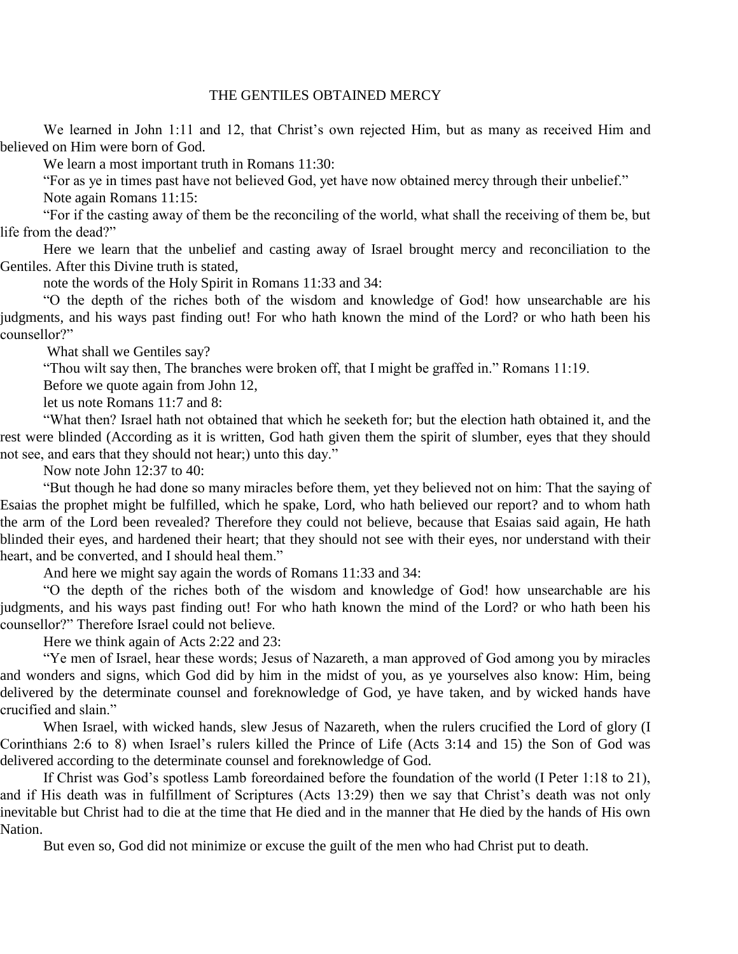#### THE GENTILES OBTAINED MERCY

We learned in John 1:11 and 12, that Christ's own rejected Him, but as many as received Him and believed on Him were born of God.

We learn a most important truth in Romans 11:30:

"For as ye in times past have not believed God, yet have now obtained mercy through their unbelief."

Note again Romans 11:15:

"For if the casting away of them be the reconciling of the world, what shall the receiving of them be, but life from the dead?"

Here we learn that the unbelief and casting away of Israel brought mercy and reconciliation to the Gentiles. After this Divine truth is stated,

note the words of the Holy Spirit in Romans 11:33 and 34:

"O the depth of the riches both of the wisdom and knowledge of God! how unsearchable are his judgments, and his ways past finding out! For who hath known the mind of the Lord? or who hath been his counsellor?"

What shall we Gentiles say?

"Thou wilt say then, The branches were broken off, that I might be graffed in." Romans 11:19.

Before we quote again from John 12,

let us note Romans 11:7 and 8:

"What then? Israel hath not obtained that which he seeketh for; but the election hath obtained it, and the rest were blinded (According as it is written, God hath given them the spirit of slumber, eyes that they should not see, and ears that they should not hear;) unto this day."

Now note John 12:37 to 40:

"But though he had done so many miracles before them, yet they believed not on him: That the saying of Esaias the prophet might be fulfilled, which he spake, Lord, who hath believed our report? and to whom hath the arm of the Lord been revealed? Therefore they could not believe, because that Esaias said again, He hath blinded their eyes, and hardened their heart; that they should not see with their eyes, nor understand with their heart, and be converted, and I should heal them."

And here we might say again the words of Romans 11:33 and 34:

"O the depth of the riches both of the wisdom and knowledge of God! how unsearchable are his judgments, and his ways past finding out! For who hath known the mind of the Lord? or who hath been his counsellor?" Therefore Israel could not believe.

Here we think again of Acts 2:22 and 23:

"Ye men of Israel, hear these words; Jesus of Nazareth, a man approved of God among you by miracles and wonders and signs, which God did by him in the midst of you, as ye yourselves also know: Him, being delivered by the determinate counsel and foreknowledge of God, ye have taken, and by wicked hands have crucified and slain."

When Israel, with wicked hands, slew Jesus of Nazareth, when the rulers crucified the Lord of glory (I Corinthians 2:6 to 8) when Israel's rulers killed the Prince of Life (Acts 3:14 and 15) the Son of God was delivered according to the determinate counsel and foreknowledge of God.

If Christ was God's spotless Lamb foreordained before the foundation of the world (I Peter 1:18 to 21), and if His death was in fulfillment of Scriptures (Acts 13:29) then we say that Christ's death was not only inevitable but Christ had to die at the time that He died and in the manner that He died by the hands of His own Nation.

But even so, God did not minimize or excuse the guilt of the men who had Christ put to death.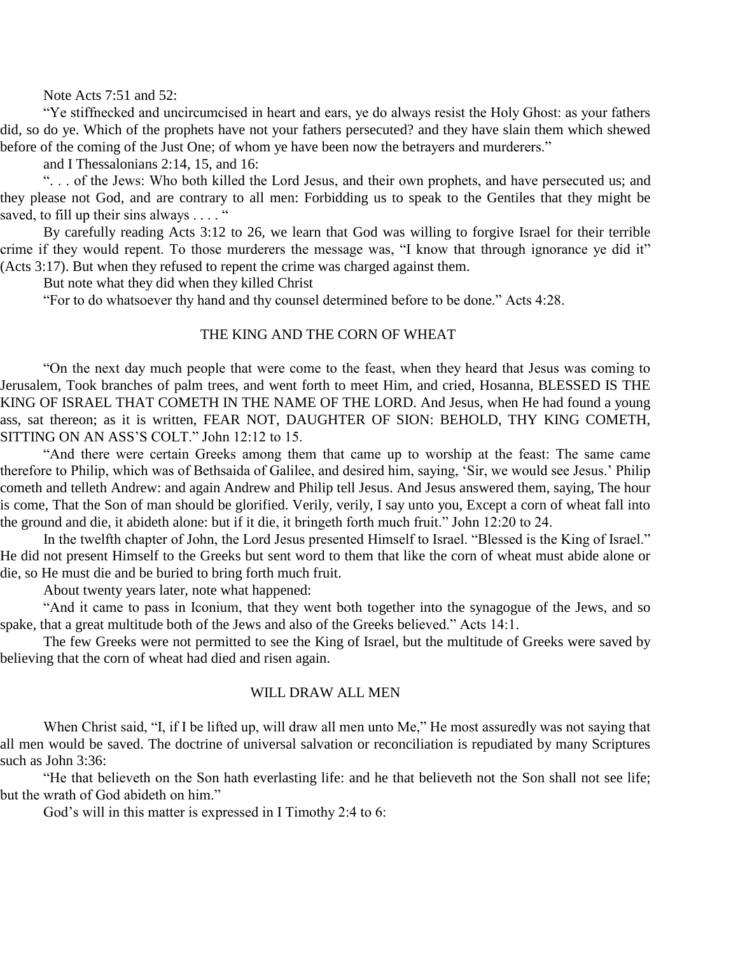Note Acts 7:51 and 52:

"Ye stiffnecked and uncircumcised in heart and ears, ye do always resist the Holy Ghost: as your fathers did, so do ye. Which of the prophets have not your fathers persecuted? and they have slain them which shewed before of the coming of the Just One; of whom ye have been now the betrayers and murderers."

and I Thessalonians 2:14, 15, and 16:

". . . of the Jews: Who both killed the Lord Jesus, and their own prophets, and have persecuted us; and they please not God, and are contrary to all men: Forbidding us to speak to the Gentiles that they might be saved, to fill up their sins always  $\dots$ ."

By carefully reading Acts 3:12 to 26, we learn that God was willing to forgive Israel for their terrible crime if they would repent. To those murderers the message was, "I know that through ignorance ye did it" (Acts 3:17). But when they refused to repent the crime was charged against them.

But note what they did when they killed Christ

"For to do whatsoever thy hand and thy counsel determined before to be done." Acts 4:28.

#### THE KING AND THE CORN OF WHEAT

"On the next day much people that were come to the feast, when they heard that Jesus was coming to Jerusalem, Took branches of palm trees, and went forth to meet Him, and cried, Hosanna, BLESSED IS THE KING OF ISRAEL THAT COMETH IN THE NAME OF THE LORD. And Jesus, when He had found a young ass, sat thereon; as it is written, FEAR NOT, DAUGHTER OF SION: BEHOLD, THY KING COMETH, SITTING ON AN ASS'S COLT." John 12:12 to 15.

"And there were certain Greeks among them that came up to worship at the feast: The same came therefore to Philip, which was of Bethsaida of Galilee, and desired him, saying, 'Sir, we would see Jesus.' Philip cometh and telleth Andrew: and again Andrew and Philip tell Jesus. And Jesus answered them, saying, The hour is come, That the Son of man should be glorified. Verily, verily, I say unto you, Except a corn of wheat fall into the ground and die, it abideth alone: but if it die, it bringeth forth much fruit." John 12:20 to 24.

In the twelfth chapter of John, the Lord Jesus presented Himself to Israel. "Blessed is the King of Israel." He did not present Himself to the Greeks but sent word to them that like the corn of wheat must abide alone or die, so He must die and be buried to bring forth much fruit.

About twenty years later, note what happened:

"And it came to pass in Iconium, that they went both together into the synagogue of the Jews, and so spake, that a great multitude both of the Jews and also of the Greeks believed." Acts 14:1.

The few Greeks were not permitted to see the King of Israel, but the multitude of Greeks were saved by believing that the corn of wheat had died and risen again.

#### WILL DRAW ALL MEN

When Christ said, "I, if I be lifted up, will draw all men unto Me," He most assuredly was not saying that all men would be saved. The doctrine of universal salvation or reconciliation is repudiated by many Scriptures such as John 3:36:

"He that believeth on the Son hath everlasting life: and he that believeth not the Son shall not see life; but the wrath of God abideth on him."

God's will in this matter is expressed in I Timothy 2:4 to 6: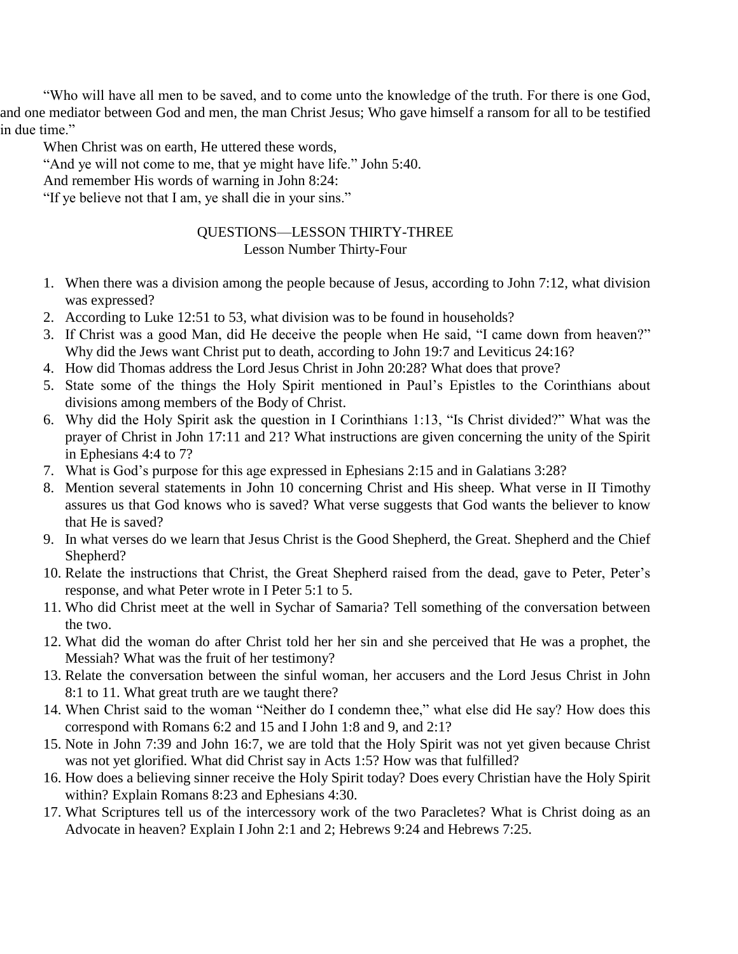"Who will have all men to be saved, and to come unto the knowledge of the truth. For there is one God, and one mediator between God and men, the man Christ Jesus; Who gave himself a ransom for all to be testified in due time."

When Christ was on earth, He uttered these words,

"And ye will not come to me, that ye might have life." John 5:40.

And remember His words of warning in John 8:24:

"If ye believe not that I am, ye shall die in your sins."

### QUESTIONS—LESSON THIRTY-THREE Lesson Number Thirty-Four

- 1. When there was a division among the people because of Jesus, according to John 7:12, what division was expressed?
- 2. According to Luke 12:51 to 53, what division was to be found in households?
- 3. If Christ was a good Man, did He deceive the people when He said, "I came down from heaven?" Why did the Jews want Christ put to death, according to John 19:7 and Leviticus 24:16?
- 4. How did Thomas address the Lord Jesus Christ in John 20:28? What does that prove?
- 5. State some of the things the Holy Spirit mentioned in Paul's Epistles to the Corinthians about divisions among members of the Body of Christ.
- 6. Why did the Holy Spirit ask the question in I Corinthians 1:13, "Is Christ divided?" What was the prayer of Christ in John 17:11 and 21? What instructions are given concerning the unity of the Spirit in Ephesians 4:4 to 7?
- 7. What is God's purpose for this age expressed in Ephesians 2:15 and in Galatians 3:28?
- 8. Mention several statements in John 10 concerning Christ and His sheep. What verse in II Timothy assures us that God knows who is saved? What verse suggests that God wants the believer to know that He is saved?
- 9. In what verses do we learn that Jesus Christ is the Good Shepherd, the Great. Shepherd and the Chief Shepherd?
- 10. Relate the instructions that Christ, the Great Shepherd raised from the dead, gave to Peter, Peter's response, and what Peter wrote in I Peter 5:1 to 5.
- 11. Who did Christ meet at the well in Sychar of Samaria? Tell something of the conversation between the two.
- 12. What did the woman do after Christ told her her sin and she perceived that He was a prophet, the Messiah? What was the fruit of her testimony?
- 13. Relate the conversation between the sinful woman, her accusers and the Lord Jesus Christ in John 8:1 to 11. What great truth are we taught there?
- 14. When Christ said to the woman "Neither do I condemn thee," what else did He say? How does this correspond with Romans 6:2 and 15 and I John 1:8 and 9, and 2:1?
- 15. Note in John 7:39 and John 16:7, we are told that the Holy Spirit was not yet given because Christ was not yet glorified. What did Christ say in Acts 1:5? How was that fulfilled?
- 16. How does a believing sinner receive the Holy Spirit today? Does every Christian have the Holy Spirit within? Explain Romans 8:23 and Ephesians 4:30.
- 17. What Scriptures tell us of the intercessory work of the two Paracletes? What is Christ doing as an Advocate in heaven? Explain I John 2:1 and 2; Hebrews 9:24 and Hebrews 7:25.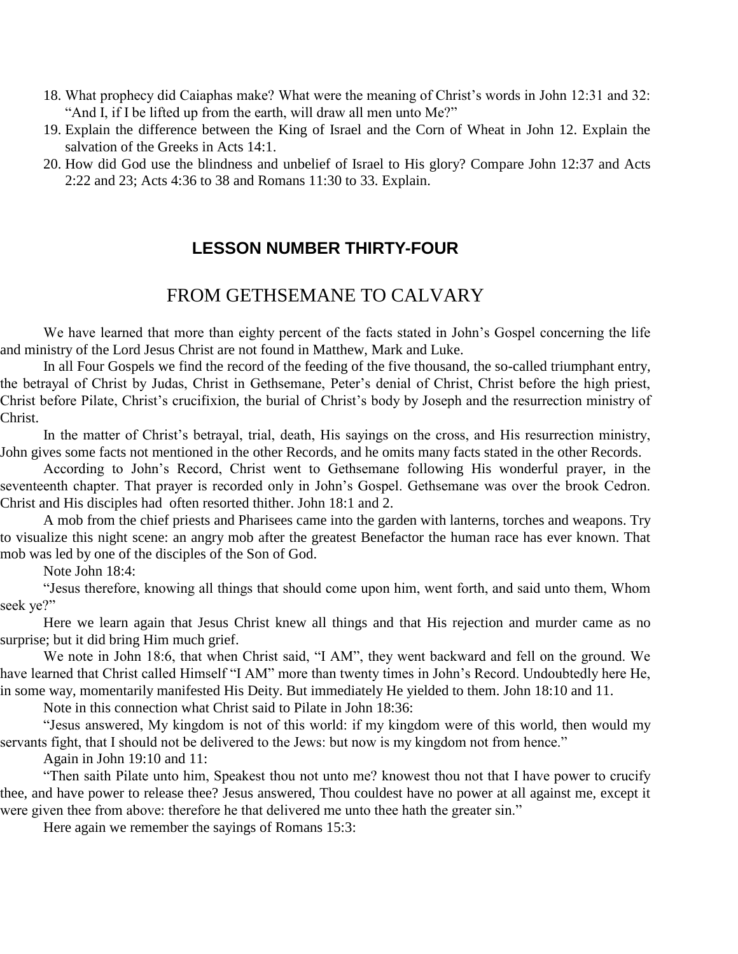- 18. What prophecy did Caiaphas make? What were the meaning of Christ's words in John 12:31 and 32: "And I, if I be lifted up from the earth, will draw all men unto Me?"
- 19. Explain the difference between the King of Israel and the Corn of Wheat in John 12. Explain the salvation of the Greeks in Acts 14:1.
- 20. How did God use the blindness and unbelief of Israel to His glory? Compare John 12:37 and Acts 2:22 and 23; Acts 4:36 to 38 and Romans 11:30 to 33. Explain.

### **LESSON NUMBER THIRTY-FOUR**

# FROM GETHSEMANE TO CALVARY

We have learned that more than eighty percent of the facts stated in John's Gospel concerning the life and ministry of the Lord Jesus Christ are not found in Matthew, Mark and Luke.

In all Four Gospels we find the record of the feeding of the five thousand, the so-called triumphant entry, the betrayal of Christ by Judas, Christ in Gethsemane, Peter's denial of Christ, Christ before the high priest, Christ before Pilate, Christ's crucifixion, the burial of Christ's body by Joseph and the resurrection ministry of Christ.

In the matter of Christ's betrayal, trial, death, His sayings on the cross, and His resurrection ministry, John gives some facts not mentioned in the other Records, and he omits many facts stated in the other Records.

According to John's Record, Christ went to Gethsemane following His wonderful prayer, in the seventeenth chapter. That prayer is recorded only in John's Gospel. Gethsemane was over the brook Cedron. Christ and His disciples had often resorted thither. John 18:1 and 2.

A mob from the chief priests and Pharisees came into the garden with lanterns, torches and weapons. Try to visualize this night scene: an angry mob after the greatest Benefactor the human race has ever known. That mob was led by one of the disciples of the Son of God.

Note John 18:4:

"Jesus therefore, knowing all things that should come upon him, went forth, and said unto them, Whom seek ye?"

Here we learn again that Jesus Christ knew all things and that His rejection and murder came as no surprise; but it did bring Him much grief.

We note in John 18:6, that when Christ said, "I AM", they went backward and fell on the ground. We have learned that Christ called Himself "I AM" more than twenty times in John's Record. Undoubtedly here He, in some way, momentarily manifested His Deity. But immediately He yielded to them. John 18:10 and 11.

Note in this connection what Christ said to Pilate in John 18:36:

"Jesus answered, My kingdom is not of this world: if my kingdom were of this world, then would my servants fight, that I should not be delivered to the Jews: but now is my kingdom not from hence."

Again in John 19:10 and 11:

"Then saith Pilate unto him, Speakest thou not unto me? knowest thou not that I have power to crucify thee, and have power to release thee? Jesus answered, Thou couldest have no power at all against me, except it were given thee from above: therefore he that delivered me unto thee hath the greater sin."

Here again we remember the sayings of Romans 15:3: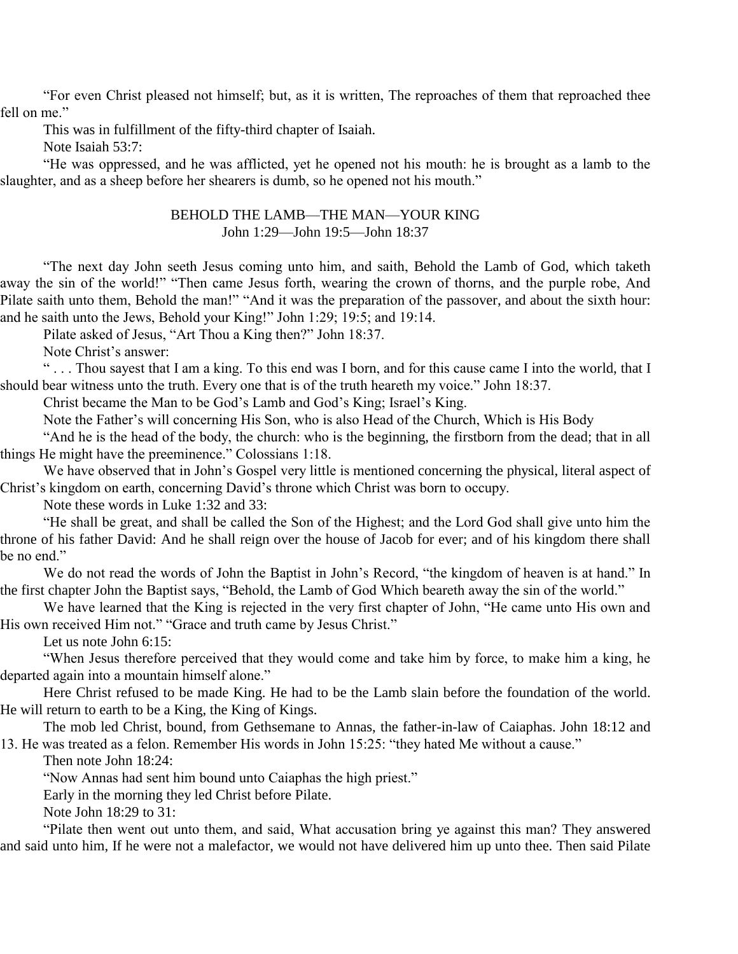"For even Christ pleased not himself; but, as it is written, The reproaches of them that reproached thee fell on me."

This was in fulfillment of the fifty-third chapter of Isaiah.

Note Isaiah 53:7:

"He was oppressed, and he was afflicted, yet he opened not his mouth: he is brought as a lamb to the slaughter, and as a sheep before her shearers is dumb, so he opened not his mouth."

#### BEHOLD THE LAMB—THE MAN—YOUR KING John 1:29—John 19:5—John 18:37

"The next day John seeth Jesus coming unto him, and saith, Behold the Lamb of God, which taketh away the sin of the world!" "Then came Jesus forth, wearing the crown of thorns, and the purple robe, And Pilate saith unto them, Behold the man!" "And it was the preparation of the passover, and about the sixth hour: and he saith unto the Jews, Behold your King!" John 1:29; 19:5; and 19:14.

Pilate asked of Jesus, "Art Thou a King then?" John 18:37.

Note Christ's answer:

" . . . Thou sayest that I am a king. To this end was I born, and for this cause came I into the world, that I should bear witness unto the truth. Every one that is of the truth heareth my voice." John 18:37.

Christ became the Man to be God's Lamb and God's King; Israel's King.

Note the Father's will concerning His Son, who is also Head of the Church, Which is His Body

"And he is the head of the body, the church: who is the beginning, the firstborn from the dead; that in all things He might have the preeminence." Colossians 1:18.

We have observed that in John's Gospel very little is mentioned concerning the physical, literal aspect of Christ's kingdom on earth, concerning David's throne which Christ was born to occupy.

Note these words in Luke 1:32 and 33:

"He shall be great, and shall be called the Son of the Highest; and the Lord God shall give unto him the throne of his father David: And he shall reign over the house of Jacob for ever; and of his kingdom there shall be no end."

We do not read the words of John the Baptist in John's Record, "the kingdom of heaven is at hand." In the first chapter John the Baptist says, "Behold, the Lamb of God Which beareth away the sin of the world."

We have learned that the King is rejected in the very first chapter of John, "He came unto His own and His own received Him not." "Grace and truth came by Jesus Christ."

Let us note John 6:15:

"When Jesus therefore perceived that they would come and take him by force, to make him a king, he departed again into a mountain himself alone."

Here Christ refused to be made King. He had to be the Lamb slain before the foundation of the world. He will return to earth to be a King, the King of Kings.

The mob led Christ, bound, from Gethsemane to Annas, the father-in-law of Caiaphas. John 18:12 and 13. He was treated as a felon. Remember His words in John 15:25: "they hated Me without a cause."

Then note John 18:24:

"Now Annas had sent him bound unto Caiaphas the high priest."

Early in the morning they led Christ before Pilate.

Note John 18:29 to 31:

"Pilate then went out unto them, and said, What accusation bring ye against this man? They answered and said unto him, If he were not a malefactor, we would not have delivered him up unto thee. Then said Pilate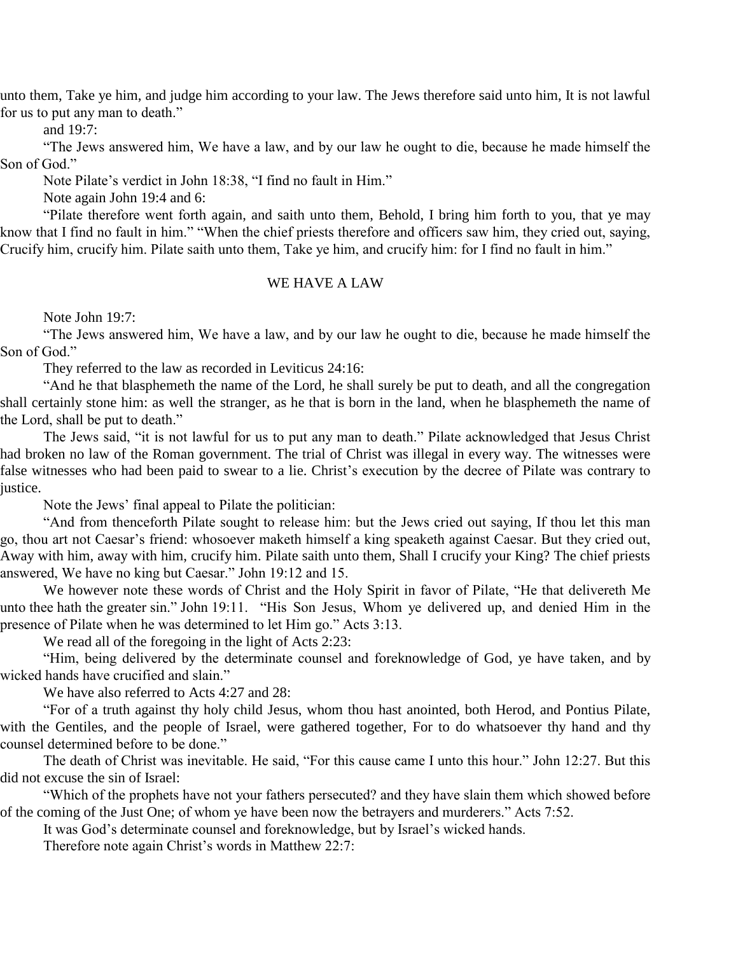unto them, Take ye him, and judge him according to your law. The Jews therefore said unto him, It is not lawful for us to put any man to death."

and 19:7:

"The Jews answered him, We have a law, and by our law he ought to die, because he made himself the Son of God."

Note Pilate's verdict in John 18:38, "I find no fault in Him."

Note again John 19:4 and 6:

"Pilate therefore went forth again, and saith unto them, Behold, I bring him forth to you, that ye may know that I find no fault in him." "When the chief priests therefore and officers saw him, they cried out, saying, Crucify him, crucify him. Pilate saith unto them, Take ye him, and crucify him: for I find no fault in him."

#### WE HAVE A LAW

Note John 19:7:

"The Jews answered him, We have a law, and by our law he ought to die, because he made himself the Son of God."

They referred to the law as recorded in Leviticus 24:16:

"And he that blasphemeth the name of the Lord, he shall surely be put to death, and all the congregation shall certainly stone him: as well the stranger, as he that is born in the land, when he blasphemeth the name of the Lord, shall be put to death."

The Jews said, "it is not lawful for us to put any man to death." Pilate acknowledged that Jesus Christ had broken no law of the Roman government. The trial of Christ was illegal in every way. The witnesses were false witnesses who had been paid to swear to a lie. Christ's execution by the decree of Pilate was contrary to justice.

Note the Jews' final appeal to Pilate the politician:

"And from thenceforth Pilate sought to release him: but the Jews cried out saying, If thou let this man go, thou art not Caesar's friend: whosoever maketh himself a king speaketh against Caesar. But they cried out, Away with him, away with him, crucify him. Pilate saith unto them, Shall I crucify your King? The chief priests answered, We have no king but Caesar." John 19:12 and 15.

We however note these words of Christ and the Holy Spirit in favor of Pilate, "He that delivereth Me unto thee hath the greater sin." John 19:11. "His Son Jesus, Whom ye delivered up, and denied Him in the presence of Pilate when he was determined to let Him go." Acts 3:13.

We read all of the foregoing in the light of Acts 2:23:

"Him, being delivered by the determinate counsel and foreknowledge of God, ye have taken, and by wicked hands have crucified and slain."

We have also referred to Acts 4:27 and 28:

"For of a truth against thy holy child Jesus, whom thou hast anointed, both Herod, and Pontius Pilate, with the Gentiles, and the people of Israel, were gathered together, For to do whatsoever thy hand and thy counsel determined before to be done."

The death of Christ was inevitable. He said, "For this cause came I unto this hour." John 12:27. But this did not excuse the sin of Israel:

"Which of the prophets have not your fathers persecuted? and they have slain them which showed before of the coming of the Just One; of whom ye have been now the betrayers and murderers." Acts 7:52.

It was God's determinate counsel and foreknowledge, but by Israel's wicked hands.

Therefore note again Christ's words in Matthew 22:7: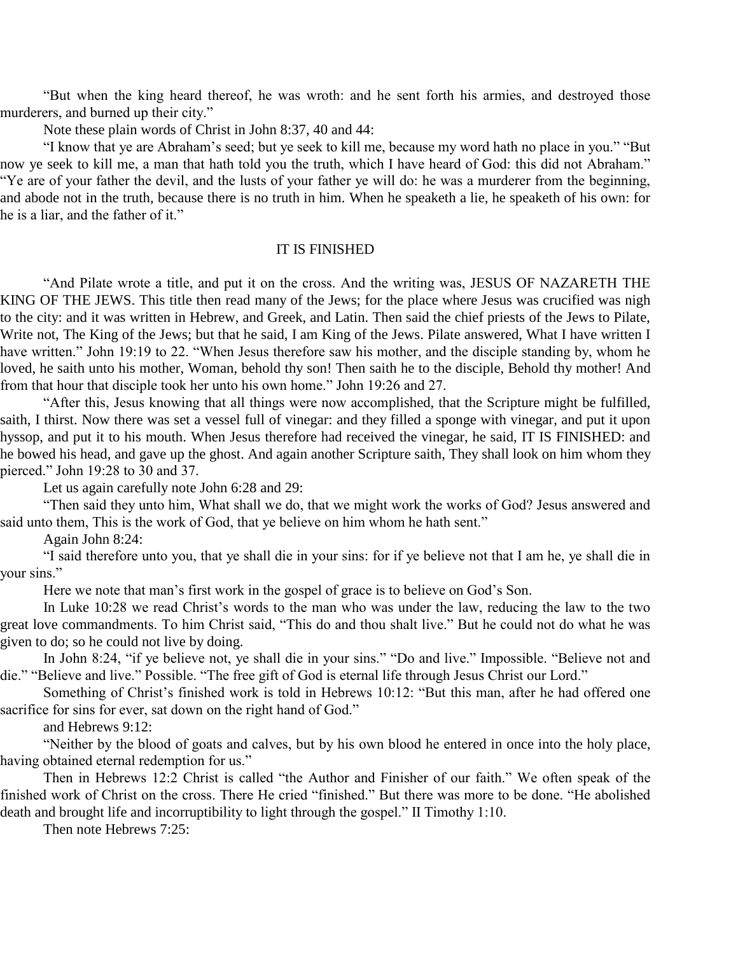"But when the king heard thereof, he was wroth: and he sent forth his armies, and destroyed those murderers, and burned up their city."

Note these plain words of Christ in John 8:37, 40 and 44:

"I know that ye are Abraham's seed; but ye seek to kill me, because my word hath no place in you." "But now ye seek to kill me, a man that hath told you the truth, which I have heard of God: this did not Abraham." "Ye are of your father the devil, and the lusts of your father ye will do: he was a murderer from the beginning, and abode not in the truth, because there is no truth in him. When he speaketh a lie, he speaketh of his own: for he is a liar, and the father of it."

#### IT IS FINISHED

"And Pilate wrote a title, and put it on the cross. And the writing was, JESUS OF NAZARETH THE KING OF THE JEWS. This title then read many of the Jews; for the place where Jesus was crucified was nigh to the city: and it was written in Hebrew, and Greek, and Latin. Then said the chief priests of the Jews to Pilate, Write not, The King of the Jews; but that he said, I am King of the Jews. Pilate answered, What I have written I have written." John 19:19 to 22. "When Jesus therefore saw his mother, and the disciple standing by, whom he loved, he saith unto his mother, Woman, behold thy son! Then saith he to the disciple, Behold thy mother! And from that hour that disciple took her unto his own home." John 19:26 and 27.

"After this, Jesus knowing that all things were now accomplished, that the Scripture might be fulfilled, saith, I thirst. Now there was set a vessel full of vinegar: and they filled a sponge with vinegar, and put it upon hyssop, and put it to his mouth. When Jesus therefore had received the vinegar, he said, IT IS FINISHED: and he bowed his head, and gave up the ghost. And again another Scripture saith, They shall look on him whom they pierced." John 19:28 to 30 and 37.

Let us again carefully note John 6:28 and 29:

"Then said they unto him, What shall we do, that we might work the works of God? Jesus answered and said unto them, This is the work of God, that ye believe on him whom he hath sent."

Again John 8:24:

"I said therefore unto you, that ye shall die in your sins: for if ye believe not that I am he, ye shall die in your sins."

Here we note that man's first work in the gospel of grace is to believe on God's Son.

In Luke 10:28 we read Christ's words to the man who was under the law, reducing the law to the two great love commandments. To him Christ said, "This do and thou shalt live." But he could not do what he was given to do; so he could not live by doing.

In John 8:24, "if ye believe not, ye shall die in your sins." "Do and live." Impossible. "Believe not and die." "Believe and live." Possible. "The free gift of God is eternal life through Jesus Christ our Lord."

Something of Christ's finished work is told in Hebrews 10:12: "But this man, after he had offered one sacrifice for sins for ever, sat down on the right hand of God."

and Hebrews 9:12:

"Neither by the blood of goats and calves, but by his own blood he entered in once into the holy place, having obtained eternal redemption for us."

Then in Hebrews 12:2 Christ is called "the Author and Finisher of our faith." We often speak of the finished work of Christ on the cross. There He cried "finished." But there was more to be done. "He abolished death and brought life and incorruptibility to light through the gospel." II Timothy 1:10.

Then note Hebrews 7:25: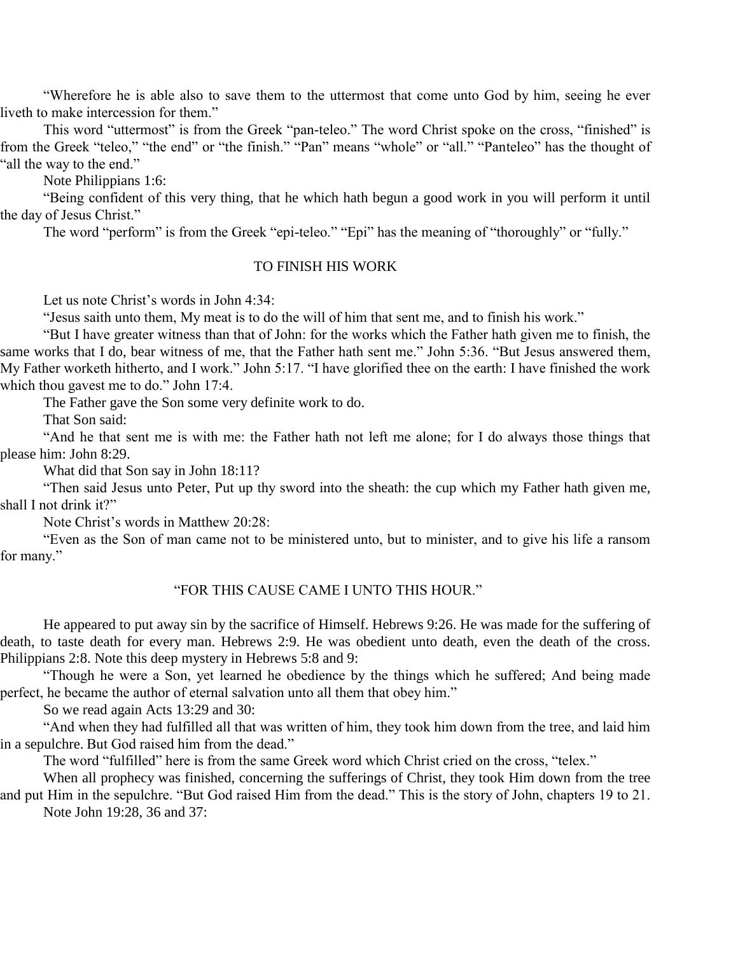"Wherefore he is able also to save them to the uttermost that come unto God by him, seeing he ever liveth to make intercession for them."

This word "uttermost" is from the Greek "pan-teleo." The word Christ spoke on the cross, "finished" is from the Greek "teleo," "the end" or "the finish." "Pan" means "whole" or "all." "Panteleo" has the thought of "all the way to the end."

Note Philippians 1:6:

"Being confident of this very thing, that he which hath begun a good work in you will perform it until the day of Jesus Christ."

The word "perform" is from the Greek "epi-teleo." "Epi" has the meaning of "thoroughly" or "fully."

#### TO FINISH HIS WORK

Let us note Christ's words in John 4:34:

"Jesus saith unto them, My meat is to do the will of him that sent me, and to finish his work."

"But I have greater witness than that of John: for the works which the Father hath given me to finish, the same works that I do, bear witness of me, that the Father hath sent me." John 5:36. "But Jesus answered them, My Father worketh hitherto, and I work." John 5:17. "I have glorified thee on the earth: I have finished the work which thou gavest me to do." John 17:4.

The Father gave the Son some very definite work to do.

That Son said:

"And he that sent me is with me: the Father hath not left me alone; for I do always those things that please him: John 8:29.

What did that Son say in John 18:11?

"Then said Jesus unto Peter, Put up thy sword into the sheath: the cup which my Father hath given me, shall I not drink it?"

Note Christ's words in Matthew 20:28:

"Even as the Son of man came not to be ministered unto, but to minister, and to give his life a ransom for many."

#### "FOR THIS CAUSE CAME I UNTO THIS HOUR."

He appeared to put away sin by the sacrifice of Himself. Hebrews 9:26. He was made for the suffering of death, to taste death for every man. Hebrews 2:9. He was obedient unto death, even the death of the cross. Philippians 2:8. Note this deep mystery in Hebrews 5:8 and 9:

"Though he were a Son, yet learned he obedience by the things which he suffered; And being made perfect, he became the author of eternal salvation unto all them that obey him."

So we read again Acts 13:29 and 30:

"And when they had fulfilled all that was written of him, they took him down from the tree, and laid him in a sepulchre. But God raised him from the dead."

The word "fulfilled" here is from the same Greek word which Christ cried on the cross, "telex."

When all prophecy was finished, concerning the sufferings of Christ, they took Him down from the tree and put Him in the sepulchre. "But God raised Him from the dead." This is the story of John, chapters 19 to 21. Note John 19:28, 36 and 37: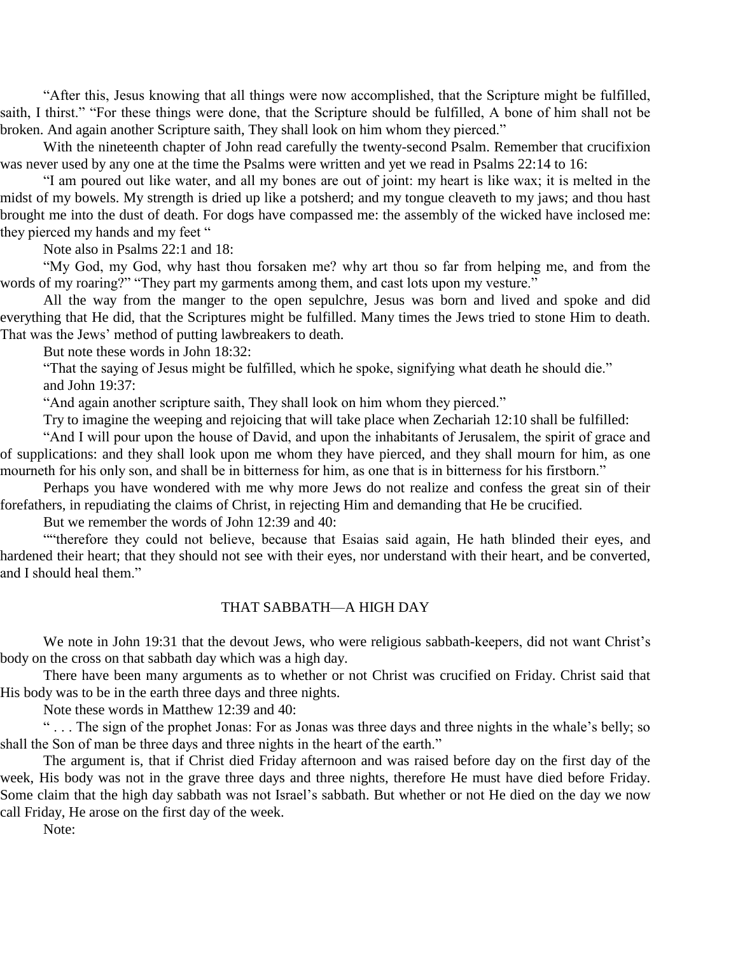"After this, Jesus knowing that all things were now accomplished, that the Scripture might be fulfilled, saith, I thirst." "For these things were done, that the Scripture should be fulfilled, A bone of him shall not be broken. And again another Scripture saith, They shall look on him whom they pierced."

With the nineteenth chapter of John read carefully the twenty-second Psalm. Remember that crucifixion was never used by any one at the time the Psalms were written and yet we read in Psalms 22:14 to 16:

"I am poured out like water, and all my bones are out of joint: my heart is like wax; it is melted in the midst of my bowels. My strength is dried up like a potsherd; and my tongue cleaveth to my jaws; and thou hast brought me into the dust of death. For dogs have compassed me: the assembly of the wicked have inclosed me: they pierced my hands and my feet "

Note also in Psalms 22:1 and 18:

"My God, my God, why hast thou forsaken me? why art thou so far from helping me, and from the words of my roaring?" "They part my garments among them, and cast lots upon my vesture."

All the way from the manger to the open sepulchre, Jesus was born and lived and spoke and did everything that He did, that the Scriptures might be fulfilled. Many times the Jews tried to stone Him to death. That was the Jews' method of putting lawbreakers to death.

But note these words in John 18:32:

"That the saying of Jesus might be fulfilled, which he spoke, signifying what death he should die." and John 19:37:

"And again another scripture saith, They shall look on him whom they pierced."

Try to imagine the weeping and rejoicing that will take place when Zechariah 12:10 shall be fulfilled:

"And I will pour upon the house of David, and upon the inhabitants of Jerusalem, the spirit of grace and of supplications: and they shall look upon me whom they have pierced, and they shall mourn for him, as one mourneth for his only son, and shall be in bitterness for him, as one that is in bitterness for his firstborn."

Perhaps you have wondered with me why more Jews do not realize and confess the great sin of their forefathers, in repudiating the claims of Christ, in rejecting Him and demanding that He be crucified.

But we remember the words of John 12:39 and 40:

""therefore they could not believe, because that Esaias said again, He hath blinded their eyes, and hardened their heart; that they should not see with their eyes, nor understand with their heart, and be converted, and I should heal them."

#### THAT SABBATH—A HIGH DAY

We note in John 19:31 that the devout Jews, who were religious sabbath-keepers, did not want Christ's body on the cross on that sabbath day which was a high day.

There have been many arguments as to whether or not Christ was crucified on Friday. Christ said that His body was to be in the earth three days and three nights.

Note these words in Matthew 12:39 and 40:

" . . . The sign of the prophet Jonas: For as Jonas was three days and three nights in the whale's belly; so shall the Son of man be three days and three nights in the heart of the earth."

The argument is, that if Christ died Friday afternoon and was raised before day on the first day of the week, His body was not in the grave three days and three nights, therefore He must have died before Friday. Some claim that the high day sabbath was not Israel's sabbath. But whether or not He died on the day we now call Friday, He arose on the first day of the week.

Note: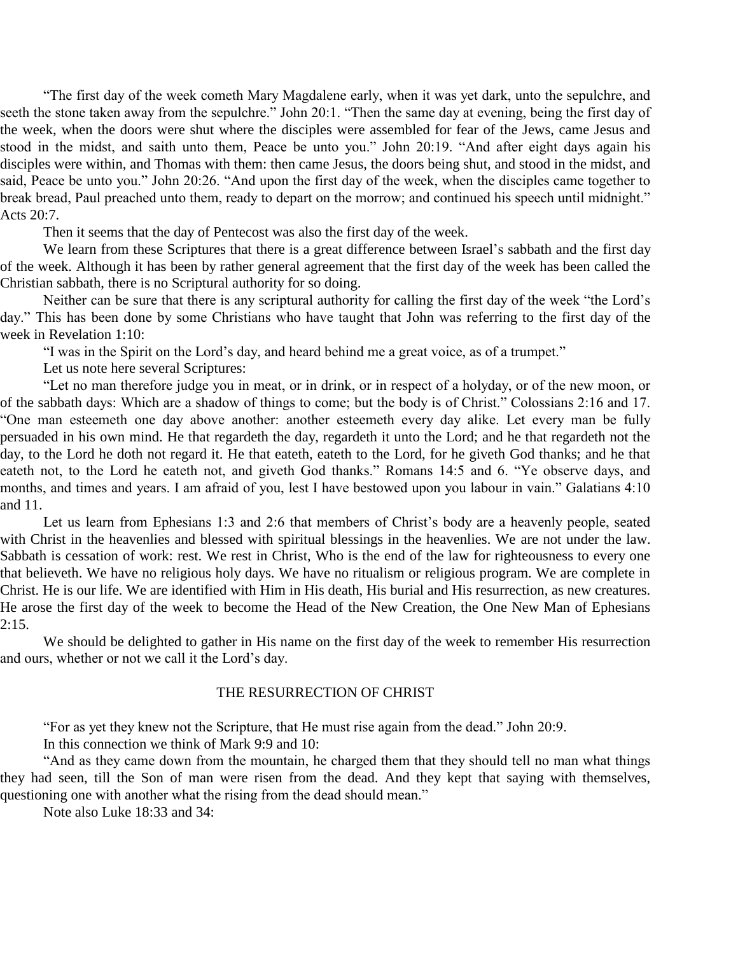"The first day of the week cometh Mary Magdalene early, when it was yet dark, unto the sepulchre, and seeth the stone taken away from the sepulchre." John 20:1. "Then the same day at evening, being the first day of the week, when the doors were shut where the disciples were assembled for fear of the Jews, came Jesus and stood in the midst, and saith unto them, Peace be unto you." John 20:19. "And after eight days again his disciples were within, and Thomas with them: then came Jesus, the doors being shut, and stood in the midst, and said, Peace be unto you." John 20:26. "And upon the first day of the week, when the disciples came together to break bread, Paul preached unto them, ready to depart on the morrow; and continued his speech until midnight." Acts 20:7.

Then it seems that the day of Pentecost was also the first day of the week.

We learn from these Scriptures that there is a great difference between Israel's sabbath and the first day of the week. Although it has been by rather general agreement that the first day of the week has been called the Christian sabbath, there is no Scriptural authority for so doing.

Neither can be sure that there is any scriptural authority for calling the first day of the week "the Lord's day." This has been done by some Christians who have taught that John was referring to the first day of the week in Revelation 1:10:

"I was in the Spirit on the Lord's day, and heard behind me a great voice, as of a trumpet."

Let us note here several Scriptures:

"Let no man therefore judge you in meat, or in drink, or in respect of a holyday, or of the new moon, or of the sabbath days: Which are a shadow of things to come; but the body is of Christ." Colossians 2:16 and 17. "One man esteemeth one day above another: another esteemeth every day alike. Let every man be fully persuaded in his own mind. He that regardeth the day, regardeth it unto the Lord; and he that regardeth not the day, to the Lord he doth not regard it. He that eateth, eateth to the Lord, for he giveth God thanks; and he that eateth not, to the Lord he eateth not, and giveth God thanks." Romans 14:5 and 6. "Ye observe days, and months, and times and years. I am afraid of you, lest I have bestowed upon you labour in vain." Galatians 4:10 and 11.

Let us learn from Ephesians 1:3 and 2:6 that members of Christ's body are a heavenly people, seated with Christ in the heavenlies and blessed with spiritual blessings in the heavenlies. We are not under the law. Sabbath is cessation of work: rest. We rest in Christ, Who is the end of the law for righteousness to every one that believeth. We have no religious holy days. We have no ritualism or religious program. We are complete in Christ. He is our life. We are identified with Him in His death, His burial and His resurrection, as new creatures. He arose the first day of the week to become the Head of the New Creation, the One New Man of Ephesians  $2:15.$ 

We should be delighted to gather in His name on the first day of the week to remember His resurrection and ours, whether or not we call it the Lord's day.

#### THE RESURRECTION OF CHRIST

"For as yet they knew not the Scripture, that He must rise again from the dead." John 20:9.

In this connection we think of Mark 9:9 and 10:

"And as they came down from the mountain, he charged them that they should tell no man what things they had seen, till the Son of man were risen from the dead. And they kept that saying with themselves, questioning one with another what the rising from the dead should mean."

Note also Luke 18:33 and 34: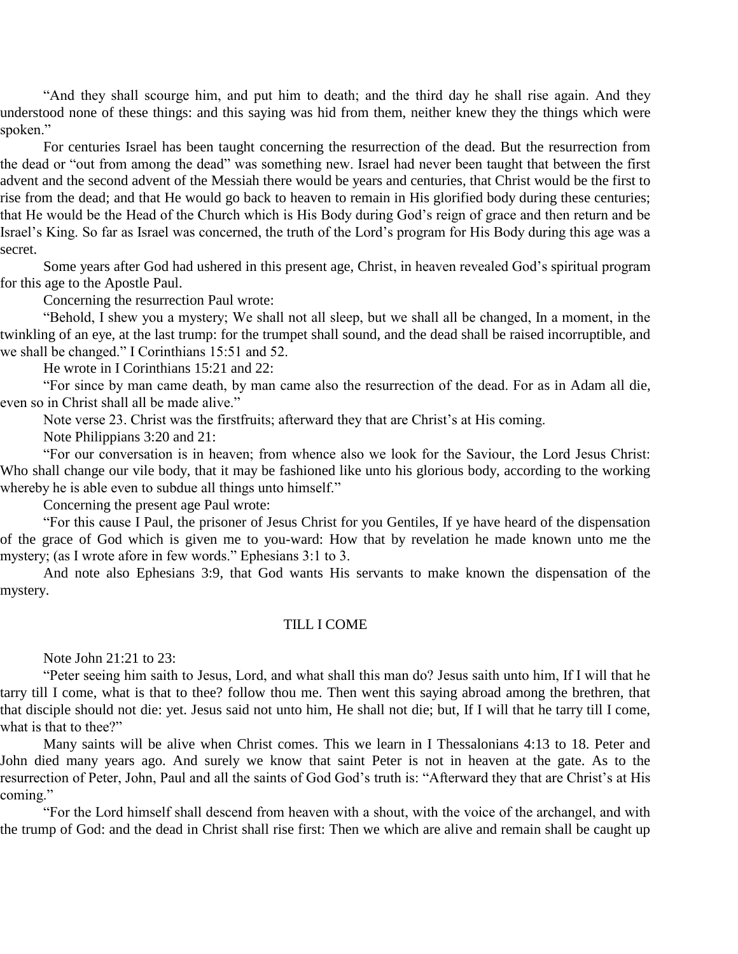"And they shall scourge him, and put him to death; and the third day he shall rise again. And they understood none of these things: and this saying was hid from them, neither knew they the things which were spoken."

For centuries Israel has been taught concerning the resurrection of the dead. But the resurrection from the dead or "out from among the dead" was something new. Israel had never been taught that between the first advent and the second advent of the Messiah there would be years and centuries, that Christ would be the first to rise from the dead; and that He would go back to heaven to remain in His glorified body during these centuries; that He would be the Head of the Church which is His Body during God's reign of grace and then return and be Israel's King. So far as Israel was concerned, the truth of the Lord's program for His Body during this age was a secret.

Some years after God had ushered in this present age, Christ, in heaven revealed God's spiritual program for this age to the Apostle Paul.

Concerning the resurrection Paul wrote:

"Behold, I shew you a mystery; We shall not all sleep, but we shall all be changed, In a moment, in the twinkling of an eye, at the last trump: for the trumpet shall sound, and the dead shall be raised incorruptible, and we shall be changed." I Corinthians 15:51 and 52.

He wrote in I Corinthians 15:21 and 22:

"For since by man came death, by man came also the resurrection of the dead. For as in Adam all die, even so in Christ shall all be made alive."

Note verse 23. Christ was the firstfruits; afterward they that are Christ's at His coming.

Note Philippians 3:20 and 21:

"For our conversation is in heaven; from whence also we look for the Saviour, the Lord Jesus Christ: Who shall change our vile body, that it may be fashioned like unto his glorious body, according to the working whereby he is able even to subdue all things unto himself."

Concerning the present age Paul wrote:

"For this cause I Paul, the prisoner of Jesus Christ for you Gentiles, If ye have heard of the dispensation of the grace of God which is given me to you-ward: How that by revelation he made known unto me the mystery; (as I wrote afore in few words." Ephesians 3:1 to 3.

And note also Ephesians 3:9, that God wants His servants to make known the dispensation of the mystery.

#### TILL I COME

Note John 21:21 to 23:

"Peter seeing him saith to Jesus, Lord, and what shall this man do? Jesus saith unto him, If I will that he tarry till I come, what is that to thee? follow thou me. Then went this saying abroad among the brethren, that that disciple should not die: yet. Jesus said not unto him, He shall not die; but, If I will that he tarry till I come, what is that to thee?"

Many saints will be alive when Christ comes. This we learn in I Thessalonians 4:13 to 18. Peter and John died many years ago. And surely we know that saint Peter is not in heaven at the gate. As to the resurrection of Peter, John, Paul and all the saints of God God's truth is: "Afterward they that are Christ's at His coming."

"For the Lord himself shall descend from heaven with a shout, with the voice of the archangel, and with the trump of God: and the dead in Christ shall rise first: Then we which are alive and remain shall be caught up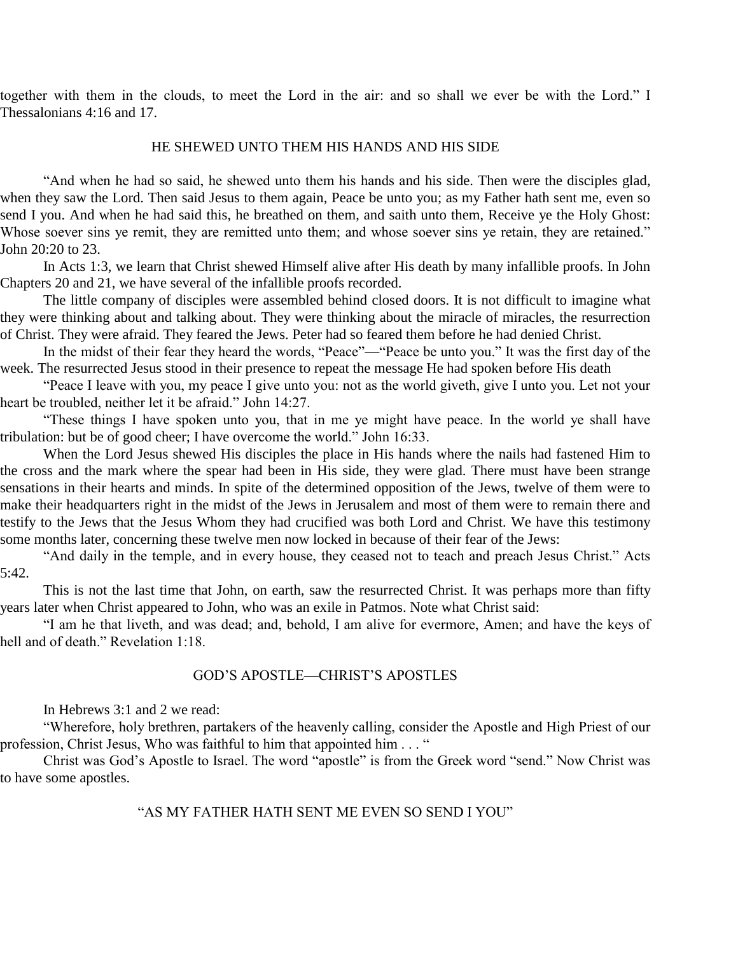together with them in the clouds, to meet the Lord in the air: and so shall we ever be with the Lord." I Thessalonians 4:16 and 17.

#### HE SHEWED UNTO THEM HIS HANDS AND HIS SIDE

"And when he had so said, he shewed unto them his hands and his side. Then were the disciples glad, when they saw the Lord. Then said Jesus to them again, Peace be unto you; as my Father hath sent me, even so send I you. And when he had said this, he breathed on them, and saith unto them, Receive ye the Holy Ghost: Whose soever sins ye remit, they are remitted unto them; and whose soever sins ye retain, they are retained." John 20:20 to 23.

In Acts 1:3, we learn that Christ shewed Himself alive after His death by many infallible proofs. In John Chapters 20 and 21, we have several of the infallible proofs recorded.

The little company of disciples were assembled behind closed doors. It is not difficult to imagine what they were thinking about and talking about. They were thinking about the miracle of miracles, the resurrection of Christ. They were afraid. They feared the Jews. Peter had so feared them before he had denied Christ.

In the midst of their fear they heard the words, "Peace"—"Peace be unto you." It was the first day of the week. The resurrected Jesus stood in their presence to repeat the message He had spoken before His death

"Peace I leave with you, my peace I give unto you: not as the world giveth, give I unto you. Let not your heart be troubled, neither let it be afraid." John 14:27.

"These things I have spoken unto you, that in me ye might have peace. In the world ye shall have tribulation: but be of good cheer; I have overcome the world." John 16:33.

When the Lord Jesus shewed His disciples the place in His hands where the nails had fastened Him to the cross and the mark where the spear had been in His side, they were glad. There must have been strange sensations in their hearts and minds. In spite of the determined opposition of the Jews, twelve of them were to make their headquarters right in the midst of the Jews in Jerusalem and most of them were to remain there and testify to the Jews that the Jesus Whom they had crucified was both Lord and Christ. We have this testimony some months later, concerning these twelve men now locked in because of their fear of the Jews:

"And daily in the temple, and in every house, they ceased not to teach and preach Jesus Christ." Acts 5:42.

This is not the last time that John, on earth, saw the resurrected Christ. It was perhaps more than fifty years later when Christ appeared to John, who was an exile in Patmos. Note what Christ said:

"I am he that liveth, and was dead; and, behold, I am alive for evermore, Amen; and have the keys of hell and of death." Revelation 1:18.

#### GOD'S APOSTLE—CHRIST'S APOSTLES

In Hebrews 3:1 and 2 we read:

"Wherefore, holy brethren, partakers of the heavenly calling, consider the Apostle and High Priest of our profession, Christ Jesus, Who was faithful to him that appointed him . . . "

Christ was God's Apostle to Israel. The word "apostle" is from the Greek word "send." Now Christ was to have some apostles.

#### "AS MY FATHER HATH SENT ME EVEN SO SEND I YOU"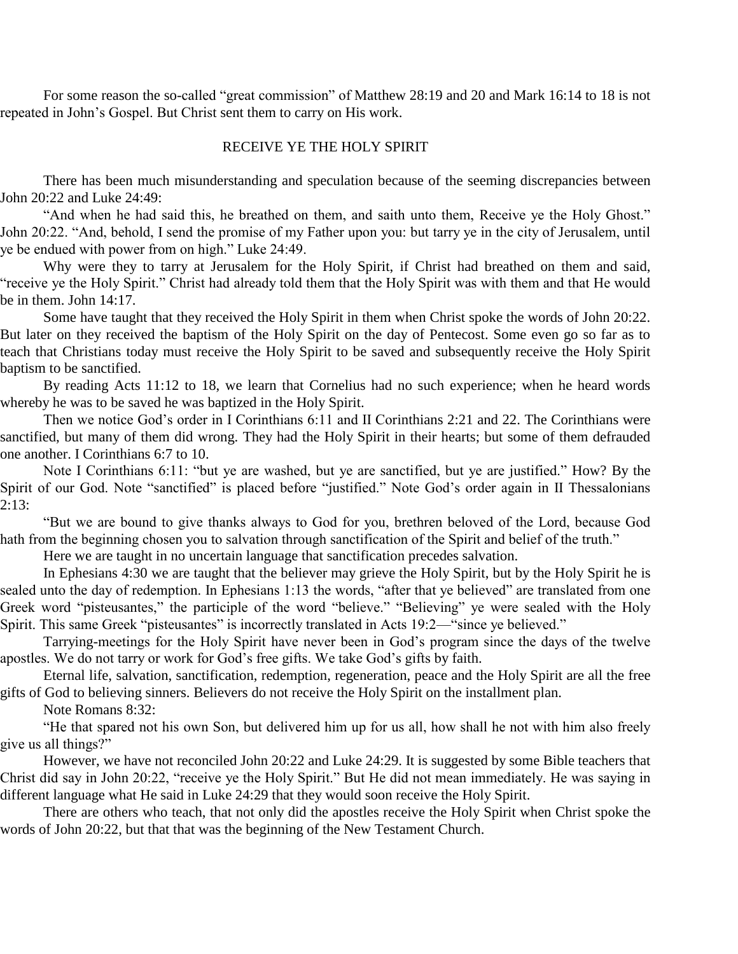For some reason the so-called "great commission" of Matthew 28:19 and 20 and Mark 16:14 to 18 is not repeated in John's Gospel. But Christ sent them to carry on His work.

#### RECEIVE YE THE HOLY SPIRIT

There has been much misunderstanding and speculation because of the seeming discrepancies between John 20:22 and Luke 24:49:

"And when he had said this, he breathed on them, and saith unto them, Receive ye the Holy Ghost." John 20:22. "And, behold, I send the promise of my Father upon you: but tarry ye in the city of Jerusalem, until ye be endued with power from on high." Luke 24:49.

Why were they to tarry at Jerusalem for the Holy Spirit, if Christ had breathed on them and said, "receive ye the Holy Spirit." Christ had already told them that the Holy Spirit was with them and that He would be in them. John 14:17.

Some have taught that they received the Holy Spirit in them when Christ spoke the words of John 20:22. But later on they received the baptism of the Holy Spirit on the day of Pentecost. Some even go so far as to teach that Christians today must receive the Holy Spirit to be saved and subsequently receive the Holy Spirit baptism to be sanctified.

By reading Acts 11:12 to 18, we learn that Cornelius had no such experience; when he heard words whereby he was to be saved he was baptized in the Holy Spirit.

Then we notice God's order in I Corinthians 6:11 and II Corinthians 2:21 and 22. The Corinthians were sanctified, but many of them did wrong. They had the Holy Spirit in their hearts; but some of them defrauded one another. I Corinthians 6:7 to 10.

Note I Corinthians 6:11: "but ye are washed, but ye are sanctified, but ye are justified." How? By the Spirit of our God. Note "sanctified" is placed before "justified." Note God's order again in II Thessalonians  $2:13:$ 

"But we are bound to give thanks always to God for you, brethren beloved of the Lord, because God hath from the beginning chosen you to salvation through sanctification of the Spirit and belief of the truth."

Here we are taught in no uncertain language that sanctification precedes salvation.

In Ephesians 4:30 we are taught that the believer may grieve the Holy Spirit, but by the Holy Spirit he is sealed unto the day of redemption. In Ephesians 1:13 the words, "after that ye believed" are translated from one Greek word "pisteusantes," the participle of the word "believe." "Believing" ye were sealed with the Holy Spirit. This same Greek "pisteusantes" is incorrectly translated in Acts 19:2—"since ye believed."

Tarrying-meetings for the Holy Spirit have never been in God's program since the days of the twelve apostles. We do not tarry or work for God's free gifts. We take God's gifts by faith.

Eternal life, salvation, sanctification, redemption, regeneration, peace and the Holy Spirit are all the free gifts of God to believing sinners. Believers do not receive the Holy Spirit on the installment plan.

Note Romans 8:32:

"He that spared not his own Son, but delivered him up for us all, how shall he not with him also freely give us all things?"

However, we have not reconciled John 20:22 and Luke 24:29. It is suggested by some Bible teachers that Christ did say in John 20:22, "receive ye the Holy Spirit." But He did not mean immediately. He was saying in different language what He said in Luke 24:29 that they would soon receive the Holy Spirit.

There are others who teach, that not only did the apostles receive the Holy Spirit when Christ spoke the words of John 20:22, but that that was the beginning of the New Testament Church.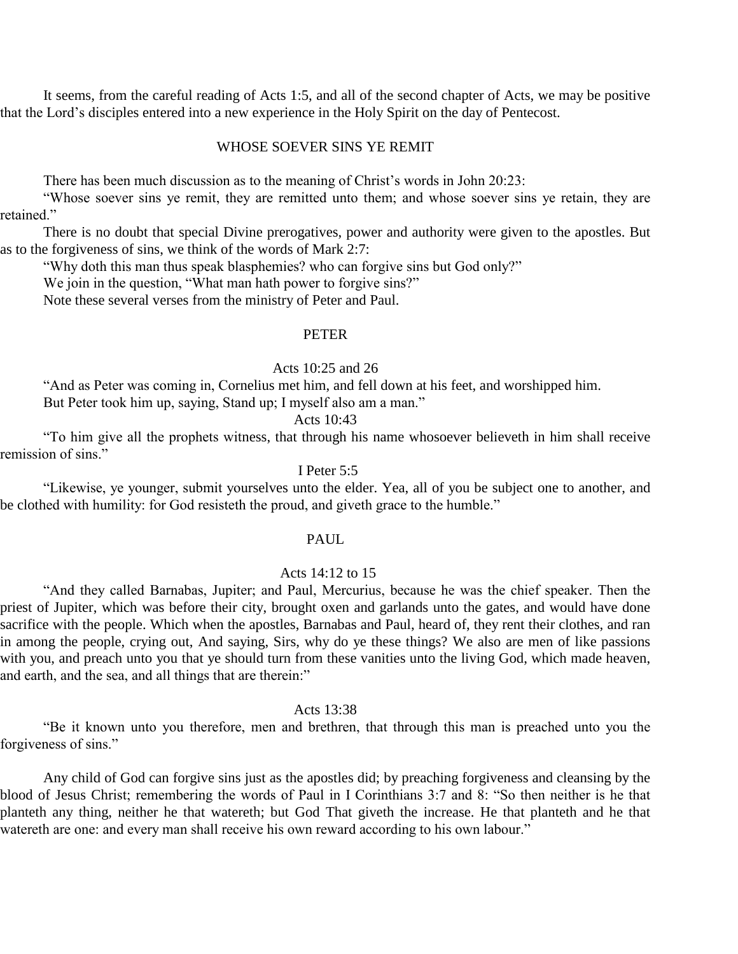It seems, from the careful reading of Acts 1:5, and all of the second chapter of Acts, we may be positive that the Lord's disciples entered into a new experience in the Holy Spirit on the day of Pentecost.

#### WHOSE SOEVER SINS YE REMIT

There has been much discussion as to the meaning of Christ's words in John 20:23:

"Whose soever sins ye remit, they are remitted unto them; and whose soever sins ye retain, they are retained."

There is no doubt that special Divine prerogatives, power and authority were given to the apostles. But as to the forgiveness of sins, we think of the words of Mark 2:7:

"Why doth this man thus speak blasphemies? who can forgive sins but God only?"

We join in the question, "What man hath power to forgive sins?"

Note these several verses from the ministry of Peter and Paul.

#### PETER

#### Acts 10:25 and 26

"And as Peter was coming in, Cornelius met him, and fell down at his feet, and worshipped him. But Peter took him up, saying, Stand up; I myself also am a man."

Acts 10:43

"To him give all the prophets witness, that through his name whosoever believeth in him shall receive remission of sins."

#### I Peter 5:5

"Likewise, ye younger, submit yourselves unto the elder. Yea, all of you be subject one to another, and be clothed with humility: for God resisteth the proud, and giveth grace to the humble."

#### PAUL

#### Acts 14:12 to 15

"And they called Barnabas, Jupiter; and Paul, Mercurius, because he was the chief speaker. Then the priest of Jupiter, which was before their city, brought oxen and garlands unto the gates, and would have done sacrifice with the people. Which when the apostles, Barnabas and Paul, heard of, they rent their clothes, and ran in among the people, crying out, And saying, Sirs, why do ye these things? We also are men of like passions with you, and preach unto you that ye should turn from these vanities unto the living God, which made heaven, and earth, and the sea, and all things that are therein:"

#### Acts 13:38

"Be it known unto you therefore, men and brethren, that through this man is preached unto you the forgiveness of sins."

Any child of God can forgive sins just as the apostles did; by preaching forgiveness and cleansing by the blood of Jesus Christ; remembering the words of Paul in I Corinthians 3:7 and 8: "So then neither is he that planteth any thing, neither he that watereth; but God That giveth the increase. He that planteth and he that watereth are one: and every man shall receive his own reward according to his own labour."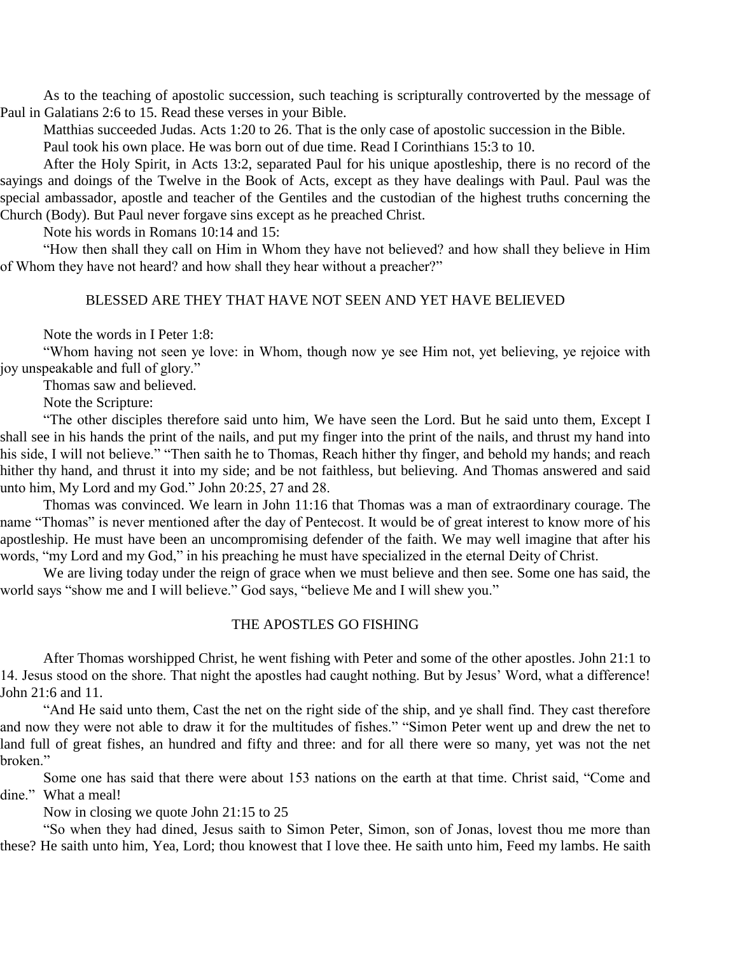As to the teaching of apostolic succession, such teaching is scripturally controverted by the message of Paul in Galatians 2:6 to 15. Read these verses in your Bible.

Matthias succeeded Judas. Acts 1:20 to 26. That is the only case of apostolic succession in the Bible.

Paul took his own place. He was born out of due time. Read I Corinthians 15:3 to 10.

After the Holy Spirit, in Acts 13:2, separated Paul for his unique apostleship, there is no record of the sayings and doings of the Twelve in the Book of Acts, except as they have dealings with Paul. Paul was the special ambassador, apostle and teacher of the Gentiles and the custodian of the highest truths concerning the Church (Body). But Paul never forgave sins except as he preached Christ.

Note his words in Romans 10:14 and 15:

"How then shall they call on Him in Whom they have not believed? and how shall they believe in Him of Whom they have not heard? and how shall they hear without a preacher?"

#### BLESSED ARE THEY THAT HAVE NOT SEEN AND YET HAVE BELIEVED

Note the words in I Peter 1:8:

"Whom having not seen ye love: in Whom, though now ye see Him not, yet believing, ye rejoice with joy unspeakable and full of glory."

Thomas saw and believed.

Note the Scripture:

"The other disciples therefore said unto him, We have seen the Lord. But he said unto them, Except I shall see in his hands the print of the nails, and put my finger into the print of the nails, and thrust my hand into his side, I will not believe." "Then saith he to Thomas, Reach hither thy finger, and behold my hands; and reach hither thy hand, and thrust it into my side; and be not faithless, but believing. And Thomas answered and said unto him, My Lord and my God." John 20:25, 27 and 28.

Thomas was convinced. We learn in John 11:16 that Thomas was a man of extraordinary courage. The name "Thomas" is never mentioned after the day of Pentecost. It would be of great interest to know more of his apostleship. He must have been an uncompromising defender of the faith. We may well imagine that after his words, "my Lord and my God," in his preaching he must have specialized in the eternal Deity of Christ.

We are living today under the reign of grace when we must believe and then see. Some one has said, the world says "show me and I will believe." God says, "believe Me and I will shew you."

#### THE APOSTLES GO FISHING

After Thomas worshipped Christ, he went fishing with Peter and some of the other apostles. John 21:1 to 14. Jesus stood on the shore. That night the apostles had caught nothing. But by Jesus' Word, what a difference! John 21:6 and 11.

"And He said unto them, Cast the net on the right side of the ship, and ye shall find. They cast therefore and now they were not able to draw it for the multitudes of fishes." "Simon Peter went up and drew the net to land full of great fishes, an hundred and fifty and three: and for all there were so many, yet was not the net broken."

Some one has said that there were about 153 nations on the earth at that time. Christ said, "Come and dine." What a meal!

Now in closing we quote John 21:15 to 25

"So when they had dined, Jesus saith to Simon Peter, Simon, son of Jonas, lovest thou me more than these? He saith unto him, Yea, Lord; thou knowest that I love thee. He saith unto him, Feed my lambs. He saith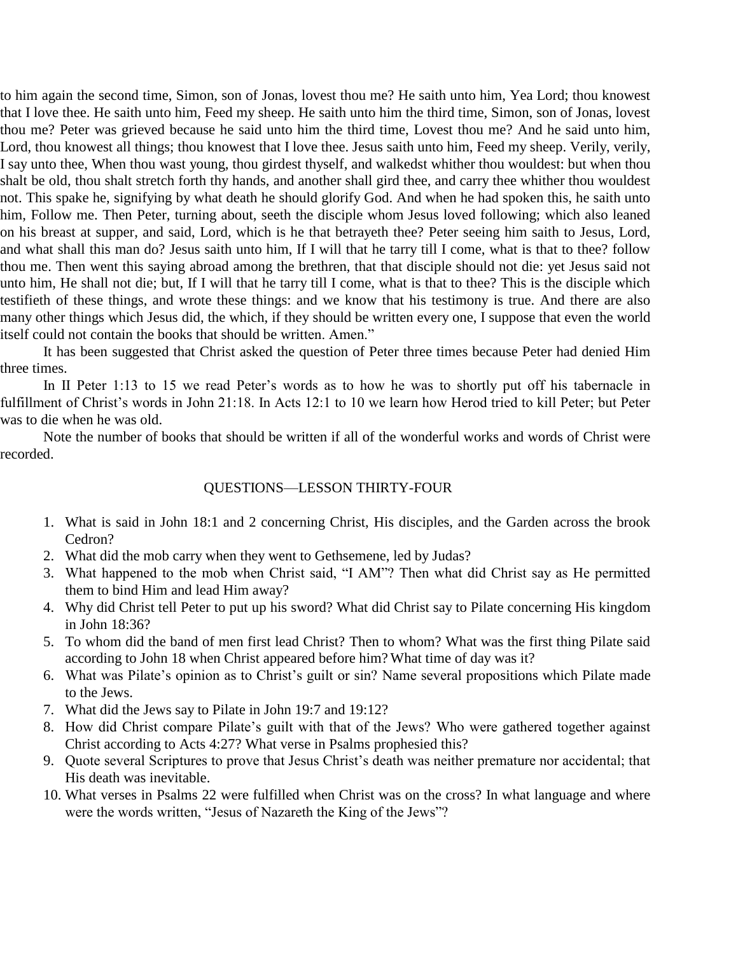to him again the second time, Simon, son of Jonas, lovest thou me? He saith unto him, Yea Lord; thou knowest that I love thee. He saith unto him, Feed my sheep. He saith unto him the third time, Simon, son of Jonas, lovest thou me? Peter was grieved because he said unto him the third time, Lovest thou me? And he said unto him, Lord, thou knowest all things; thou knowest that I love thee. Jesus saith unto him, Feed my sheep. Verily, verily, I say unto thee, When thou wast young, thou girdest thyself, and walkedst whither thou wouldest: but when thou shalt be old, thou shalt stretch forth thy hands, and another shall gird thee, and carry thee whither thou wouldest not. This spake he, signifying by what death he should glorify God. And when he had spoken this, he saith unto him, Follow me. Then Peter, turning about, seeth the disciple whom Jesus loved following; which also leaned on his breast at supper, and said, Lord, which is he that betrayeth thee? Peter seeing him saith to Jesus, Lord, and what shall this man do? Jesus saith unto him, If I will that he tarry till I come, what is that to thee? follow thou me. Then went this saying abroad among the brethren, that that disciple should not die: yet Jesus said not unto him, He shall not die; but, If I will that he tarry till I come, what is that to thee? This is the disciple which testifieth of these things, and wrote these things: and we know that his testimony is true. And there are also many other things which Jesus did, the which, if they should be written every one, I suppose that even the world itself could not contain the books that should be written. Amen."

It has been suggested that Christ asked the question of Peter three times because Peter had denied Him three times.

In II Peter 1:13 to 15 we read Peter's words as to how he was to shortly put off his tabernacle in fulfillment of Christ's words in John 21:18. In Acts 12:1 to 10 we learn how Herod tried to kill Peter; but Peter was to die when he was old.

Note the number of books that should be written if all of the wonderful works and words of Christ were recorded.

#### QUESTIONS—LESSON THIRTY-FOUR

- 1. What is said in John 18:1 and 2 concerning Christ, His disciples, and the Garden across the brook Cedron?
- 2. What did the mob carry when they went to Gethsemene, led by Judas?
- 3. What happened to the mob when Christ said, "I AM"? Then what did Christ say as He permitted them to bind Him and lead Him away?
- 4. Why did Christ tell Peter to put up his sword? What did Christ say to Pilate concerning His kingdom in John 18:36?
- 5. To whom did the band of men first lead Christ? Then to whom? What was the first thing Pilate said according to John 18 when Christ appeared before him? What time of day was it?
- 6. What was Pilate's opinion as to Christ's guilt or sin? Name several propositions which Pilate made to the Jews.
- 7. What did the Jews say to Pilate in John 19:7 and 19:12?
- 8. How did Christ compare Pilate's guilt with that of the Jews? Who were gathered together against Christ according to Acts 4:27? What verse in Psalms prophesied this?
- 9. Quote several Scriptures to prove that Jesus Christ's death was neither premature nor accidental; that His death was inevitable.
- 10. What verses in Psalms 22 were fulfilled when Christ was on the cross? In what language and where were the words written, "Jesus of Nazareth the King of the Jews"?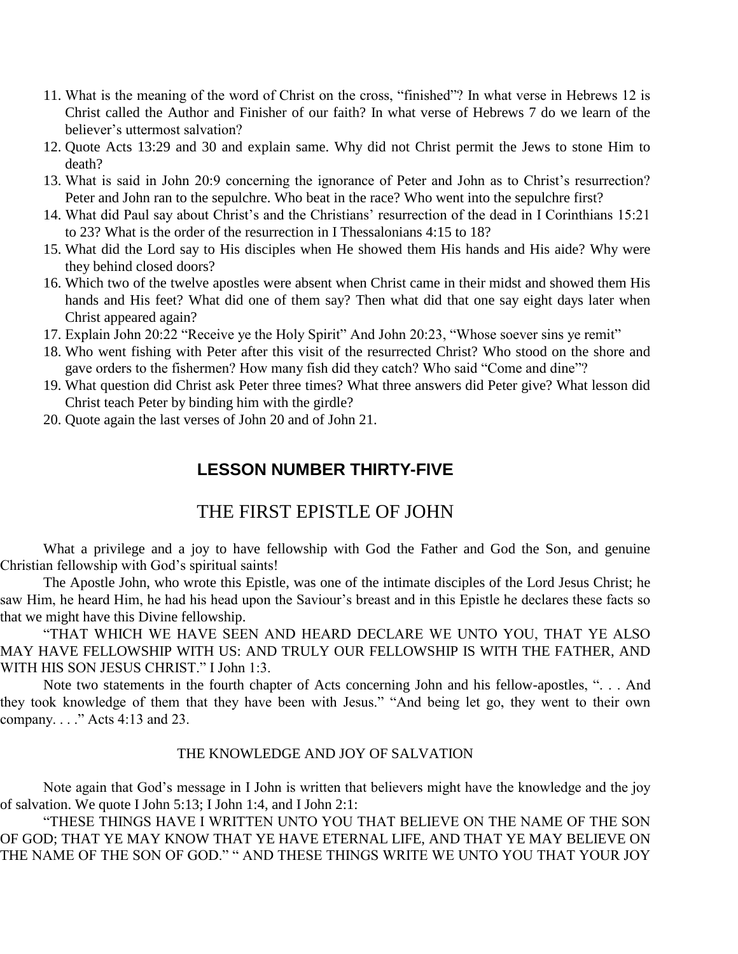- 11. What is the meaning of the word of Christ on the cross, "finished"? In what verse in Hebrews 12 is Christ called the Author and Finisher of our faith? In what verse of Hebrews 7 do we learn of the believer's uttermost salvation?
- 12. Quote Acts 13:29 and 30 and explain same. Why did not Christ permit the Jews to stone Him to death?
- 13. What is said in John 20:9 concerning the ignorance of Peter and John as to Christ's resurrection? Peter and John ran to the sepulchre. Who beat in the race? Who went into the sepulchre first?
- 14. What did Paul say about Christ's and the Christians' resurrection of the dead in I Corinthians 15:21 to 23? What is the order of the resurrection in I Thessalonians 4:15 to 18?
- 15. What did the Lord say to His disciples when He showed them His hands and His aide? Why were they behind closed doors?
- 16. Which two of the twelve apostles were absent when Christ came in their midst and showed them His hands and His feet? What did one of them say? Then what did that one say eight days later when Christ appeared again?
- 17. Explain John 20:22 "Receive ye the Holy Spirit" And John 20:23, "Whose soever sins ye remit"
- 18. Who went fishing with Peter after this visit of the resurrected Christ? Who stood on the shore and gave orders to the fishermen? How many fish did they catch? Who said "Come and dine"?
- 19. What question did Christ ask Peter three times? What three answers did Peter give? What lesson did Christ teach Peter by binding him with the girdle?
- 20. Quote again the last verses of John 20 and of John 21.

# **LESSON NUMBER THIRTY-FIVE**

# THE FIRST EPISTLE OF JOHN

What a privilege and a joy to have fellowship with God the Father and God the Son, and genuine Christian fellowship with God's spiritual saints!

The Apostle John, who wrote this Epistle, was one of the intimate disciples of the Lord Jesus Christ; he saw Him, he heard Him, he had his head upon the Saviour's breast and in this Epistle he declares these facts so that we might have this Divine fellowship.

"THAT WHICH WE HAVE SEEN AND HEARD DECLARE WE UNTO YOU, THAT YE ALSO MAY HAVE FELLOWSHIP WITH US: AND TRULY OUR FELLOWSHIP IS WITH THE FATHER, AND WITH HIS SON JESUS CHRIST." I John 1:3.

Note two statements in the fourth chapter of Acts concerning John and his fellow-apostles, ". . . And they took knowledge of them that they have been with Jesus." "And being let go, they went to their own company. . . ." Acts 4:13 and 23.

#### THE KNOWLEDGE AND JOY OF SALVATION

Note again that God's message in I John is written that believers might have the knowledge and the joy of salvation. We quote I John 5:13; I John 1:4, and I John 2:1:

"THESE THINGS HAVE I WRITTEN UNTO YOU THAT BELIEVE ON THE NAME OF THE SON OF GOD; THAT YE MAY KNOW THAT YE HAVE ETERNAL LIFE, AND THAT YE MAY BELIEVE ON THE NAME OF THE SON OF GOD." " AND THESE THINGS WRITE WE UNTO YOU THAT YOUR JOY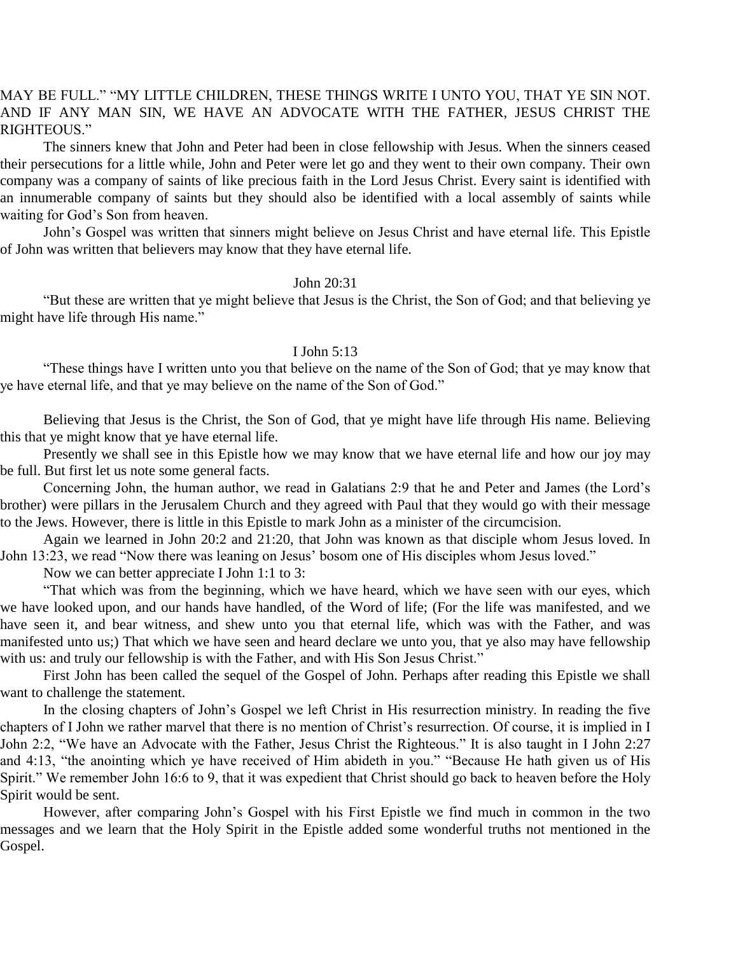### MAY BE FULL." "MY LITTLE CHILDREN, THESE THINGS WRITE I UNTO YOU, THAT YE SIN NOT. AND IF ANY MAN SIN, WE HAVE AN ADVOCATE WITH THE FATHER, JESUS CHRIST THE RIGHTEOUS."

The sinners knew that John and Peter had been in close fellowship with Jesus. When the sinners ceased their persecutions for a little while, John and Peter were let go and they went to their own company. Their own company was a company of saints of like precious faith in the Lord Jesus Christ. Every saint is identified with an innumerable company of saints but they should also be identified with a local assembly of saints while waiting for God's Son from heaven.

John's Gospel was written that sinners might believe on Jesus Christ and have eternal life. This Epistle of John was written that believers may know that they have eternal life.

#### John 20:31

"But these are written that ye might believe that Jesus is the Christ, the Son of God; and that believing ye might have life through His name."

#### I John 5:13

"These things have I written unto you that believe on the name of the Son of God; that ye may know that ye have eternal life, and that ye may believe on the name of the Son of God."

Believing that Jesus is the Christ, the Son of God, that ye might have life through His name. Believing this that ye might know that ye have eternal life.

Presently we shall see in this Epistle how we may know that we have eternal life and how our joy may be full. But first let us note some general facts.

Concerning John, the human author, we read in Galatians 2:9 that he and Peter and James (the Lord's brother) were pillars in the Jerusalem Church and they agreed with Paul that they would go with their message to the Jews. However, there is little in this Epistle to mark John as a minister of the circumcision.

Again we learned in John 20:2 and 21:20, that John was known as that disciple whom Jesus loved. In John 13:23, we read "Now there was leaning on Jesus' bosom one of His disciples whom Jesus loved."

Now we can better appreciate I John 1:1 to 3:

"That which was from the beginning, which we have heard, which we have seen with our eyes, which we have looked upon, and our hands have handled, of the Word of life; (For the life was manifested, and we have seen it, and bear witness, and shew unto you that eternal life, which was with the Father, and was manifested unto us;) That which we have seen and heard declare we unto you, that ye also may have fellowship with us: and truly our fellowship is with the Father, and with His Son Jesus Christ."

First John has been called the sequel of the Gospel of John. Perhaps after reading this Epistle we shall want to challenge the statement.

In the closing chapters of John's Gospel we left Christ in His resurrection ministry. In reading the five chapters of I John we rather marvel that there is no mention of Christ's resurrection. Of course, it is implied in I John 2:2, "We have an Advocate with the Father, Jesus Christ the Righteous." It is also taught in I John 2:27 and 4:13, "the anointing which ye have received of Him abideth in you." "Because He hath given us of His Spirit." We remember John 16:6 to 9, that it was expedient that Christ should go back to heaven before the Holy Spirit would be sent.

However, after comparing John's Gospel with his First Epistle we find much in common in the two messages and we learn that the Holy Spirit in the Epistle added some wonderful truths not mentioned in the Gospel.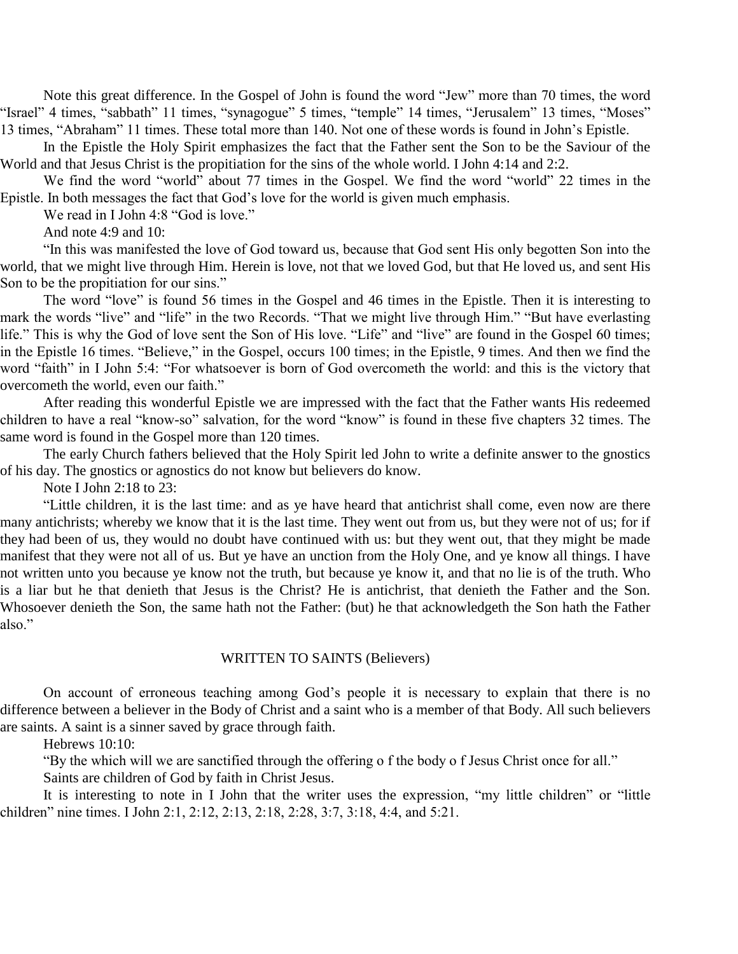Note this great difference. In the Gospel of John is found the word "Jew" more than 70 times, the word "Israel" 4 times, "sabbath" 11 times, "synagogue" 5 times, "temple" 14 times, "Jerusalem" 13 times, "Moses" 13 times, "Abraham" 11 times. These total more than 140. Not one of these words is found in John's Epistle.

In the Epistle the Holy Spirit emphasizes the fact that the Father sent the Son to be the Saviour of the World and that Jesus Christ is the propitiation for the sins of the whole world. I John 4:14 and 2:2.

We find the word "world" about 77 times in the Gospel. We find the word "world" 22 times in the Epistle. In both messages the fact that God's love for the world is given much emphasis.

We read in I John 4:8 "God is love."

And note 4:9 and 10:

"In this was manifested the love of God toward us, because that God sent His only begotten Son into the world, that we might live through Him. Herein is love, not that we loved God, but that He loved us, and sent His Son to be the propitiation for our sins."

The word "love" is found 56 times in the Gospel and 46 times in the Epistle. Then it is interesting to mark the words "live" and "life" in the two Records. "That we might live through Him." "But have everlasting life." This is why the God of love sent the Son of His love. "Life" and "live" are found in the Gospel 60 times; in the Epistle 16 times. "Believe," in the Gospel, occurs 100 times; in the Epistle, 9 times. And then we find the word "faith" in I John 5:4: "For whatsoever is born of God overcometh the world: and this is the victory that overcometh the world, even our faith."

After reading this wonderful Epistle we are impressed with the fact that the Father wants His redeemed children to have a real "know-so" salvation, for the word "know" is found in these five chapters 32 times. The same word is found in the Gospel more than 120 times.

The early Church fathers believed that the Holy Spirit led John to write a definite answer to the gnostics of his day. The gnostics or agnostics do not know but believers do know.

Note I John 2:18 to 23:

"Little children, it is the last time: and as ye have heard that antichrist shall come, even now are there many antichrists; whereby we know that it is the last time. They went out from us, but they were not of us; for if they had been of us, they would no doubt have continued with us: but they went out, that they might be made manifest that they were not all of us. But ye have an unction from the Holy One, and ye know all things. I have not written unto you because ye know not the truth, but because ye know it, and that no lie is of the truth. Who is a liar but he that denieth that Jesus is the Christ? He is antichrist, that denieth the Father and the Son. Whosoever denieth the Son, the same hath not the Father: (but) he that acknowledgeth the Son hath the Father also."

#### WRITTEN TO SAINTS (Believers)

On account of erroneous teaching among God's people it is necessary to explain that there is no difference between a believer in the Body of Christ and a saint who is a member of that Body. All such believers are saints. A saint is a sinner saved by grace through faith.

Hebrews 10:10:

"By the which will we are sanctified through the offering o f the body o f Jesus Christ once for all."

Saints are children of God by faith in Christ Jesus.

It is interesting to note in I John that the writer uses the expression, "my little children" or "little children" nine times. I John 2:1, 2:12, 2:13, 2:18, 2:28, 3:7, 3:18, 4:4, and 5:21.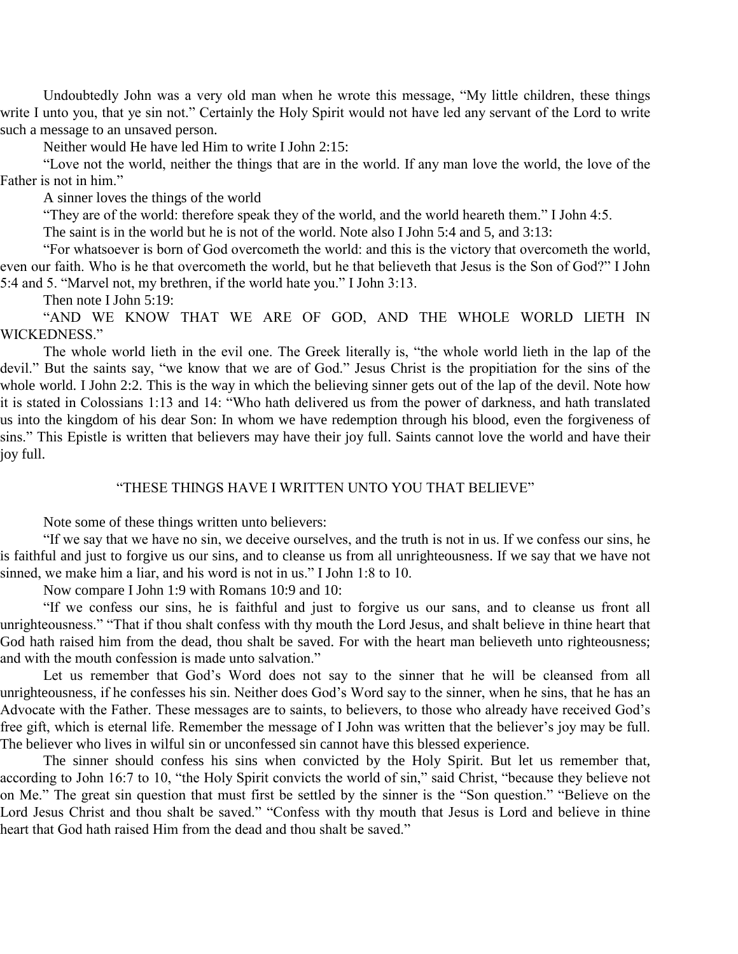Undoubtedly John was a very old man when he wrote this message, "My little children, these things write I unto you, that ye sin not." Certainly the Holy Spirit would not have led any servant of the Lord to write such a message to an unsaved person.

Neither would He have led Him to write I John 2:15:

"Love not the world, neither the things that are in the world. If any man love the world, the love of the Father is not in him."

A sinner loves the things of the world

"They are of the world: therefore speak they of the world, and the world heareth them." I John 4:5.

The saint is in the world but he is not of the world. Note also I John 5:4 and 5, and 3:13:

"For whatsoever is born of God overcometh the world: and this is the victory that overcometh the world, even our faith. Who is he that overcometh the world, but he that believeth that Jesus is the Son of God?" I John 5:4 and 5. "Marvel not, my brethren, if the world hate you." I John 3:13.

Then note I John 5:19:

"AND WE KNOW THAT WE ARE OF GOD, AND THE WHOLE WORLD LIETH IN WICKEDNESS."

The whole world lieth in the evil one. The Greek literally is, "the whole world lieth in the lap of the devil." But the saints say, "we know that we are of God." Jesus Christ is the propitiation for the sins of the whole world. I John 2:2. This is the way in which the believing sinner gets out of the lap of the devil. Note how it is stated in Colossians 1:13 and 14: "Who hath delivered us from the power of darkness, and hath translated us into the kingdom of his dear Son: In whom we have redemption through his blood, even the forgiveness of sins." This Epistle is written that believers may have their joy full. Saints cannot love the world and have their joy full.

#### "THESE THINGS HAVE I WRITTEN UNTO YOU THAT BELIEVE"

Note some of these things written unto believers:

"If we say that we have no sin, we deceive ourselves, and the truth is not in us. If we confess our sins, he is faithful and just to forgive us our sins, and to cleanse us from all unrighteousness. If we say that we have not sinned, we make him a liar, and his word is not in us." I John 1:8 to 10.

Now compare I John 1:9 with Romans 10:9 and 10:

"If we confess our sins, he is faithful and just to forgive us our sans, and to cleanse us front all unrighteousness." "That if thou shalt confess with thy mouth the Lord Jesus, and shalt believe in thine heart that God hath raised him from the dead, thou shalt be saved. For with the heart man believeth unto righteousness; and with the mouth confession is made unto salvation."

Let us remember that God's Word does not say to the sinner that he will be cleansed from all unrighteousness, if he confesses his sin. Neither does God's Word say to the sinner, when he sins, that he has an Advocate with the Father. These messages are to saints, to believers, to those who already have received God's free gift, which is eternal life. Remember the message of I John was written that the believer's joy may be full. The believer who lives in wilful sin or unconfessed sin cannot have this blessed experience.

The sinner should confess his sins when convicted by the Holy Spirit. But let us remember that, according to John 16:7 to 10, "the Holy Spirit convicts the world of sin," said Christ, "because they believe not on Me." The great sin question that must first be settled by the sinner is the "Son question." "Believe on the Lord Jesus Christ and thou shalt be saved." "Confess with thy mouth that Jesus is Lord and believe in thine heart that God hath raised Him from the dead and thou shalt be saved."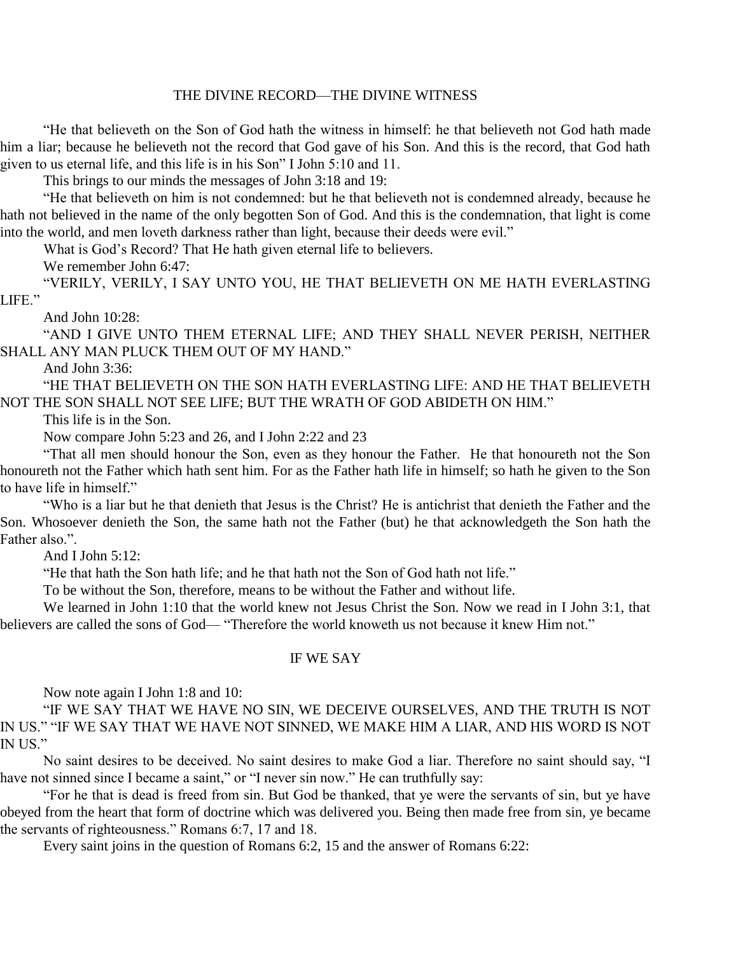#### THE DIVINE RECORD—THE DIVINE WITNESS

"He that believeth on the Son of God hath the witness in himself: he that believeth not God hath made him a liar; because he believeth not the record that God gave of his Son. And this is the record, that God hath given to us eternal life, and this life is in his Son" I John 5:10 and 11.

This brings to our minds the messages of John 3:18 and 19:

"He that believeth on him is not condemned: but he that believeth not is condemned already, because he hath not believed in the name of the only begotten Son of God. And this is the condemnation, that light is come into the world, and men loveth darkness rather than light, because their deeds were evil."

What is God's Record? That He hath given eternal life to believers.

We remember John 6:47:

"VERILY, VERILY, I SAY UNTO YOU, HE THAT BELIEVETH ON ME HATH EVERLASTING LIFE."

And John 10:28:

"AND I GIVE UNTO THEM ETERNAL LIFE; AND THEY SHALL NEVER PERISH, NEITHER SHALL ANY MAN PLUCK THEM OUT OF MY HAND."

And John 3:36:

"HE THAT BELIEVETH ON THE SON HATH EVERLASTING LIFE: AND HE THAT BELIEVETH NOT THE SON SHALL NOT SEE LIFE; BUT THE WRATH OF GOD ABIDETH ON HIM."

This life is in the Son.

Now compare John 5:23 and 26, and I John 2:22 and 23

"That all men should honour the Son, even as they honour the Father. He that honoureth not the Son honoureth not the Father which hath sent him. For as the Father hath life in himself; so hath he given to the Son to have life in himself."

"Who is a liar but he that denieth that Jesus is the Christ? He is antichrist that denieth the Father and the Son. Whosoever denieth the Son, the same hath not the Father (but) he that acknowledgeth the Son hath the Father also.".

And I John 5:12:

"He that hath the Son hath life; and he that hath not the Son of God hath not life."

To be without the Son, therefore, means to be without the Father and without life.

We learned in John 1:10 that the world knew not Jesus Christ the Son. Now we read in I John 3:1, that believers are called the sons of God— "Therefore the world knoweth us not because it knew Him not."

#### IF WE SAY

Now note again I John 1:8 and 10:

"IF WE SAY THAT WE HAVE NO SIN, WE DECEIVE OURSELVES, AND THE TRUTH IS NOT IN US." "IF WE SAY THAT WE HAVE NOT SINNED, WE MAKE HIM A LIAR, AND HIS WORD IS NOT IN US."

No saint desires to be deceived. No saint desires to make God a liar. Therefore no saint should say, "I have not sinned since I became a saint," or "I never sin now." He can truthfully say:

"For he that is dead is freed from sin. But God be thanked, that ye were the servants of sin, but ye have obeyed from the heart that form of doctrine which was delivered you. Being then made free from sin, ye became the servants of righteousness." Romans 6:7, 17 and 18.

Every saint joins in the question of Romans 6:2, 15 and the answer of Romans 6:22: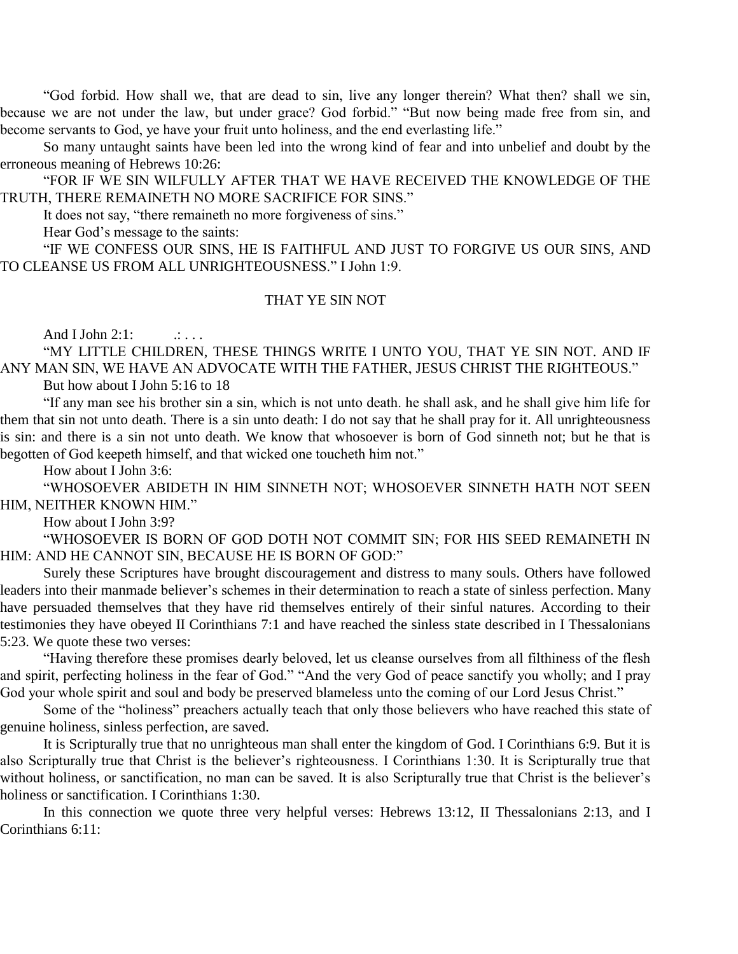"God forbid. How shall we, that are dead to sin, live any longer therein? What then? shall we sin, because we are not under the law, but under grace? God forbid." "But now being made free from sin, and become servants to God, ye have your fruit unto holiness, and the end everlasting life."

So many untaught saints have been led into the wrong kind of fear and into unbelief and doubt by the erroneous meaning of Hebrews 10:26:

"FOR IF WE SIN WILFULLY AFTER THAT WE HAVE RECEIVED THE KNOWLEDGE OF THE TRUTH, THERE REMAINETH NO MORE SACRIFICE FOR SINS."

It does not say, "there remaineth no more forgiveness of sins."

Hear God's message to the saints:

"IF WE CONFESS OUR SINS, HE IS FAITHFUL AND JUST TO FORGIVE US OUR SINS, AND TO CLEANSE US FROM ALL UNRIGHTEOUSNESS." I John 1:9.

#### THAT YE SIN NOT

And I John  $2:1:$   $\ldots$ 

"MY LITTLE CHILDREN, THESE THINGS WRITE I UNTO YOU, THAT YE SIN NOT. AND IF ANY MAN SIN, WE HAVE AN ADVOCATE WITH THE FATHER, JESUS CHRIST THE RIGHTEOUS."

But how about I John 5:16 to 18

"If any man see his brother sin a sin, which is not unto death. he shall ask, and he shall give him life for them that sin not unto death. There is a sin unto death: I do not say that he shall pray for it. All unrighteousness is sin: and there is a sin not unto death. We know that whosoever is born of God sinneth not; but he that is begotten of God keepeth himself, and that wicked one toucheth him not."

How about I John 3:6:

"WHOSOEVER ABIDETH IN HIM SINNETH NOT; WHOSOEVER SINNETH HATH NOT SEEN HIM, NEITHER KNOWN HIM."

How about I John 3:9?

"WHOSOEVER IS BORN OF GOD DOTH NOT COMMIT SIN; FOR HIS SEED REMAINETH IN HIM: AND HE CANNOT SIN, BECAUSE HE IS BORN OF GOD:"

Surely these Scriptures have brought discouragement and distress to many souls. Others have followed leaders into their manmade believer's schemes in their determination to reach a state of sinless perfection. Many have persuaded themselves that they have rid themselves entirely of their sinful natures. According to their testimonies they have obeyed II Corinthians 7:1 and have reached the sinless state described in I Thessalonians 5:23. We quote these two verses:

"Having therefore these promises dearly beloved, let us cleanse ourselves from all filthiness of the flesh and spirit, perfecting holiness in the fear of God." "And the very God of peace sanctify you wholly; and I pray God your whole spirit and soul and body be preserved blameless unto the coming of our Lord Jesus Christ."

Some of the "holiness" preachers actually teach that only those believers who have reached this state of genuine holiness, sinless perfection, are saved.

It is Scripturally true that no unrighteous man shall enter the kingdom of God. I Corinthians 6:9. But it is also Scripturally true that Christ is the believer's righteousness. I Corinthians 1:30. It is Scripturally true that without holiness, or sanctification, no man can be saved. It is also Scripturally true that Christ is the believer's holiness or sanctification. I Corinthians 1:30.

In this connection we quote three very helpful verses: Hebrews 13:12, II Thessalonians 2:13, and I Corinthians 6:11: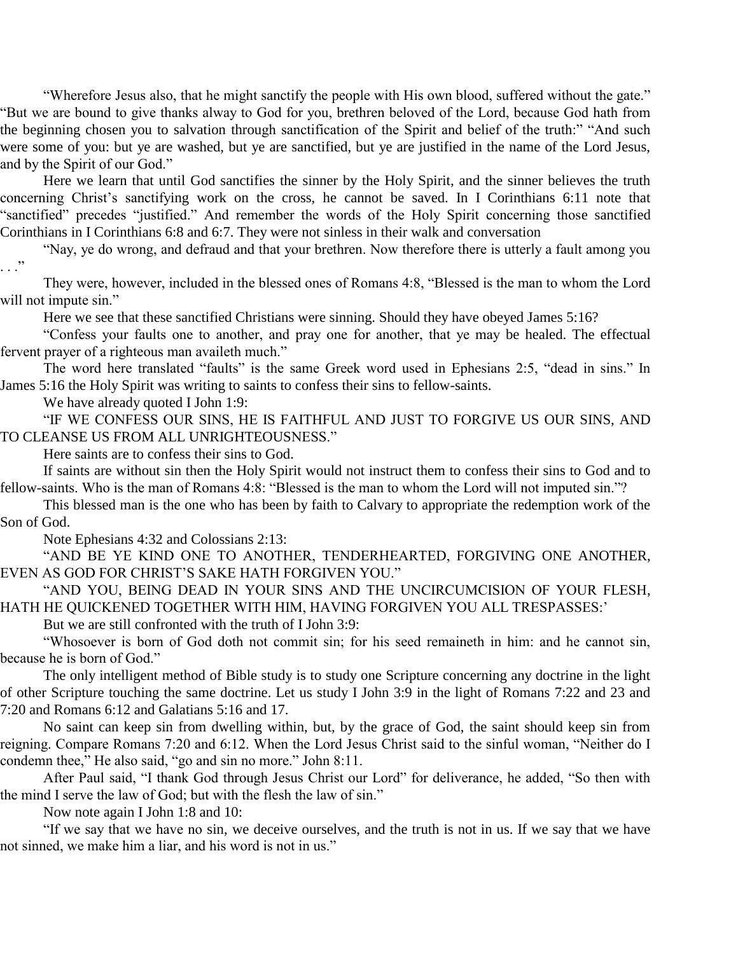"Wherefore Jesus also, that he might sanctify the people with His own blood, suffered without the gate." "But we are bound to give thanks alway to God for you, brethren beloved of the Lord, because God hath from the beginning chosen you to salvation through sanctification of the Spirit and belief of the truth:" "And such were some of you: but ye are washed, but ye are sanctified, but ye are justified in the name of the Lord Jesus, and by the Spirit of our God."

Here we learn that until God sanctifies the sinner by the Holy Spirit, and the sinner believes the truth concerning Christ's sanctifying work on the cross, he cannot be saved. In I Corinthians 6:11 note that "sanctified" precedes "justified." And remember the words of the Holy Spirit concerning those sanctified Corinthians in I Corinthians 6:8 and 6:7. They were not sinless in their walk and conversation

"Nay, ye do wrong, and defraud and that your brethren. Now therefore there is utterly a fault among you . . ."

They were, however, included in the blessed ones of Romans 4:8, "Blessed is the man to whom the Lord will not impute sin."

Here we see that these sanctified Christians were sinning. Should they have obeyed James 5:16?

"Confess your faults one to another, and pray one for another, that ye may be healed. The effectual fervent prayer of a righteous man availeth much."

The word here translated "faults" is the same Greek word used in Ephesians 2:5, "dead in sins." In James 5:16 the Holy Spirit was writing to saints to confess their sins to fellow-saints.

We have already quoted I John 1:9:

"IF WE CONFESS OUR SINS, HE IS FAITHFUL AND JUST TO FORGIVE US OUR SINS, AND TO CLEANSE US FROM ALL UNRIGHTEOUSNESS."

Here saints are to confess their sins to God.

If saints are without sin then the Holy Spirit would not instruct them to confess their sins to God and to fellow-saints. Who is the man of Romans 4:8: "Blessed is the man to whom the Lord will not imputed sin."?

This blessed man is the one who has been by faith to Calvary to appropriate the redemption work of the Son of God.

Note Ephesians 4:32 and Colossians 2:13:

"AND BE YE KIND ONE TO ANOTHER, TENDERHEARTED, FORGIVING ONE ANOTHER, EVEN AS GOD FOR CHRIST'S SAKE HATH FORGIVEN YOU."

"AND YOU, BEING DEAD IN YOUR SINS AND THE UNCIRCUMCISION OF YOUR FLESH, HATH HE QUICKENED TOGETHER WITH HIM, HAVING FORGIVEN YOU ALL TRESPASSES:'

But we are still confronted with the truth of I John 3:9:

"Whosoever is born of God doth not commit sin; for his seed remaineth in him: and he cannot sin, because he is born of God."

The only intelligent method of Bible study is to study one Scripture concerning any doctrine in the light of other Scripture touching the same doctrine. Let us study I John 3:9 in the light of Romans 7:22 and 23 and 7:20 and Romans 6:12 and Galatians 5:16 and 17.

No saint can keep sin from dwelling within, but, by the grace of God, the saint should keep sin from reigning. Compare Romans 7:20 and 6:12. When the Lord Jesus Christ said to the sinful woman, "Neither do I condemn thee," He also said, "go and sin no more." John 8:11.

After Paul said, "I thank God through Jesus Christ our Lord" for deliverance, he added, "So then with the mind I serve the law of God; but with the flesh the law of sin."

Now note again I John 1:8 and 10:

"If we say that we have no sin, we deceive ourselves, and the truth is not in us. If we say that we have not sinned, we make him a liar, and his word is not in us."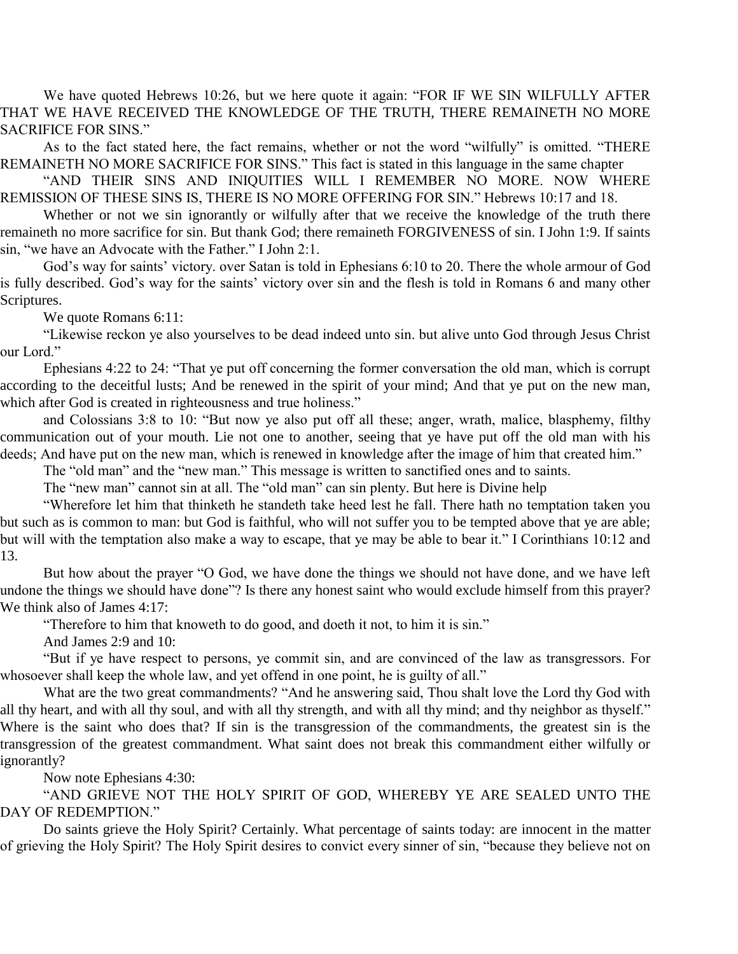We have quoted Hebrews 10:26, but we here quote it again: "FOR IF WE SIN WILFULLY AFTER THAT WE HAVE RECEIVED THE KNOWLEDGE OF THE TRUTH, THERE REMAINETH NO MORE SACRIFICE FOR SINS."

As to the fact stated here, the fact remains, whether or not the word "wilfully" is omitted. "THERE REMAINETH NO MORE SACRIFICE FOR SINS." This fact is stated in this language in the same chapter

"AND THEIR SINS AND INIQUITIES WILL I REMEMBER NO MORE. NOW WHERE REMISSION OF THESE SINS IS, THERE IS NO MORE OFFERING FOR SIN." Hebrews 10:17 and 18.

Whether or not we sin ignorantly or wilfully after that we receive the knowledge of the truth there remaineth no more sacrifice for sin. But thank God; there remaineth FORGIVENESS of sin. I John 1:9. If saints sin, "we have an Advocate with the Father." I John 2:1.

God's way for saints' victory. over Satan is told in Ephesians 6:10 to 20. There the whole armour of God is fully described. God's way for the saints' victory over sin and the flesh is told in Romans 6 and many other Scriptures.

We quote Romans 6:11:

"Likewise reckon ye also yourselves to be dead indeed unto sin. but alive unto God through Jesus Christ our Lord."

Ephesians 4:22 to 24: "That ye put off concerning the former conversation the old man, which is corrupt according to the deceitful lusts; And be renewed in the spirit of your mind; And that ye put on the new man, which after God is created in righteousness and true holiness."

and Colossians 3:8 to 10: "But now ye also put off all these; anger, wrath, malice, blasphemy, filthy communication out of your mouth. Lie not one to another, seeing that ye have put off the old man with his deeds; And have put on the new man, which is renewed in knowledge after the image of him that created him."

The "old man" and the "new man." This message is written to sanctified ones and to saints.

The "new man" cannot sin at all. The "old man" can sin plenty. But here is Divine help

"Wherefore let him that thinketh he standeth take heed lest he fall. There hath no temptation taken you but such as is common to man: but God is faithful, who will not suffer you to be tempted above that ye are able; but will with the temptation also make a way to escape, that ye may be able to bear it." I Corinthians 10:12 and 13.

But how about the prayer "O God, we have done the things we should not have done, and we have left undone the things we should have done"? Is there any honest saint who would exclude himself from this prayer? We think also of James 4:17:

"Therefore to him that knoweth to do good, and doeth it not, to him it is sin."

And James 2:9 and 10:

"But if ye have respect to persons, ye commit sin, and are convinced of the law as transgressors. For whosoever shall keep the whole law, and yet offend in one point, he is guilty of all."

What are the two great commandments? "And he answering said, Thou shalt love the Lord thy God with all thy heart, and with all thy soul, and with all thy strength, and with all thy mind; and thy neighbor as thyself." Where is the saint who does that? If sin is the transgression of the commandments, the greatest sin is the transgression of the greatest commandment. What saint does not break this commandment either wilfully or ignorantly?

Now note Ephesians 4:30:

"AND GRIEVE NOT THE HOLY SPIRIT OF GOD, WHEREBY YE ARE SEALED UNTO THE DAY OF REDEMPTION."

Do saints grieve the Holy Spirit? Certainly. What percentage of saints today: are innocent in the matter of grieving the Holy Spirit? The Holy Spirit desires to convict every sinner of sin, "because they believe not on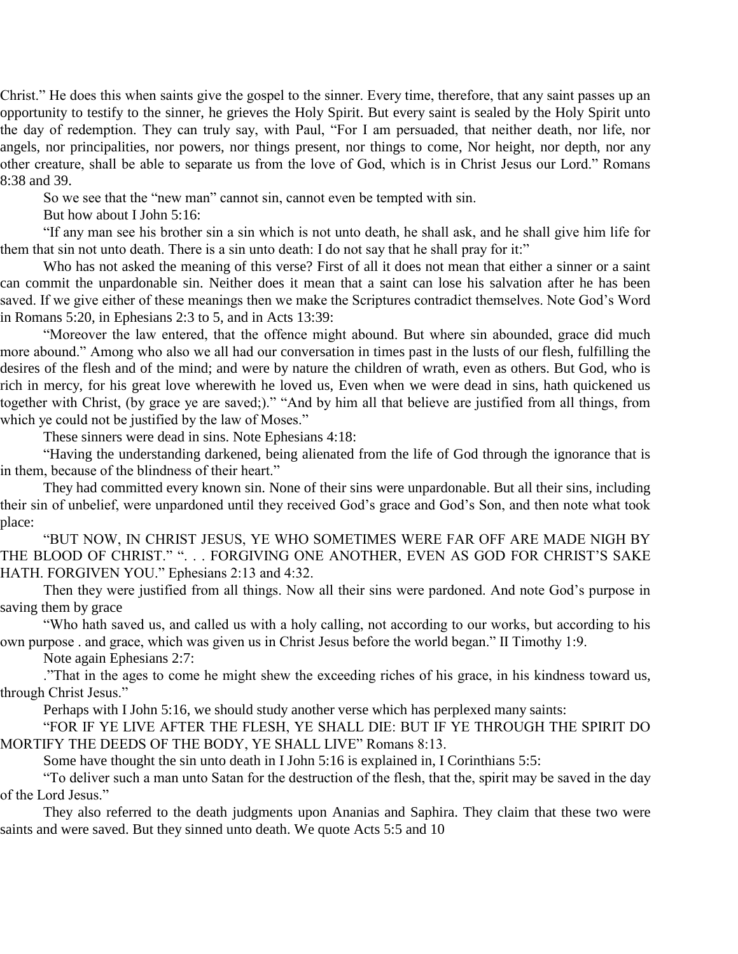Christ." He does this when saints give the gospel to the sinner. Every time, therefore, that any saint passes up an opportunity to testify to the sinner, he grieves the Holy Spirit. But every saint is sealed by the Holy Spirit unto the day of redemption. They can truly say, with Paul, "For I am persuaded, that neither death, nor life, nor angels, nor principalities, nor powers, nor things present, nor things to come, Nor height, nor depth, nor any other creature, shall be able to separate us from the love of God, which is in Christ Jesus our Lord." Romans 8:38 and 39.

So we see that the "new man" cannot sin, cannot even be tempted with sin.

But how about I John 5:16:

"If any man see his brother sin a sin which is not unto death, he shall ask, and he shall give him life for them that sin not unto death. There is a sin unto death: I do not say that he shall pray for it:"

Who has not asked the meaning of this verse? First of all it does not mean that either a sinner or a saint can commit the unpardonable sin. Neither does it mean that a saint can lose his salvation after he has been saved. If we give either of these meanings then we make the Scriptures contradict themselves. Note God's Word in Romans 5:20, in Ephesians 2:3 to 5, and in Acts 13:39:

"Moreover the law entered, that the offence might abound. But where sin abounded, grace did much more abound." Among who also we all had our conversation in times past in the lusts of our flesh, fulfilling the desires of the flesh and of the mind; and were by nature the children of wrath, even as others. But God, who is rich in mercy, for his great love wherewith he loved us, Even when we were dead in sins, hath quickened us together with Christ, (by grace ye are saved;)." "And by him all that believe are justified from all things, from which ye could not be justified by the law of Moses."

These sinners were dead in sins. Note Ephesians 4:18:

"Having the understanding darkened, being alienated from the life of God through the ignorance that is in them, because of the blindness of their heart."

They had committed every known sin. None of their sins were unpardonable. But all their sins, including their sin of unbelief, were unpardoned until they received God's grace and God's Son, and then note what took place:

"BUT NOW, IN CHRIST JESUS, YE WHO SOMETIMES WERE FAR OFF ARE MADE NIGH BY THE BLOOD OF CHRIST." ". . . FORGIVING ONE ANOTHER, EVEN AS GOD FOR CHRIST'S SAKE HATH. FORGIVEN YOU." Ephesians 2:13 and 4:32.

Then they were justified from all things. Now all their sins were pardoned. And note God's purpose in saving them by grace

"Who hath saved us, and called us with a holy calling, not according to our works, but according to his own purpose . and grace, which was given us in Christ Jesus before the world began." II Timothy 1:9.

Note again Ephesians 2:7:

."That in the ages to come he might shew the exceeding riches of his grace, in his kindness toward us, through Christ Jesus."

Perhaps with I John 5:16, we should study another verse which has perplexed many saints:

"FOR IF YE LIVE AFTER THE FLESH, YE SHALL DIE: BUT IF YE THROUGH THE SPIRIT DO MORTIFY THE DEEDS OF THE BODY, YE SHALL LIVE" Romans 8:13.

Some have thought the sin unto death in I John 5:16 is explained in, I Corinthians 5:5:

"To deliver such a man unto Satan for the destruction of the flesh, that the, spirit may be saved in the day of the Lord Jesus."

They also referred to the death judgments upon Ananias and Saphira. They claim that these two were saints and were saved. But they sinned unto death. We quote Acts 5:5 and 10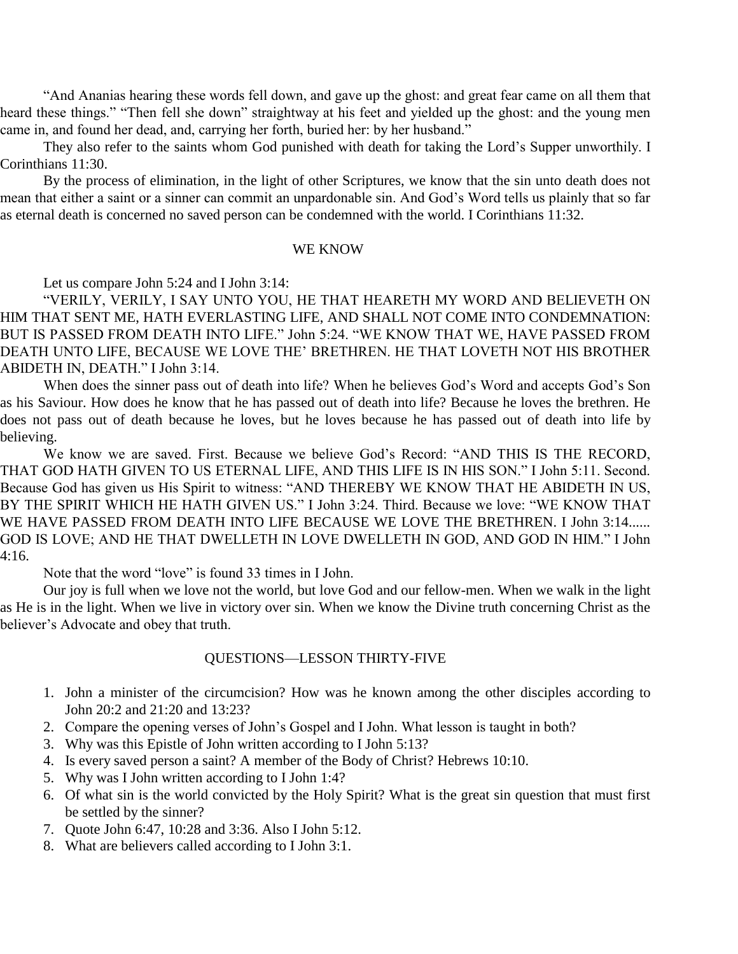"And Ananias hearing these words fell down, and gave up the ghost: and great fear came on all them that heard these things." "Then fell she down" straightway at his feet and yielded up the ghost: and the young men came in, and found her dead, and, carrying her forth, buried her: by her husband."

They also refer to the saints whom God punished with death for taking the Lord's Supper unworthily. I Corinthians 11:30.

By the process of elimination, in the light of other Scriptures, we know that the sin unto death does not mean that either a saint or a sinner can commit an unpardonable sin. And God's Word tells us plainly that so far as eternal death is concerned no saved person can be condemned with the world. I Corinthians 11:32.

#### WE KNOW

Let us compare John 5:24 and I John 3:14:

"VERILY, VERILY, I SAY UNTO YOU, HE THAT HEARETH MY WORD AND BELIEVETH ON HIM THAT SENT ME, HATH EVERLASTING LIFE, AND SHALL NOT COME INTO CONDEMNATION: BUT IS PASSED FROM DEATH INTO LIFE." John 5:24. "WE KNOW THAT WE, HAVE PASSED FROM DEATH UNTO LIFE, BECAUSE WE LOVE THE' BRETHREN. HE THAT LOVETH NOT HIS BROTHER ABIDETH IN, DEATH." I John 3:14.

When does the sinner pass out of death into life? When he believes God's Word and accepts God's Son as his Saviour. How does he know that he has passed out of death into life? Because he loves the brethren. He does not pass out of death because he loves, but he loves because he has passed out of death into life by believing.

We know we are saved. First. Because we believe God's Record: "AND THIS IS THE RECORD, THAT GOD HATH GIVEN TO US ETERNAL LIFE, AND THIS LIFE IS IN HIS SON." I John 5:11. Second. Because God has given us His Spirit to witness: "AND THEREBY WE KNOW THAT HE ABIDETH IN US, BY THE SPIRIT WHICH HE HATH GIVEN US." I John 3:24. Third. Because we love: "WE KNOW THAT WE HAVE PASSED FROM DEATH INTO LIFE BECAUSE WE LOVE THE BRETHREN. I John 3:14...... GOD IS LOVE; AND HE THAT DWELLETH IN LOVE DWELLETH IN GOD, AND GOD IN HIM." I John 4:16.

Note that the word "love" is found 33 times in I John.

Our joy is full when we love not the world, but love God and our fellow-men. When we walk in the light as He is in the light. When we live in victory over sin. When we know the Divine truth concerning Christ as the believer's Advocate and obey that truth.

#### QUESTIONS—LESSON THIRTY-FIVE

- 1. John a minister of the circumcision? How was he known among the other disciples according to John 20:2 and 21:20 and 13:23?
- 2. Compare the opening verses of John's Gospel and I John. What lesson is taught in both?
- 3. Why was this Epistle of John written according to I John 5:13?
- 4. Is every saved person a saint? A member of the Body of Christ? Hebrews 10:10.
- 5. Why was I John written according to I John 1:4?
- 6. Of what sin is the world convicted by the Holy Spirit? What is the great sin question that must first be settled by the sinner?
- 7. Quote John 6:47, 10:28 and 3:36. Also I John 5:12.
- 8. What are believers called according to I John 3:1.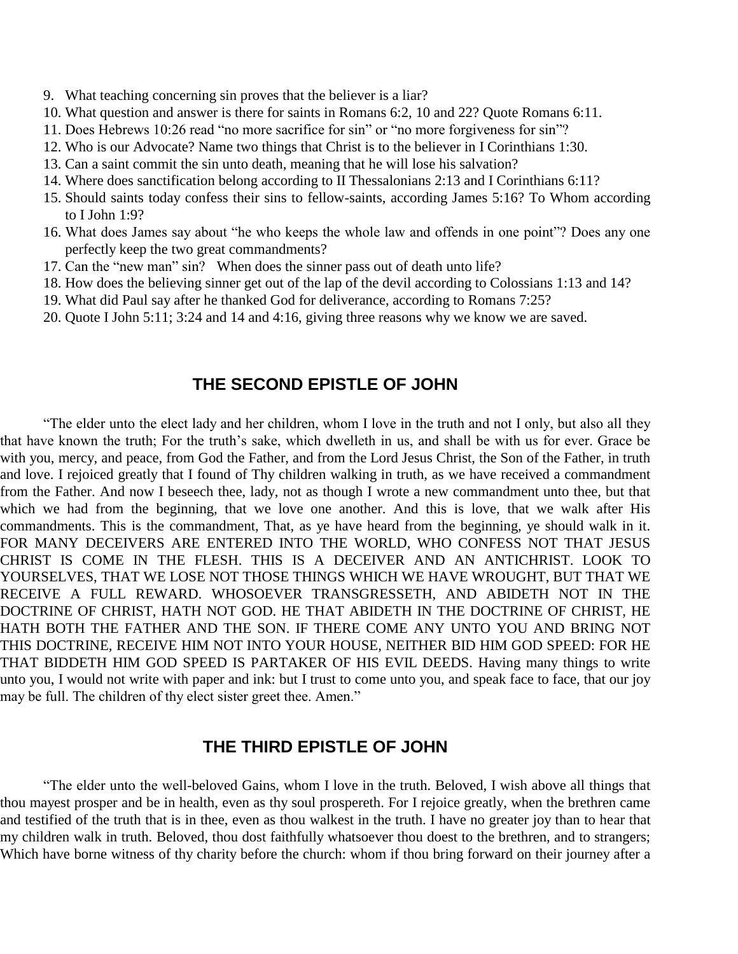- 9. What teaching concerning sin proves that the believer is a liar?
- 10. What question and answer is there for saints in Romans 6:2, 10 and 22? Quote Romans 6:11.
- 11. Does Hebrews 10:26 read "no more sacrifice for sin" or "no more forgiveness for sin"?
- 12. Who is our Advocate? Name two things that Christ is to the believer in I Corinthians 1:30.
- 13. Can a saint commit the sin unto death, meaning that he will lose his salvation?
- 14. Where does sanctification belong according to II Thessalonians 2:13 and I Corinthians 6:11?
- 15. Should saints today confess their sins to fellow-saints, according James 5:16? To Whom according to I John 1:9?
- 16. What does James say about "he who keeps the whole law and offends in one point"? Does any one perfectly keep the two great commandments?
- 17. Can the "new man" sin? When does the sinner pass out of death unto life?
- 18. How does the believing sinner get out of the lap of the devil according to Colossians 1:13 and 14?
- 19. What did Paul say after he thanked God for deliverance, according to Romans 7:25?
- 20. Quote I John 5:11; 3:24 and 14 and 4:16, giving three reasons why we know we are saved.

## **THE SECOND EPISTLE OF JOHN**

"The elder unto the elect lady and her children, whom I love in the truth and not I only, but also all they that have known the truth; For the truth's sake, which dwelleth in us, and shall be with us for ever. Grace be with you, mercy, and peace, from God the Father, and from the Lord Jesus Christ, the Son of the Father, in truth and love. I rejoiced greatly that I found of Thy children walking in truth, as we have received a commandment from the Father. And now I beseech thee, lady, not as though I wrote a new commandment unto thee, but that which we had from the beginning, that we love one another. And this is love, that we walk after His commandments. This is the commandment, That, as ye have heard from the beginning, ye should walk in it. FOR MANY DECEIVERS ARE ENTERED INTO THE WORLD, WHO CONFESS NOT THAT JESUS CHRIST IS COME IN THE FLESH. THIS IS A DECEIVER AND AN ANTICHRIST. LOOK TO YOURSELVES, THAT WE LOSE NOT THOSE THINGS WHICH WE HAVE WROUGHT, BUT THAT WE RECEIVE A FULL REWARD. WHOSOEVER TRANSGRESSETH, AND ABIDETH NOT IN THE DOCTRINE OF CHRIST, HATH NOT GOD. HE THAT ABIDETH IN THE DOCTRINE OF CHRIST, HE HATH BOTH THE FATHER AND THE SON. IF THERE COME ANY UNTO YOU AND BRING NOT THIS DOCTRINE, RECEIVE HIM NOT INTO YOUR HOUSE, NEITHER BID HIM GOD SPEED: FOR HE THAT BIDDETH HIM GOD SPEED IS PARTAKER OF HIS EVIL DEEDS. Having many things to write unto you, I would not write with paper and ink: but I trust to come unto you, and speak face to face, that our joy may be full. The children of thy elect sister greet thee. Amen."

### **THE THIRD EPISTLE OF JOHN**

"The elder unto the well-beloved Gains, whom I love in the truth. Beloved, I wish above all things that thou mayest prosper and be in health, even as thy soul prospereth. For I rejoice greatly, when the brethren came and testified of the truth that is in thee, even as thou walkest in the truth. I have no greater joy than to hear that my children walk in truth. Beloved, thou dost faithfully whatsoever thou doest to the brethren, and to strangers; Which have borne witness of thy charity before the church: whom if thou bring forward on their journey after a